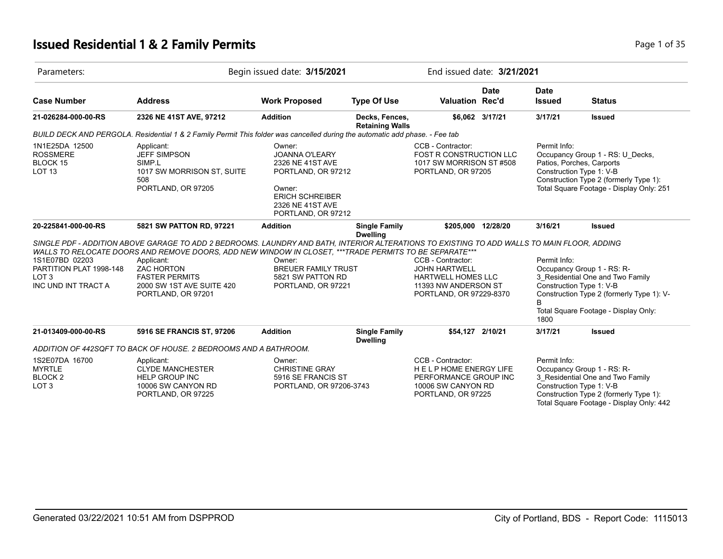## **Issued Residential 1 & 2 Family Permits Page 1 of 35 Page 1 of 35**

| Parameters:                                                        |                                                                                                                                                                         | Begin issued date: 3/15/2021                                                                                                                            |                                          |                                                                                                | End issued date: 3/21/2021 |                                                                       |                                                                                                                        |  |
|--------------------------------------------------------------------|-------------------------------------------------------------------------------------------------------------------------------------------------------------------------|---------------------------------------------------------------------------------------------------------------------------------------------------------|------------------------------------------|------------------------------------------------------------------------------------------------|----------------------------|-----------------------------------------------------------------------|------------------------------------------------------------------------------------------------------------------------|--|
| <b>Case Number</b>                                                 | <b>Address</b>                                                                                                                                                          | <b>Work Proposed</b>                                                                                                                                    | <b>Type Of Use</b>                       | Valuation Rec'd                                                                                | <b>Date</b>                | <b>Date</b><br><b>Issued</b>                                          | <b>Status</b>                                                                                                          |  |
| 21-026284-000-00-RS                                                | 2326 NE 41ST AVE, 97212                                                                                                                                                 | <b>Addition</b>                                                                                                                                         | Decks, Fences,<br><b>Retaining Walls</b> |                                                                                                | \$6,062 3/17/21            | 3/17/21                                                               | <b>Issued</b>                                                                                                          |  |
|                                                                    | BUILD DECK AND PERGOLA. Residential 1 & 2 Family Permit This folder was cancelled during the automatic add phase. - Fee tab                                             |                                                                                                                                                         |                                          |                                                                                                |                            |                                                                       |                                                                                                                        |  |
| 1N1E25DA 12500<br><b>ROSSMERE</b><br>BLOCK 15<br>LOT <sub>13</sub> | Applicant:<br><b>JEFF SIMPSON</b><br>SIMP.L<br>1017 SW MORRISON ST, SUITE<br>508<br>PORTLAND, OR 97205                                                                  | Owner:<br><b>JOANNA O'LEARY</b><br>2326 NE 41ST AVE<br>PORTLAND, OR 97212<br>Owner:<br><b>ERICH SCHREIBER</b><br>2326 NE 41ST AVE<br>PORTLAND, OR 97212 |                                          | CCB - Contractor:<br>FOST R CONSTRUCTION LLC<br>1017 SW MORRISON ST #508<br>PORTLAND, OR 97205 |                            | Permit Info:<br>Patios, Porches, Carports<br>Construction Type 1: V-B | Occupancy Group 1 - RS: U Decks,<br>Construction Type 2 (formerly Type 1):<br>Total Square Footage - Display Only: 251 |  |
| 20-225841-000-00-RS                                                | 5821 SW PATTON RD, 97221<br>SINGLE PDF - ADDITION ABOVE GARAGE TO ADD 2 BEDROOMS. LAUNDRY AND BATH, INTERIOR ALTERATIONS TO EXISTING TO ADD WALLS TO MAIN FLOOR, ADDING | <b>Addition</b>                                                                                                                                         | <b>Single Family</b><br><b>Dwelling</b>  | \$205,000 12/28/20                                                                             |                            | 3/16/21                                                               | <b>Issued</b>                                                                                                          |  |
|                                                                    | WALLS TO RELOCATE DOORS AND REMOVE DOORS, ADD NEW WINDOW IN CLOSET, ***TRADE PERMITS TO BE SEPARATE***                                                                  |                                                                                                                                                         |                                          |                                                                                                |                            |                                                                       |                                                                                                                        |  |
| 1S1E07BD 02203                                                     | Applicant:                                                                                                                                                              | Owner:                                                                                                                                                  |                                          | CCB - Contractor:                                                                              |                            | Permit Info:                                                          |                                                                                                                        |  |
| PARTITION PLAT 1998-148<br>LOT <sub>3</sub>                        | <b>ZAC HORTON</b><br><b>FASTER PERMITS</b>                                                                                                                              | <b>BREUER FAMILY TRUST</b><br>5821 SW PATTON RD                                                                                                         |                                          | <b>JOHN HARTWELL</b><br>HARTWELL HOMES LLC                                                     |                            |                                                                       | Occupancy Group 1 - RS: R-<br>3 Residential One and Two Family                                                         |  |
| INC UND INT TRACT A                                                | 2000 SW 1ST AVE SUITE 420                                                                                                                                               | PORTLAND, OR 97221                                                                                                                                      |                                          | 11393 NW ANDERSON ST                                                                           |                            | Construction Type 1: V-B                                              |                                                                                                                        |  |
|                                                                    | PORTLAND, OR 97201                                                                                                                                                      |                                                                                                                                                         |                                          | PORTLAND, OR 97229-8370                                                                        |                            | B                                                                     | Construction Type 2 (formerly Type 1): V-                                                                              |  |
|                                                                    |                                                                                                                                                                         |                                                                                                                                                         |                                          |                                                                                                |                            | 1800                                                                  | Total Square Footage - Display Only:                                                                                   |  |
| 21-013409-000-00-RS                                                | 5916 SE FRANCIS ST, 97206                                                                                                                                               | <b>Addition</b>                                                                                                                                         | <b>Single Family</b><br><b>Dwelling</b>  | \$54,127 2/10/21                                                                               |                            | 3/17/21                                                               | <b>Issued</b>                                                                                                          |  |
|                                                                    | ADDITION OF 442SQFT TO BACK OF HOUSE. 2 BEDROOMS AND A BATHROOM.                                                                                                        |                                                                                                                                                         |                                          |                                                                                                |                            |                                                                       |                                                                                                                        |  |
| 1S2E07DA 16700                                                     | Applicant:                                                                                                                                                              | Owner:                                                                                                                                                  |                                          | CCB - Contractor:                                                                              |                            | Permit Info:                                                          |                                                                                                                        |  |
| <b>MYRTLE</b>                                                      | <b>CLYDE MANCHESTER</b>                                                                                                                                                 | <b>CHRISTINE GRAY</b>                                                                                                                                   |                                          | <b>HELPHOME ENERGY LIFE</b>                                                                    |                            |                                                                       | Occupancy Group 1 - RS: R-                                                                                             |  |
| BLOCK <sub>2</sub>                                                 | <b>HELP GROUP INC</b>                                                                                                                                                   | 5916 SE FRANCIS ST                                                                                                                                      |                                          | PERFORMANCE GROUP INC                                                                          |                            |                                                                       | 3 Residential One and Two Family                                                                                       |  |
| LOT <sub>3</sub>                                                   | 10006 SW CANYON RD<br>PORTLAND, OR 97225                                                                                                                                | PORTLAND, OR 97206-3743                                                                                                                                 |                                          | 10006 SW CANYON RD<br>PORTLAND, OR 97225                                                       |                            | Construction Type 1: V-B                                              | Construction Type 2 (formerly Type 1):<br>Total Square Footage - Display Only: 442                                     |  |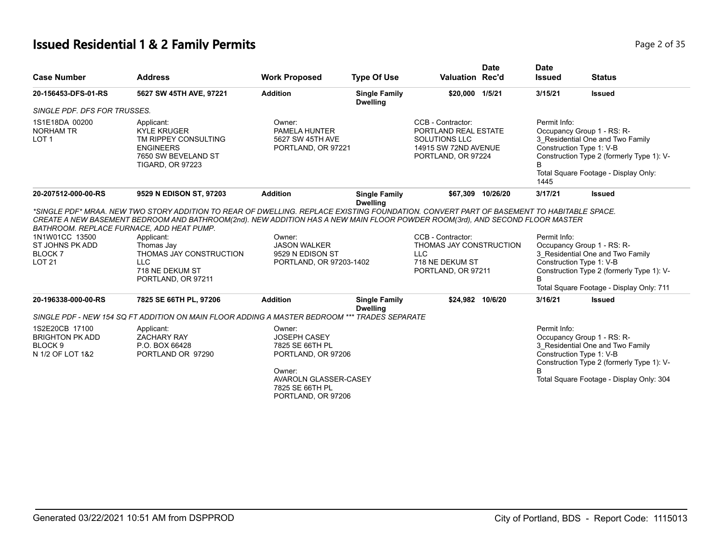# **Issued Residential 1 & 2 Family Permits Page 1 and 2011 12 July 12011 1202 1204 2 Page 2 of 35**

| <b>Case Number</b>                                                                 | <b>Address</b>                                                                                                                                          | <b>Work Proposed</b>                                                                                      | <b>Type Of Use</b>                      | <b>Valuation Rec'd</b>                                                                                                                                                                                                              | <b>Date</b>       | <b>Date</b><br><b>Issued</b>                                                                                                                                                                             | <b>Status</b>                                                                                                                                                                       |
|------------------------------------------------------------------------------------|---------------------------------------------------------------------------------------------------------------------------------------------------------|-----------------------------------------------------------------------------------------------------------|-----------------------------------------|-------------------------------------------------------------------------------------------------------------------------------------------------------------------------------------------------------------------------------------|-------------------|----------------------------------------------------------------------------------------------------------------------------------------------------------------------------------------------------------|-------------------------------------------------------------------------------------------------------------------------------------------------------------------------------------|
| 20-156453-DFS-01-RS                                                                | 5627 SW 45TH AVE, 97221                                                                                                                                 | <b>Addition</b>                                                                                           | <b>Single Family</b><br><b>Dwelling</b> | \$20,000 1/5/21                                                                                                                                                                                                                     |                   | 3/15/21                                                                                                                                                                                                  | <b>Issued</b>                                                                                                                                                                       |
| SINGLE PDF. DFS FOR TRUSSES.                                                       |                                                                                                                                                         |                                                                                                           |                                         |                                                                                                                                                                                                                                     |                   |                                                                                                                                                                                                          |                                                                                                                                                                                     |
| 1S1E18DA 00200<br><b>NORHAM TR</b><br>LOT <sub>1</sub>                             | Applicant:<br><b>KYLE KRUGER</b><br>TM RIPPEY CONSULTING<br><b>ENGINEERS</b><br>7650 SW BEVELAND ST<br><b>TIGARD, OR 97223</b>                          | Owner:<br>PAMELA HUNTER<br>5627 SW 45TH AVE<br>PORTLAND, OR 97221                                         |                                         | CCB - Contractor:<br>PORTLAND REAL ESTATE<br>SOLUTIONS LLC<br>14915 SW 72ND AVENUE<br>PORTLAND, OR 97224                                                                                                                            |                   | Permit Info:<br>R<br>1445                                                                                                                                                                                | Occupancy Group 1 - RS: R-<br>3_Residential One and Two Family<br>Construction Type 1: V-B<br>Construction Type 2 (formerly Type 1): V-<br>Total Square Footage - Display Only:     |
| 20-207512-000-00-RS                                                                | 9529 N EDISON ST, 97203                                                                                                                                 | <b>Addition</b>                                                                                           | <b>Single Family</b><br><b>Dwelling</b> |                                                                                                                                                                                                                                     | \$67,309 10/26/20 | 3/17/21                                                                                                                                                                                                  | <b>Issued</b>                                                                                                                                                                       |
| 1N1W01CC 13500<br>ST JOHNS PK ADD<br>BLOCK 7<br><b>LOT 21</b>                      | BATHROOM. REPLACE FURNACE, ADD HEAT PUMP.<br>Applicant:<br>Thomas Jay<br>THOMAS JAY CONSTRUCTION<br><b>LLC</b><br>718 NE DEKUM ST<br>PORTLAND, OR 97211 | Owner:<br><b>JASON WALKER</b><br>9529 N EDISON ST<br>PORTLAND, OR 97203-1402                              |                                         | CREATE A NEW BASEMENT BEDROOM AND BATHROOM(2nd). NEW ADDITION HAS A NEW MAIN FLOOR POWDER ROOM(3rd), AND SECOND FLOOR MASTER<br>CCB - Contractor:<br>THOMAS JAY CONSTRUCTION<br><b>LLC</b><br>718 NE DEKUM ST<br>PORTLAND, OR 97211 |                   | Permit Info:<br>Occupancy Group 1 - RS: R-<br>3 Residential One and Two Family<br>Construction Type 1: V-B<br>Construction Type 2 (formerly Type 1): V-<br>B<br>Total Square Footage - Display Only: 711 |                                                                                                                                                                                     |
| 20-196338-000-00-RS                                                                | 7825 SE 66TH PL, 97206                                                                                                                                  | <b>Addition</b>                                                                                           | <b>Single Family</b><br><b>Dwelling</b> |                                                                                                                                                                                                                                     | \$24,982 10/6/20  | 3/16/21                                                                                                                                                                                                  | <b>Issued</b>                                                                                                                                                                       |
|                                                                                    | SINGLE PDF - NEW 154 SQ FT ADDITION ON MAIN FLOOR ADDING A MASTER BEDROOM **                                                                            |                                                                                                           | <b>TRADES SEPARATE</b>                  |                                                                                                                                                                                                                                     |                   |                                                                                                                                                                                                          |                                                                                                                                                                                     |
| 1S2E20CB 17100<br><b>BRIGHTON PK ADD</b><br>BLOCK <sub>9</sub><br>N 1/2 OF LOT 1&2 | Applicant:<br><b>ZACHARY RAY</b><br>P.O. BOX 66428<br>PORTLAND OR 97290                                                                                 | Owner:<br><b>JOSEPH CASEY</b><br>7825 SE 66TH PL<br>PORTLAND, OR 97206<br>Owner:<br>AVAROLN GLASSER-CASEY |                                         |                                                                                                                                                                                                                                     |                   | Permit Info:<br><sub>R</sub>                                                                                                                                                                             | Occupancy Group 1 - RS: R-<br>3 Residential One and Two Family<br>Construction Type 1: V-B<br>Construction Type 2 (formerly Type 1): V-<br>Total Square Footage - Display Only: 304 |
|                                                                                    |                                                                                                                                                         | 7825 SE 66TH PL<br>PORTLAND, OR 97206                                                                     |                                         |                                                                                                                                                                                                                                     |                   |                                                                                                                                                                                                          |                                                                                                                                                                                     |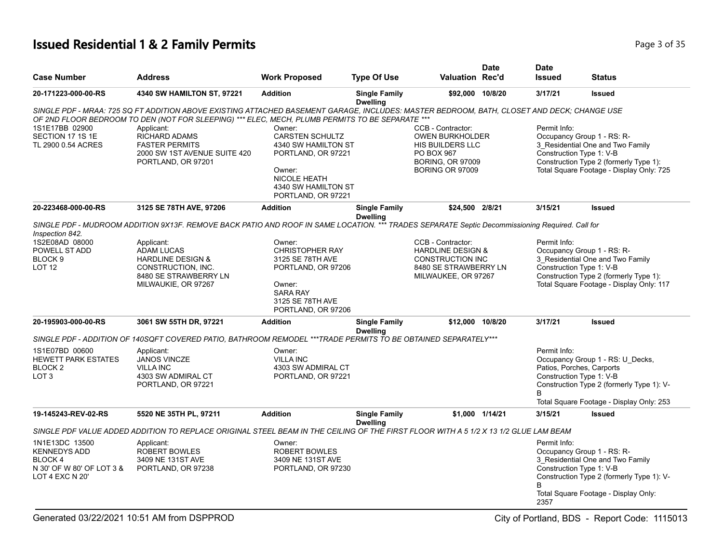## **Issued Residential 1 & 2 Family Permits Page 1 and 2011 12 and 2012 12:35** Page 3 of 35

|                                                                                                  |                                                                                                                                                                                                                                               |                                                                                                                                                             |                                         |                                                                                                                              | <b>Date</b>     | <b>Date</b>                                                                |                                                                                                                                                      |
|--------------------------------------------------------------------------------------------------|-----------------------------------------------------------------------------------------------------------------------------------------------------------------------------------------------------------------------------------------------|-------------------------------------------------------------------------------------------------------------------------------------------------------------|-----------------------------------------|------------------------------------------------------------------------------------------------------------------------------|-----------------|----------------------------------------------------------------------------|------------------------------------------------------------------------------------------------------------------------------------------------------|
| <b>Case Number</b>                                                                               | <b>Address</b>                                                                                                                                                                                                                                | <b>Work Proposed</b>                                                                                                                                        | <b>Type Of Use</b>                      | <b>Valuation Rec'd</b>                                                                                                       |                 | <b>Issued</b>                                                              | <b>Status</b>                                                                                                                                        |
| 20-171223-000-00-RS                                                                              | 4340 SW HAMILTON ST, 97221                                                                                                                                                                                                                    | <b>Addition</b>                                                                                                                                             | <b>Single Family</b><br><b>Dwelling</b> | \$92,000 10/8/20                                                                                                             |                 | 3/17/21                                                                    | <b>Issued</b>                                                                                                                                        |
|                                                                                                  | SINGLE PDF - MRAA: 725 SQ FT ADDITION ABOVE EXISTING ATTACHED BASEMENT GARAGE, INCLUDES: MASTER BEDROOM, BATH, CLOSET AND DECK; CHANGE USE<br>OF 2ND FLOOR BEDROOM TO DEN (NOT FOR SLEEPING) *** ELEC, MECH, PLUMB PERMITS TO BE SEPARATE *** |                                                                                                                                                             |                                         |                                                                                                                              |                 |                                                                            |                                                                                                                                                      |
| 1S1E17BB 02900<br>SECTION 17 1S 1E<br>TL 2900 0.54 ACRES                                         | Applicant:<br><b>RICHARD ADAMS</b><br><b>FASTER PERMITS</b><br>2000 SW 1ST AVENUE SUITE 420<br>PORTLAND, OR 97201                                                                                                                             | Owner:<br><b>CARSTEN SCHULTZ</b><br>4340 SW HAMILTON ST<br>PORTLAND, OR 97221<br>Owner:<br><b>NICOLE HEATH</b><br>4340 SW HAMILTON ST<br>PORTLAND, OR 97221 |                                         | CCB - Contractor:<br><b>OWEN BURKHOLDER</b><br>HIS BUILDERS LLC<br>PO BOX 967<br><b>BORING, OR 97009</b><br>BORING OR 97009  |                 | Permit Info:<br>Construction Type 1: V-B                                   | Occupancy Group 1 - RS: R-<br>3_Residential One and Two Family<br>Construction Type 2 (formerly Type 1):<br>Total Square Footage - Display Only: 725 |
| 20-223468-000-00-RS                                                                              | 3125 SE 78TH AVE, 97206                                                                                                                                                                                                                       | <b>Addition</b>                                                                                                                                             | <b>Single Family</b><br><b>Dwelling</b> | \$24,500 2/8/21                                                                                                              |                 | 3/15/21                                                                    | <b>Issued</b>                                                                                                                                        |
| Inspection 842.                                                                                  | SINGLE PDF - MUDROOM ADDITION 9X13F. REMOVE BACK PATIO AND ROOF IN SAME LOCATION. *** TRADES SEPARATE Septic Decommissioning Required. Call for                                                                                               |                                                                                                                                                             |                                         |                                                                                                                              |                 |                                                                            |                                                                                                                                                      |
| 1S2E08AD 08000<br>POWELL ST ADD<br>BLOCK <sub>9</sub><br><b>LOT 12</b>                           | Applicant:<br><b>ADAM LUCAS</b><br><b>HARDLINE DESIGN &amp;</b><br>CONSTRUCTION, INC.<br>8480 SE STRAWBERRY LN<br>MILWAUKIE, OR 97267                                                                                                         | Owner:<br><b>CHRISTOPHER RAY</b><br>3125 SE 78TH AVE<br>PORTLAND, OR 97206<br>Owner:<br><b>SARA RAY</b><br>3125 SE 78TH AVE<br>PORTLAND, OR 97206           |                                         | CCB - Contractor:<br><b>HARDLINE DESIGN &amp;</b><br><b>CONSTRUCTION INC</b><br>8480 SE STRAWBERRY LN<br>MILWAUKEE, OR 97267 |                 | Permit Info:<br>Construction Type 1: V-B                                   | Occupancy Group 1 - RS: R-<br>3 Residential One and Two Family<br>Construction Type 2 (formerly Type 1):<br>Total Square Footage - Display Only: 117 |
| 20-195903-000-00-RS                                                                              | 3061 SW 55TH DR, 97221                                                                                                                                                                                                                        | <b>Addition</b>                                                                                                                                             | <b>Single Family</b><br><b>Dwelling</b> | \$12.000 10/8/20                                                                                                             |                 | 3/17/21                                                                    | <b>Issued</b>                                                                                                                                        |
|                                                                                                  | SINGLE PDF - ADDITION OF 140SQFT COVERED PATIO, BATHROOM REMODEL ***TRADE PERMITS TO BE OBTAINED SEPARATELY***                                                                                                                                |                                                                                                                                                             |                                         |                                                                                                                              |                 |                                                                            |                                                                                                                                                      |
| 1S1E07BD 00600<br><b>HEWETT PARK ESTATES</b><br>BLOCK <sub>2</sub><br>LOT <sub>3</sub>           | Applicant:<br><b>JANOS VINCZE</b><br><b>VILLA INC</b><br>4303 SW ADMIRAL CT<br>PORTLAND, OR 97221                                                                                                                                             | Owner:<br><b>VILLA INC</b><br>4303 SW ADMIRAL CT<br>PORTLAND, OR 97221                                                                                      |                                         |                                                                                                                              |                 | Permit Info:<br>Patios, Porches, Carports<br>Construction Type 1: V-B<br>B | Occupancy Group 1 - RS: U_Decks,<br>Construction Type 2 (formerly Type 1): V-                                                                        |
|                                                                                                  |                                                                                                                                                                                                                                               |                                                                                                                                                             |                                         |                                                                                                                              |                 |                                                                            | Total Square Footage - Display Only: 253                                                                                                             |
| 19-145243-REV-02-RS                                                                              | 5520 NE 35TH PL, 97211                                                                                                                                                                                                                        | <b>Addition</b>                                                                                                                                             | <b>Single Family</b><br><b>Dwelling</b> |                                                                                                                              | \$1,000 1/14/21 | 3/15/21                                                                    | <b>Issued</b>                                                                                                                                        |
|                                                                                                  | SINGLE PDF VALUE ADDED ADDITION TO REPLACE ORIGINAL STEEL BEAM IN THE CEILING OF THE FIRST FLOOR WITH A 5 1/2 X 13 1/2 GLUE LAM BEAM                                                                                                          |                                                                                                                                                             |                                         |                                                                                                                              |                 |                                                                            |                                                                                                                                                      |
| 1N1E13DC 13500<br><b>KENNEDYS ADD</b><br>BLOCK 4<br>N 30' OF W 80' OF LOT 3 &<br>LOT 4 EXC N 20' | Applicant:<br>ROBERT BOWLES<br>3409 NE 131ST AVE<br>PORTLAND, OR 97238                                                                                                                                                                        | Owner:<br>ROBERT BOWLES<br>3409 NE 131ST AVE<br>PORTLAND, OR 97230                                                                                          |                                         |                                                                                                                              |                 | Permit Info:<br>Construction Type 1: V-B<br>2357                           | Occupancy Group 1 - RS: R-<br>3_Residential One and Two Family<br>Construction Type 2 (formerly Type 1): V-<br>Total Square Footage - Display Only:  |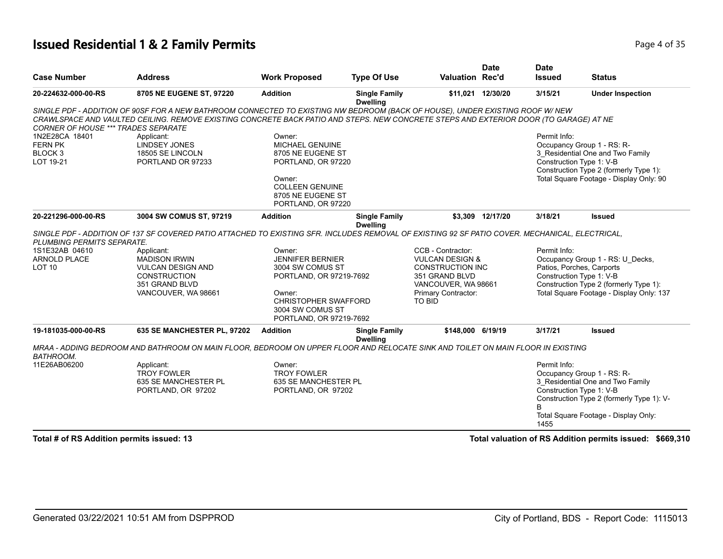#### **Issued Residential 1 & 2 Family Permits Page 1 of 35**

| <b>Address</b>                                                                                                                 | <b>Work Proposed</b>                                                                                    | <b>Type Of Use</b>   |                                                                                                                                                                                                                                           | <b>Date</b> | <b>Date</b><br><b>Issued</b>                                                                                                                                                                | <b>Status</b>                                                                                                                                                                                                                                                                                                                                                                                                                                                                                                                                                           |
|--------------------------------------------------------------------------------------------------------------------------------|---------------------------------------------------------------------------------------------------------|----------------------|-------------------------------------------------------------------------------------------------------------------------------------------------------------------------------------------------------------------------------------------|-------------|---------------------------------------------------------------------------------------------------------------------------------------------------------------------------------------------|-------------------------------------------------------------------------------------------------------------------------------------------------------------------------------------------------------------------------------------------------------------------------------------------------------------------------------------------------------------------------------------------------------------------------------------------------------------------------------------------------------------------------------------------------------------------------|
| 8705 NE EUGENE ST, 97220                                                                                                       | <b>Addition</b>                                                                                         | <b>Single Family</b> |                                                                                                                                                                                                                                           |             | 3/15/21                                                                                                                                                                                     | <b>Under Inspection</b>                                                                                                                                                                                                                                                                                                                                                                                                                                                                                                                                                 |
|                                                                                                                                |                                                                                                         |                      |                                                                                                                                                                                                                                           |             |                                                                                                                                                                                             |                                                                                                                                                                                                                                                                                                                                                                                                                                                                                                                                                                         |
| Applicant:<br><b>LINDSEY JONES</b><br>18505 SE LINCOLN<br>PORTLAND OR 97233                                                    | Owner:<br>MICHAEL GENUINE<br>8705 NE EUGENE ST<br>Owner:<br><b>COLLEEN GENUINE</b><br>8705 NE EUGENE ST |                      |                                                                                                                                                                                                                                           |             | Permit Info:<br>Construction Type 1: V-B                                                                                                                                                    | Occupancy Group 1 - RS: R-<br>3 Residential One and Two Family<br>Construction Type 2 (formerly Type 1):<br>Total Square Footage - Display Only: 90                                                                                                                                                                                                                                                                                                                                                                                                                     |
| 3004 SW COMUS ST, 97219                                                                                                        | <b>Addition</b>                                                                                         | <b>Single Family</b> |                                                                                                                                                                                                                                           |             | 3/18/21                                                                                                                                                                                     | <b>Issued</b>                                                                                                                                                                                                                                                                                                                                                                                                                                                                                                                                                           |
| Applicant:<br><b>MADISON IRWIN</b><br><b>VULCAN DESIGN AND</b><br><b>CONSTRUCTION</b><br>351 GRAND BLVD<br>VANCOUVER, WA 98661 | Owner:<br><b>JENNIFER BERNIER</b><br>3004 SW COMUS ST<br>Owner:<br>3004 SW COMUS ST                     |                      | CCB - Contractor:<br>351 GRAND BLVD<br>TO BID                                                                                                                                                                                             |             | Permit Info:<br>Construction Type 1: V-B                                                                                                                                                    | Occupancy Group 1 - RS: U Decks,<br>Patios, Porches, Carports<br>Construction Type 2 (formerly Type 1):<br>Total Square Footage - Display Only: 137<br><b>Issued</b>                                                                                                                                                                                                                                                                                                                                                                                                    |
|                                                                                                                                |                                                                                                         | <b>Dwelling</b>      |                                                                                                                                                                                                                                           |             |                                                                                                                                                                                             |                                                                                                                                                                                                                                                                                                                                                                                                                                                                                                                                                                         |
| Applicant:<br><b>TROY FOWLER</b><br>635 SE MANCHESTER PL<br>PORTLAND, OR 97202                                                 | Owner:<br><b>TROY FOWLER</b>                                                                            |                      |                                                                                                                                                                                                                                           |             | Permit Info:<br>Construction Type 1: V-B<br>1455                                                                                                                                            | Occupancy Group 1 - RS: R-<br>3_Residential One and Two Family<br>Construction Type 2 (formerly Type 1): V-<br>Total Square Footage - Display Only:                                                                                                                                                                                                                                                                                                                                                                                                                     |
|                                                                                                                                | <b>CORNER OF HOUSE *** TRADES SEPARATE</b><br>PLUMBING PERMITS SEPARATE.<br>635 SE MANCHESTER PL, 97202 | <b>Addition</b>      | <b>Dwelling</b><br>PORTLAND, OR 97220<br>PORTLAND, OR 97220<br><b>Dwelling</b><br>PORTLAND, OR 97219-7692<br><b>CHRISTOPHER SWAFFORD</b><br>PORTLAND, OR 97219-7692<br><b>Single Family</b><br>635 SE MANCHESTER PL<br>PORTLAND, OR 97202 |             | <b>Valuation Rec'd</b><br>\$11,021 12/30/20<br>\$3,309 12/17/20<br><b>VULCAN DESIGN &amp;</b><br><b>CONSTRUCTION INC</b><br>VANCOUVER, WA 98661<br>Primary Contractor:<br>\$148,000 6/19/19 | SINGLE PDF - ADDITION OF 90SF FOR A NEW BATHROOM CONNECTED TO EXISTING NW BEDROOM (BACK OF HOUSE), UNDER EXISTING ROOF W/ NEW<br>CRAWLSPACE AND VAULTED CEILING. REMOVE EXISTING CONCRETE BACK PATIO AND STEPS. NEW CONCRETE STEPS AND EXTERIOR DOOR (TO GARAGE) AT NE<br>SINGLE PDF - ADDITION OF 137 SF COVERED PATIO ATTACHED TO EXISTING SFR. INCLUDES REMOVAL OF EXISTING 92 SF PATIO COVER. MECHANICAL, ELECTRICAL,<br>3/17/21<br>MRAA - ADDING BEDROOM AND BATHROOM ON MAIN FLOOR, BEDROOM ON UPPER FLOOR AND RELOCATE SINK AND TOILET ON MAIN FLOOR IN EXISTING |

**Total # of RS Addition permits issued: 13 Total valuation of RS Addition permits issued: \$669,310**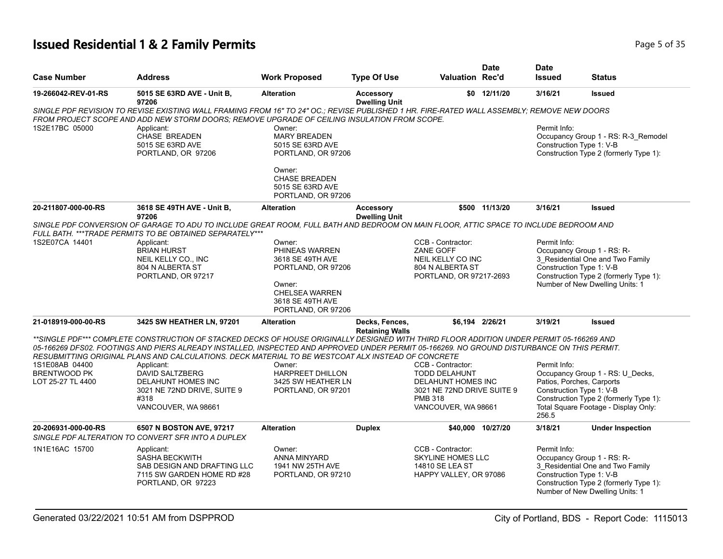# **Issued Residential 1 & 2 Family Permits Page 1 and 20 July 10 April 20 July 20 April 20 April 20 Page 5 of 35**

| <b>Case Number</b>  | Address                                                                                                                                                                                                                                                                                                                                                                                       | <b>Work Proposed</b>                                                      | <b>Type Of Use</b>                       | <b>Valuation Rec'd</b>                                                                     | <b>Date</b>       | <b>Date</b><br><b>Issued</b>             | Status                                                                                                                                      |
|---------------------|-----------------------------------------------------------------------------------------------------------------------------------------------------------------------------------------------------------------------------------------------------------------------------------------------------------------------------------------------------------------------------------------------|---------------------------------------------------------------------------|------------------------------------------|--------------------------------------------------------------------------------------------|-------------------|------------------------------------------|---------------------------------------------------------------------------------------------------------------------------------------------|
| 19-266042-REV-01-RS | 5015 SE 63RD AVE - Unit B,<br>97206                                                                                                                                                                                                                                                                                                                                                           | <b>Alteration</b>                                                         | <b>Accessory</b><br><b>Dwelling Unit</b> |                                                                                            | $$0$ 12/11/20     | 3/16/21                                  | <b>Issued</b>                                                                                                                               |
|                     | SINGLE PDF REVISION TO REVISE EXISTING WALL FRAMING FROM 16" TO 24" OC.; REVISE PUBLISHED 1 HR. FIRE-RATED WALL ASSEMBLY; REMOVE NEW DOORS<br>FROM PROJECT SCOPE AND ADD NEW STORM DOORS; REMOVE UPGRADE OF CEILING INSULATION FROM SCOPE.                                                                                                                                                    |                                                                           |                                          |                                                                                            |                   |                                          |                                                                                                                                             |
| 1S2E17BC 05000      | Applicant:<br><b>CHASE BREADEN</b><br>5015 SE 63RD AVE<br>PORTLAND, OR 97206                                                                                                                                                                                                                                                                                                                  | Owner:<br><b>MARY BREADEN</b><br>5015 SE 63RD AVE<br>PORTLAND, OR 97206   |                                          |                                                                                            |                   | Permit Info:<br>Construction Type 1: V-B | Occupancy Group 1 - RS: R-3_Remodel<br>Construction Type 2 (formerly Type 1):                                                               |
|                     |                                                                                                                                                                                                                                                                                                                                                                                               | Owner:<br><b>CHASE BREADEN</b><br>5015 SE 63RD AVE<br>PORTLAND, OR 97206  |                                          |                                                                                            |                   |                                          |                                                                                                                                             |
| 20-211807-000-00-RS | 3618 SE 49TH AVE - Unit B,<br>97206                                                                                                                                                                                                                                                                                                                                                           | <b>Alteration</b>                                                         | <b>Accessory</b><br><b>Dwelling Unit</b> |                                                                                            | \$500 11/13/20    | 3/16/21                                  | <b>Issued</b>                                                                                                                               |
|                     | SINGLE PDF CONVERSION OF GARAGE TO ADU TO INCLUDE GREAT ROOM, FULL BATH AND BEDROOM ON MAIN FLOOR, ATTIC SPACE TO INCLUDE BEDROOM AND<br>FULL BATH. ***TRADE PERMITS TO BE OBTAINED SEPARATELY***                                                                                                                                                                                             |                                                                           |                                          |                                                                                            |                   |                                          |                                                                                                                                             |
| 1S2E07CA 14401      | Applicant:                                                                                                                                                                                                                                                                                                                                                                                    | Owner:                                                                    |                                          | CCB - Contractor:                                                                          |                   | Permit Info:                             |                                                                                                                                             |
|                     | <b>BRIAN HURST</b>                                                                                                                                                                                                                                                                                                                                                                            | PHINEAS WARREN                                                            |                                          | ZANE GOFF                                                                                  |                   |                                          | Occupancy Group 1 - RS: R-                                                                                                                  |
|                     | NEIL KELLY CO., INC                                                                                                                                                                                                                                                                                                                                                                           | 3618 SE 49TH AVE                                                          |                                          | NEIL KELLY CO INC                                                                          |                   |                                          | 3 Residential One and Two Family                                                                                                            |
|                     | 804 N ALBERTA ST                                                                                                                                                                                                                                                                                                                                                                              | PORTLAND, OR 97206                                                        |                                          | 804 N ALBERTA ST                                                                           |                   | Construction Type 1: V-B                 |                                                                                                                                             |
|                     | PORTLAND, OR 97217                                                                                                                                                                                                                                                                                                                                                                            |                                                                           |                                          | PORTLAND, OR 97217-2693                                                                    |                   |                                          | Construction Type 2 (formerly Type 1):                                                                                                      |
|                     |                                                                                                                                                                                                                                                                                                                                                                                               | Owner:<br><b>CHELSEA WARREN</b><br>3618 SE 49TH AVE<br>PORTLAND, OR 97206 |                                          |                                                                                            |                   |                                          | Number of New Dwelling Units: 1                                                                                                             |
| 21-018919-000-00-RS | 3425 SW HEATHER LN, 97201                                                                                                                                                                                                                                                                                                                                                                     | <b>Alteration</b>                                                         | Decks, Fences,<br><b>Retaining Walls</b> |                                                                                            | \$6.194 2/26/21   | 3/19/21                                  | <b>Issued</b>                                                                                                                               |
|                     | **SINGLE PDF*** COMPLETE CONSTRUCTION OF STACKED DECKS OF HOUSE ORIGINALLY DESIGNED WITH THIRD FLOOR ADDITION UNDER PERMIT 05-166269 AND<br>05-166269 DFS02. FOOTINGS AND PIERS ALREADY INSTALLED, INSPECTED AND APPROVED UNDER PERMIT 05-166269. NO GROUND DISTURBANCE ON THIS PERMIT.<br>RESUBMITTING ORIGINAL PLANS AND CALCULATIONS. DECK MATERIAL TO BE WESTCOAT ALX INSTEAD OF CONCRETE |                                                                           |                                          |                                                                                            |                   |                                          |                                                                                                                                             |
| 1S1E08AB 04400      | Applicant:                                                                                                                                                                                                                                                                                                                                                                                    | Owner:                                                                    |                                          | CCB - Contractor:                                                                          |                   | Permit Info:                             |                                                                                                                                             |
| <b>BRENTWOOD PK</b> | <b>DAVID SALTZBERG</b>                                                                                                                                                                                                                                                                                                                                                                        | <b>HARPREET DHILLON</b>                                                   |                                          | <b>TODD DELAHUNT</b>                                                                       |                   |                                          | Occupancy Group 1 - RS: U Decks,                                                                                                            |
| LOT 25-27 TL 4400   | DELAHUNT HOMES INC                                                                                                                                                                                                                                                                                                                                                                            | 3425 SW HEATHER LN                                                        |                                          | DELAHUNT HOMES INC                                                                         |                   |                                          | Patios, Porches, Carports                                                                                                                   |
|                     | 3021 NE 72ND DRIVE, SUITE 9                                                                                                                                                                                                                                                                                                                                                                   | PORTLAND, OR 97201                                                        |                                          | 3021 NE 72ND DRIVE SUITE 9                                                                 |                   | Construction Type 1: V-B                 |                                                                                                                                             |
|                     | #318<br>VANCOUVER, WA 98661                                                                                                                                                                                                                                                                                                                                                                   |                                                                           |                                          | <b>PMB 318</b><br>VANCOUVER, WA 98661                                                      |                   | 256.5                                    | Construction Type 2 (formerly Type 1):<br>Total Square Footage - Display Only:                                                              |
| 20-206931-000-00-RS | 6507 N BOSTON AVE, 97217<br>SINGLE PDF ALTERATION TO CONVERT SFR INTO A DUPLEX                                                                                                                                                                                                                                                                                                                | <b>Alteration</b>                                                         | <b>Duplex</b>                            |                                                                                            | \$40,000 10/27/20 | 3/18/21                                  | <b>Under Inspection</b>                                                                                                                     |
| 1N1E16AC 15700      | Applicant:<br>SASHA BECKWITH<br>SAB DESIGN AND DRAFTING LLC<br>7115 SW GARDEN HOME RD #28<br>PORTLAND, OR 97223                                                                                                                                                                                                                                                                               | Owner:<br>ANNA MINYARD<br>1941 NW 25TH AVE<br>PORTLAND, OR 97210          |                                          | CCB - Contractor:<br><b>SKYLINE HOMES LLC</b><br>14810 SE LEA ST<br>HAPPY VALLEY, OR 97086 |                   | Permit Info:<br>Construction Type 1: V-B | Occupancy Group 1 - RS: R-<br>3_Residential One and Two Family<br>Construction Type 2 (formerly Type 1):<br>Number of New Dwelling Units: 1 |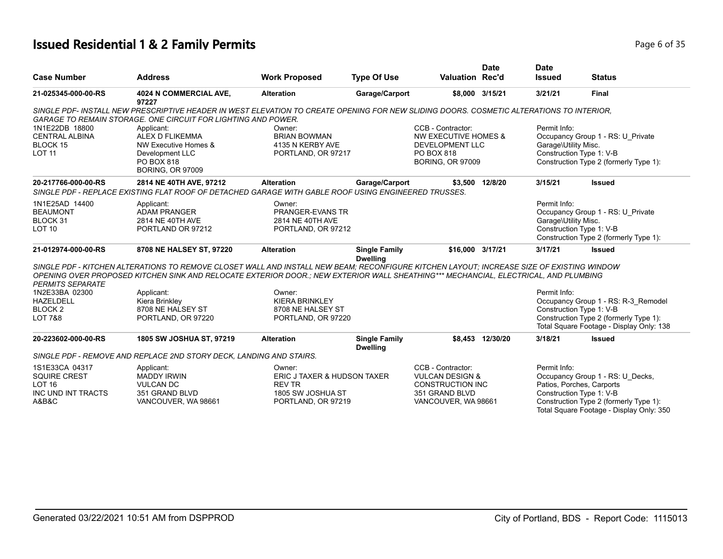## **Issued Residential 1 & 2 Family Permits Page 1 and 20 July 1999 6 0f 35**

| <b>Case Number</b>      |                                                                                                                                                                                                                                                                                  |                             |                                         | <b>Valuation Rec'd</b>     | <b>Date</b>      | <b>Date</b>               |                                                                                    |
|-------------------------|----------------------------------------------------------------------------------------------------------------------------------------------------------------------------------------------------------------------------------------------------------------------------------|-----------------------------|-----------------------------------------|----------------------------|------------------|---------------------------|------------------------------------------------------------------------------------|
|                         | <b>Address</b>                                                                                                                                                                                                                                                                   | <b>Work Proposed</b>        | <b>Type Of Use</b>                      |                            |                  | <b>Issued</b>             | <b>Status</b>                                                                      |
| 21-025345-000-00-RS     | 4024 N COMMERCIAL AVE,<br>97227                                                                                                                                                                                                                                                  | <b>Alteration</b>           | Garage/Carport                          |                            | \$8,000 3/15/21  | 3/21/21                   | <b>Final</b>                                                                       |
|                         | SINGLE PDF- INSTALL NEW PRESCRIPTIVE HEADER IN WEST ELEVATION TO CREATE OPENING FOR NEW SLIDING DOORS. COSMETIC ALTERATIONS TO INTERIOR.<br>GARAGE TO REMAIN STORAGE. ONE CIRCUIT FOR LIGHTING AND POWER.                                                                        |                             |                                         |                            |                  |                           |                                                                                    |
| 1N1E22DB 18800          | Applicant:                                                                                                                                                                                                                                                                       | Owner:                      |                                         | CCB - Contractor:          |                  | Permit Info:              |                                                                                    |
| <b>CENTRAL ALBINA</b>   | ALEX D FLIKEMMA                                                                                                                                                                                                                                                                  | <b>BRIAN BOWMAN</b>         |                                         | NW EXECUTIVE HOMES &       |                  |                           | Occupancy Group 1 - RS: U Private                                                  |
| BLOCK 15                | NW Executive Homes &                                                                                                                                                                                                                                                             | 4135 N KERBY AVE            |                                         | <b>DEVELOPMENT LLC</b>     |                  | Garage\Utility Misc.      |                                                                                    |
| <b>LOT 11</b>           | Development LLC                                                                                                                                                                                                                                                                  | PORTLAND, OR 97217          |                                         | PO BOX 818                 |                  | Construction Type 1: V-B  |                                                                                    |
|                         | PO BOX 818<br><b>BORING, OR 97009</b>                                                                                                                                                                                                                                            |                             |                                         | <b>BORING, OR 97009</b>    |                  |                           | Construction Type 2 (formerly Type 1):                                             |
| 20-217766-000-00-RS     | 2814 NE 40TH AVE, 97212                                                                                                                                                                                                                                                          | <b>Alteration</b>           | Garage/Carport                          |                            | \$3,500 12/8/20  | 3/15/21                   | <b>Issued</b>                                                                      |
|                         | SINGLE PDF - REPLACE EXISTING FLAT ROOF OF DETACHED GARAGE WITH GABLE ROOF USING ENGINEERED TRUSSES.                                                                                                                                                                             |                             |                                         |                            |                  |                           |                                                                                    |
| 1N1E25AD 14400          | Applicant:                                                                                                                                                                                                                                                                       | Owner:                      |                                         |                            |                  | Permit Info:              |                                                                                    |
| <b>BEAUMONT</b>         | <b>ADAM PRANGER</b>                                                                                                                                                                                                                                                              | PRANGER-EVANS TR            |                                         |                            |                  |                           | Occupancy Group 1 - RS: U_Private                                                  |
| BLOCK 31                | 2814 NE 40TH AVE                                                                                                                                                                                                                                                                 | 2814 NE 40TH AVE            |                                         |                            |                  | Garage\Utility Misc.      |                                                                                    |
| <b>LOT 10</b>           | PORTLAND OR 97212                                                                                                                                                                                                                                                                | PORTLAND, OR 97212          |                                         |                            |                  | Construction Type 1: V-B  |                                                                                    |
|                         |                                                                                                                                                                                                                                                                                  |                             |                                         |                            |                  |                           | Construction Type 2 (formerly Type 1):                                             |
| 21-012974-000-00-RS     | 8708 NE HALSEY ST, 97220                                                                                                                                                                                                                                                         | <b>Alteration</b>           | <b>Single Family</b><br><b>Dwelling</b> | \$16.000 3/17/21           |                  | 3/17/21                   | <b>Issued</b>                                                                      |
| <b>PERMITS SEPARATE</b> | SINGLE PDF - KITCHEN ALTERATIONS TO REMOVE CLOSET WALL AND INSTALL NEW BEAM; RECONFIGURE KITCHEN LAYOUT; INCREASE SIZE OF EXISTING WINDOW<br>OPENING OVER PROPOSED KITCHEN SINK AND RELOCATE EXTERIOR DOOR.; NEW EXTERIOR WALL SHEATHING*** MECHANCIAL, ELECTRICAL, AND PLUMBING |                             |                                         |                            |                  |                           |                                                                                    |
| 1N2E33BA 02300          | Applicant:                                                                                                                                                                                                                                                                       | Owner:                      |                                         |                            |                  | Permit Info:              |                                                                                    |
| <b>HAZELDELL</b>        | Kiera Brinkley                                                                                                                                                                                                                                                                   | <b>KIERA BRINKLEY</b>       |                                         |                            |                  |                           | Occupancy Group 1 - RS: R-3 Remodel                                                |
| <b>BLOCK2</b>           | 8708 NE HALSEY ST                                                                                                                                                                                                                                                                | 8708 NE HALSEY ST           |                                         |                            |                  | Construction Type 1: V-B  |                                                                                    |
| <b>LOT 7&amp;8</b>      | PORTLAND, OR 97220                                                                                                                                                                                                                                                               | PORTLAND, OR 97220          |                                         |                            |                  |                           | Construction Type 2 (formerly Type 1):                                             |
|                         |                                                                                                                                                                                                                                                                                  |                             |                                         |                            |                  |                           | Total Square Footage - Display Only: 138                                           |
| 20-223602-000-00-RS     | 1805 SW JOSHUA ST, 97219                                                                                                                                                                                                                                                         | <b>Alteration</b>           | <b>Single Family</b><br><b>Dwelling</b> |                            | \$8,453 12/30/20 | 3/18/21                   | <b>Issued</b>                                                                      |
|                         | SINGLE PDF - REMOVE AND REPLACE 2ND STORY DECK, LANDING AND STAIRS.                                                                                                                                                                                                              |                             |                                         |                            |                  |                           |                                                                                    |
| 1S1E33CA 04317          | Applicant:                                                                                                                                                                                                                                                                       | Owner:                      |                                         | CCB - Contractor:          |                  | Permit Info:              |                                                                                    |
| <b>SQUIRE CREST</b>     | <b>MADDY IRWIN</b>                                                                                                                                                                                                                                                               | ERIC J TAXER & HUDSON TAXER |                                         | <b>VULCAN DESIGN &amp;</b> |                  |                           | Occupancy Group 1 - RS: U_Decks,                                                   |
| <b>LOT 16</b>           | <b>VULCAN DC</b>                                                                                                                                                                                                                                                                 | <b>REV TR</b>               |                                         | <b>CONSTRUCTION INC</b>    |                  | Patios, Porches, Carports |                                                                                    |
| INC UND INT TRACTS      | 351 GRAND BLVD                                                                                                                                                                                                                                                                   | 1805 SW JOSHUA ST           |                                         | 351 GRAND BLVD             |                  | Construction Type 1: V-B  |                                                                                    |
| A&B&C                   | VANCOUVER, WA 98661                                                                                                                                                                                                                                                              | PORTLAND, OR 97219          |                                         | VANCOUVER, WA 98661        |                  |                           | Construction Type 2 (formerly Type 1):<br>Total Square Footage - Display Only: 350 |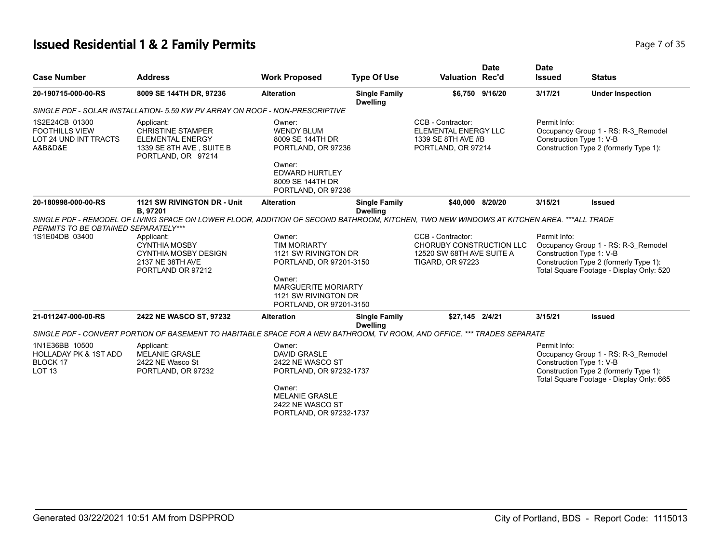# **Issued Residential 1 & 2 Family Permits Page 7 of 35 Page 7 of 35**

| <b>Case Number</b>                                                                  | <b>Address</b>                                                                                                                           | <b>Work Proposed</b>                                                                                                                                                        | <b>Type Of Use</b>                      | <b>Valuation Rec'd</b>                                                                                | <b>Date</b>     | <b>Date</b><br><b>Issued</b> | <b>Status</b>                                                                                                                                         |
|-------------------------------------------------------------------------------------|------------------------------------------------------------------------------------------------------------------------------------------|-----------------------------------------------------------------------------------------------------------------------------------------------------------------------------|-----------------------------------------|-------------------------------------------------------------------------------------------------------|-----------------|------------------------------|-------------------------------------------------------------------------------------------------------------------------------------------------------|
| 20-190715-000-00-RS                                                                 | 8009 SE 144TH DR, 97236                                                                                                                  | <b>Alteration</b>                                                                                                                                                           | <b>Single Family</b><br><b>Dwelling</b> |                                                                                                       | \$6,750 9/16/20 | 3/17/21                      | <b>Under Inspection</b>                                                                                                                               |
|                                                                                     | SINGLE PDF - SOLAR INSTALLATION- 5.59 KW PV ARRAY ON ROOF - NON-PRESCRIPTIVE                                                             |                                                                                                                                                                             |                                         |                                                                                                       |                 |                              |                                                                                                                                                       |
| 1S2E24CB 01300<br><b>FOOTHILLS VIEW</b><br>LOT 24 UND INT TRACTS<br>A&B&D&E         | Applicant:<br><b>CHRISTINE STAMPER</b><br><b>ELEMENTAL ENERGY</b><br>1339 SE 8TH AVE, SUITE B<br>PORTLAND, OR 97214                      | Owner:<br><b>WENDY BLUM</b><br>8009 SE 144TH DR<br>PORTLAND, OR 97236                                                                                                       |                                         | CCB - Contractor:<br>ELEMENTAL ENERGY LLC<br>1339 SE 8TH AVE #B<br>PORTLAND, OR 97214                 |                 | Permit Info:                 | Occupancy Group 1 - RS: R-3_Remodel<br>Construction Type 1: V-B<br>Construction Type 2 (formerly Type 1):                                             |
|                                                                                     |                                                                                                                                          | Owner:<br><b>EDWARD HURTLEY</b><br>8009 SE 144TH DR<br>PORTLAND, OR 97236                                                                                                   |                                         |                                                                                                       |                 |                              |                                                                                                                                                       |
| 20-180998-000-00-RS                                                                 | <b>1121 SW RIVINGTON DR - Unit</b><br>B, 97201                                                                                           | <b>Alteration</b>                                                                                                                                                           | <b>Single Family</b><br><b>Dwelling</b> | \$40.000 8/20/20                                                                                      |                 | 3/15/21                      | <b>Issued</b>                                                                                                                                         |
| PERMITS TO BE OBTAINED SEPARATELY***                                                | SINGLE PDF - REMODEL OF LIVING SPACE ON LOWER FLOOR, ADDITION OF SECOND BATHROOM, KITCHEN, TWO NEW WINDOWS AT KITCHEN AREA. ***ALL TRADE |                                                                                                                                                                             |                                         |                                                                                                       |                 |                              |                                                                                                                                                       |
| 1S1E04DB 03400                                                                      | Applicant:<br><b>CYNTHIA MOSBY</b><br>CYNTHIA MOSBY DESIGN<br>2137 NE 38TH AVE<br>PORTLAND OR 97212                                      | Owner:<br><b>TIM MORIARTY</b><br>1121 SW RIVINGTON DR<br>PORTLAND, OR 97201-3150<br>Owner:<br><b>MARGUERITE MORIARTY</b><br>1121 SW RIVINGTON DR<br>PORTLAND, OR 97201-3150 |                                         | CCB - Contractor:<br>CHORUBY CONSTRUCTION LLC<br>12520 SW 68TH AVE SUITE A<br><b>TIGARD, OR 97223</b> |                 | Permit Info:                 | Occupancy Group 1 - RS: R-3_Remodel<br>Construction Type 1: V-B<br>Construction Type 2 (formerly Type 1):<br>Total Square Footage - Display Only: 520 |
| 21-011247-000-00-RS                                                                 | 2422 NE WASCO ST, 97232                                                                                                                  | <b>Alteration</b>                                                                                                                                                           | <b>Single Family</b><br><b>Dwelling</b> | \$27,145 2/4/21                                                                                       |                 | 3/15/21                      | <b>Issued</b>                                                                                                                                         |
|                                                                                     | SINGLE PDF - CONVERT PORTION OF BASEMENT TO HABITABLE SPACE FOR A NEW BATHROOM, TV ROOM, AND OFFICE. *** TRADES SEPARATE                 |                                                                                                                                                                             |                                         |                                                                                                       |                 |                              |                                                                                                                                                       |
| 1N1E36BB 10500<br><b>HOLLADAY PK &amp; 1ST ADD</b><br>BLOCK 17<br>LOT <sub>13</sub> | Applicant:<br><b>MELANIE GRASLE</b><br>2422 NE Wasco St<br>PORTLAND, OR 97232                                                            | Owner:<br><b>DAVID GRASLE</b><br>2422 NE WASCO ST<br>PORTLAND, OR 97232-1737                                                                                                |                                         |                                                                                                       |                 | Permit Info:                 | Occupancy Group 1 - RS: R-3 Remodel<br>Construction Type 1: V-B<br>Construction Type 2 (formerly Type 1):<br>Total Square Footage - Display Only: 665 |
|                                                                                     |                                                                                                                                          | Owner:<br><b>MELANIE GRASLE</b><br>2422 NE WASCO ST<br>PORTLAND, OR 97232-1737                                                                                              |                                         |                                                                                                       |                 |                              |                                                                                                                                                       |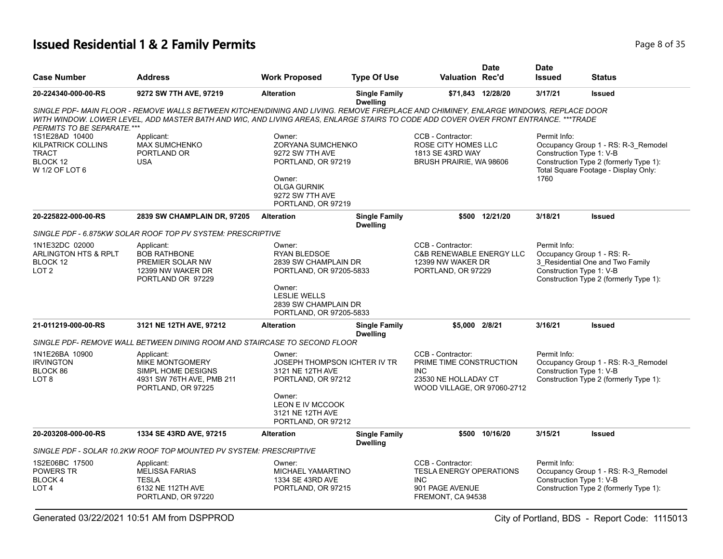## **Issued Residential 1 & 2 Family Permits Page 1 and 20 July 1999 8 0f 35**

| <b>Case Number</b>                                                                        | <b>Address</b>                                                                                                                                                                                                                                                               | <b>Work Proposed</b>                                                                                                                                            | <b>Type Of Use</b>                      | <b>Valuation Rec'd</b>                                                                                      | <b>Date</b>       | <b>Date</b><br><b>Issued</b>                                           | <b>Status</b>                                                                                                         |
|-------------------------------------------------------------------------------------------|------------------------------------------------------------------------------------------------------------------------------------------------------------------------------------------------------------------------------------------------------------------------------|-----------------------------------------------------------------------------------------------------------------------------------------------------------------|-----------------------------------------|-------------------------------------------------------------------------------------------------------------|-------------------|------------------------------------------------------------------------|-----------------------------------------------------------------------------------------------------------------------|
| 20-224340-000-00-RS                                                                       | 9272 SW 7TH AVE, 97219                                                                                                                                                                                                                                                       | <b>Alteration</b>                                                                                                                                               | <b>Single Family</b><br><b>Dwelling</b> |                                                                                                             | \$71,843 12/28/20 | 3/17/21                                                                | <b>Issued</b>                                                                                                         |
| PERMITS TO BE SEPARATE.***                                                                | SINGLE PDF- MAIN FLOOR - REMOVE WALLS BETWEEN KITCHEN/DINING AND LIVING. REMOVE FIREPLACE AND CHIMINEY, ENLARGE WINDOWS, REPLACE DOOR<br>WITH WINDOW. LOWER LEVEL, ADD MASTER BATH AND WIC, AND LIVING AREAS, ENLARGE STAIRS TO CODE ADD COVER OVER FRONT ENTRANCE. ***TRADE |                                                                                                                                                                 |                                         |                                                                                                             |                   |                                                                        |                                                                                                                       |
| 1S1E28AD 10400<br><b>KILPATRICK COLLINS</b><br><b>TRACT</b><br>BLOCK 12<br>W 1/2 OF LOT 6 | Applicant:<br><b>MAX SUMCHENKO</b><br>PORTLAND OR<br><b>USA</b>                                                                                                                                                                                                              | Owner:<br>ZORYANA SUMCHENKO<br>9272 SW 7TH AVE<br>PORTLAND, OR 97219<br>Owner:<br><b>OLGA GURNIK</b><br>9272 SW 7TH AVE<br>PORTLAND, OR 97219                   |                                         | CCB - Contractor:<br>ROSE CITY HOMES LLC<br>1813 SE 43RD WAY<br>BRUSH PRAIRIE, WA 98606                     |                   | Permit Info:<br>Construction Type 1: V-B<br>1760                       | Occupancy Group 1 - RS: R-3 Remodel<br>Construction Type 2 (formerly Type 1):<br>Total Square Footage - Display Only: |
| 20-225822-000-00-RS                                                                       | 2839 SW CHAMPLAIN DR, 97205                                                                                                                                                                                                                                                  | <b>Alteration</b>                                                                                                                                               | <b>Single Family</b><br><b>Dwelling</b> |                                                                                                             | \$500 12/21/20    | 3/18/21                                                                | <b>Issued</b>                                                                                                         |
|                                                                                           | SINGLE PDF - 6.875KW SOLAR ROOF TOP PV SYSTEM: PRESCRIPTIVE                                                                                                                                                                                                                  |                                                                                                                                                                 |                                         |                                                                                                             |                   |                                                                        |                                                                                                                       |
| 1N1E32DC 02000<br><b>ARLINGTON HTS &amp; RPLT</b><br>BLOCK 12<br>LOT <sub>2</sub>         | Applicant:<br><b>BOB RATHBONE</b><br>PREMIER SOLAR NW<br>12399 NW WAKER DR<br>PORTLAND OR 97229                                                                                                                                                                              | Owner:<br><b>RYAN BLEDSOE</b><br>2839 SW CHAMPLAIN DR<br>PORTLAND, OR 97205-5833<br>Owner:<br><b>LESLIE WELLS</b>                                               |                                         | CCB - Contractor:<br><b>C&amp;B RENEWABLE ENERGY LLC</b><br>12399 NW WAKER DR<br>PORTLAND, OR 97229         |                   | Permit Info:<br>Occupancy Group 1 - RS: R-<br>Construction Type 1: V-B | 3_Residential One and Two Family<br>Construction Type 2 (formerly Type 1):                                            |
|                                                                                           |                                                                                                                                                                                                                                                                              | 2839 SW CHAMPLAIN DR<br>PORTLAND, OR 97205-5833                                                                                                                 |                                         |                                                                                                             |                   |                                                                        |                                                                                                                       |
| 21-011219-000-00-RS                                                                       | 3121 NE 12TH AVE, 97212                                                                                                                                                                                                                                                      | <b>Alteration</b>                                                                                                                                               | <b>Single Family</b><br><b>Dwelling</b> | \$5,000 2/8/21                                                                                              |                   | 3/16/21                                                                | <b>Issued</b>                                                                                                         |
|                                                                                           | SINGLE PDF- REMOVE WALL BETWEEN DINING ROOM AND STAIRCASE TO SECOND FLOOR                                                                                                                                                                                                    |                                                                                                                                                                 |                                         |                                                                                                             |                   |                                                                        |                                                                                                                       |
| 1N1E26BA 10900<br><b>IRVINGTON</b><br>BLOCK 86<br>LOT 8                                   | Applicant:<br>MIKE MONTGOMERY<br>SIMPL HOME DESIGNS<br>4931 SW 76TH AVE, PMB 211<br>PORTLAND, OR 97225                                                                                                                                                                       | Owner:<br>JOSEPH THOMPSON ICHTER IV TR<br>3121 NE 12TH AVE<br>PORTLAND, OR 97212<br>Owner:<br><b>LEON E IV MCCOOK</b><br>3121 NE 12TH AVE<br>PORTLAND, OR 97212 |                                         | CCB - Contractor:<br>PRIME TIME CONSTRUCTION<br>INC.<br>23530 NE HOLLADAY CT<br>WOOD VILLAGE, OR 97060-2712 |                   | Permit Info:<br>Construction Type 1: V-B                               | Occupancy Group 1 - RS: R-3_Remodel<br>Construction Type 2 (formerly Type 1):                                         |
| 20-203208-000-00-RS                                                                       | 1334 SE 43RD AVE, 97215                                                                                                                                                                                                                                                      | <b>Alteration</b>                                                                                                                                               | <b>Single Family</b><br><b>Dwelling</b> |                                                                                                             | \$500 10/16/20    | 3/15/21                                                                | <b>Issued</b>                                                                                                         |
|                                                                                           | SINGLE PDF - SOLAR 10.2KW ROOF TOP MOUNTED PV SYSTEM: PRESCRIPTIVE                                                                                                                                                                                                           |                                                                                                                                                                 |                                         |                                                                                                             |                   |                                                                        |                                                                                                                       |
| 1S2E06BC 17500<br>POWERS TR<br>BLOCK 4<br>LOT 4                                           | Applicant:<br><b>MELISSA FARIAS</b><br><b>TESLA</b><br>6132 NE 112TH AVE<br>PORTLAND, OR 97220                                                                                                                                                                               | Owner:<br><b>MICHAEL YAMARTINO</b><br>1334 SE 43RD AVE<br>PORTLAND, OR 97215                                                                                    |                                         | CCB - Contractor:<br><b>TESLA ENERGY OPERATIONS</b><br>INC.<br>901 PAGE AVENUE<br>FREMONT, CA 94538         |                   | Permit Info:<br>Construction Type 1: V-B                               | Occupancy Group 1 - RS: R-3_Remodel<br>Construction Type 2 (formerly Type 1):                                         |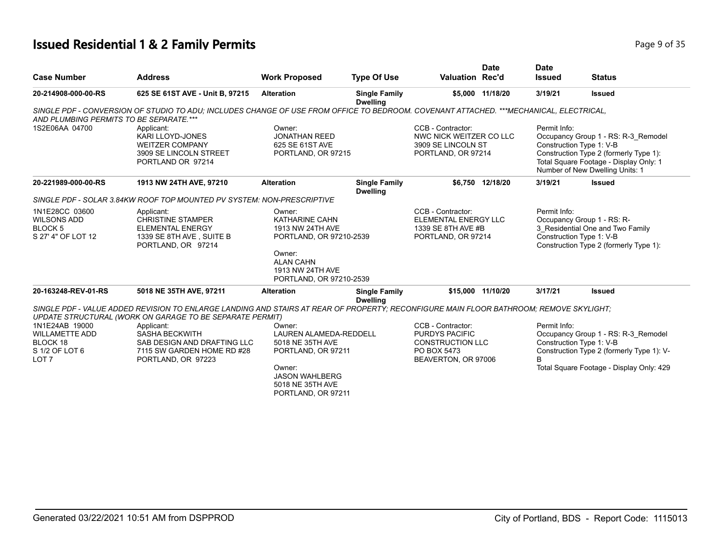#### **Issued Residential 1 & 2 Family Permits Page 1 and 2018 12 Family Page 9 of 35**

|                         |                |                      |                    |                        |             |                              |               | - |
|-------------------------|----------------|----------------------|--------------------|------------------------|-------------|------------------------------|---------------|---|
| Case Number             | <b>Address</b> | <b>Work Proposed</b> | <b>Type Of Use</b> | <b>Valuation Rec'd</b> | <b>Date</b> | <b>Date</b><br><b>Issued</b> | <b>Status</b> |   |
| -- - - ---- --- -- -- - |                |                      | - - -<br>. .       |                        |             |                              |               |   |

| 625 SE 61ST AVE - Unit B, 97215                                                                                     | <b>Alteration</b>                                                                                    | <b>Single Family</b>                                                                                                                                   |                                                                                                                                             |                                            | 3/19/21                                                                                                                                                                                                                                                | <b>Issued</b>                                                                                                                                                                                                                                                                                                                                                                        |
|---------------------------------------------------------------------------------------------------------------------|------------------------------------------------------------------------------------------------------|--------------------------------------------------------------------------------------------------------------------------------------------------------|---------------------------------------------------------------------------------------------------------------------------------------------|--------------------------------------------|--------------------------------------------------------------------------------------------------------------------------------------------------------------------------------------------------------------------------------------------------------|--------------------------------------------------------------------------------------------------------------------------------------------------------------------------------------------------------------------------------------------------------------------------------------------------------------------------------------------------------------------------------------|
|                                                                                                                     |                                                                                                      |                                                                                                                                                        |                                                                                                                                             |                                            |                                                                                                                                                                                                                                                        |                                                                                                                                                                                                                                                                                                                                                                                      |
| Applicant:<br>KARI LLOYD-JONES<br><b>WEITZER COMPANY</b><br>3909 SE LINCOLN STREET<br>PORTLAND OR 97214             | Owner:<br><b>JONATHAN REED</b><br>625 SE 61ST AVE                                                    |                                                                                                                                                        | CCB - Contractor:                                                                                                                           |                                            | Permit Info:                                                                                                                                                                                                                                           | Occupancy Group 1 - RS: R-3 Remodel<br>Construction Type 2 (formerly Type 1):<br>Total Square Footage - Display Only: 1<br>Number of New Dwelling Units: 1                                                                                                                                                                                                                           |
| 1913 NW 24TH AVE, 97210                                                                                             | <b>Alteration</b>                                                                                    | <b>Single Family</b><br><b>Dwelling</b>                                                                                                                |                                                                                                                                             |                                            | 3/19/21                                                                                                                                                                                                                                                | <b>Issued</b>                                                                                                                                                                                                                                                                                                                                                                        |
|                                                                                                                     |                                                                                                      |                                                                                                                                                        |                                                                                                                                             |                                            |                                                                                                                                                                                                                                                        |                                                                                                                                                                                                                                                                                                                                                                                      |
| Applicant:<br><b>CHRISTINE STAMPER</b><br><b>ELEMENTAL ENERGY</b><br>1339 SE 8TH AVE, SUITE B<br>PORTLAND, OR 97214 | Owner:<br>KATHARINE CAHN<br>1913 NW 24TH AVE                                                         |                                                                                                                                                        | CCB - Contractor:                                                                                                                           |                                            | Permit Info:                                                                                                                                                                                                                                           | Occupancy Group 1 - RS: R-<br>3 Residential One and Two Family<br>Construction Type 2 (formerly Type 1):                                                                                                                                                                                                                                                                             |
|                                                                                                                     | <b>ALAN CAHN</b><br>1913 NW 24TH AVE                                                                 |                                                                                                                                                        |                                                                                                                                             |                                            |                                                                                                                                                                                                                                                        |                                                                                                                                                                                                                                                                                                                                                                                      |
| 5018 NE 35TH AVE, 97211                                                                                             | <b>Alteration</b>                                                                                    | <b>Single Family</b><br><b>Dwelling</b>                                                                                                                |                                                                                                                                             |                                            | 3/17/21                                                                                                                                                                                                                                                | <b>Issued</b>                                                                                                                                                                                                                                                                                                                                                                        |
|                                                                                                                     |                                                                                                      |                                                                                                                                                        |                                                                                                                                             |                                            |                                                                                                                                                                                                                                                        |                                                                                                                                                                                                                                                                                                                                                                                      |
|                                                                                                                     |                                                                                                      |                                                                                                                                                        |                                                                                                                                             |                                            |                                                                                                                                                                                                                                                        |                                                                                                                                                                                                                                                                                                                                                                                      |
|                                                                                                                     |                                                                                                      |                                                                                                                                                        |                                                                                                                                             |                                            |                                                                                                                                                                                                                                                        | Occupancy Group 1 - RS: R-3_Remodel                                                                                                                                                                                                                                                                                                                                                  |
| SAB DESIGN AND DRAFTING LLC                                                                                         | 5018 NE 35TH AVE                                                                                     |                                                                                                                                                        |                                                                                                                                             |                                            |                                                                                                                                                                                                                                                        |                                                                                                                                                                                                                                                                                                                                                                                      |
| 7115 SW GARDEN HOME RD #28                                                                                          |                                                                                                      |                                                                                                                                                        | PO BOX 5473                                                                                                                                 |                                            | R                                                                                                                                                                                                                                                      | Construction Type 2 (formerly Type 1): V-                                                                                                                                                                                                                                                                                                                                            |
|                                                                                                                     | Owner:<br><b>JASON WAHLBERG</b><br>5018 NE 35TH AVE<br>PORTLAND, OR 97211                            |                                                                                                                                                        |                                                                                                                                             |                                            |                                                                                                                                                                                                                                                        | Total Square Footage - Display Only: 429                                                                                                                                                                                                                                                                                                                                             |
|                                                                                                                     | AND PLUMBING PERMITS TO BE SEPARATE.***<br>Applicant:<br><b>SASHA BECKWITH</b><br>PORTLAND, OR 97223 | SINGLE PDF - SOLAR 3.84KW ROOF TOP MOUNTED PV SYSTEM: NON-PRESCRIPTIVE<br>Owner:<br>UPDATE STRUCTURAL (WORK ON GARAGE TO BE SEPARATE PERMIT)<br>Owner: | <b>Dwelling</b><br>PORTLAND, OR 97215<br>PORTLAND, OR 97210-2539<br>PORTLAND, OR 97210-2539<br>LAUREN ALAMEDA-REDDELL<br>PORTLAND, OR 97211 | CCB - Contractor:<br><b>PURDYS PACIFIC</b> | \$5,000 11/18/20<br>NWC NICK WEITZER CO LLC<br>3909 SE LINCOLN ST<br>PORTLAND, OR 97214<br>\$6.750 12/18/20<br>ELEMENTAL ENERGY LLC<br>1339 SE 8TH AVE #B<br>PORTLAND, OR 97214<br>\$15,000 11/10/20<br><b>CONSTRUCTION LLC</b><br>BEAVERTON, OR 97006 | SINGLE PDF - CONVERSION OF STUDIO TO ADU; INCLUDES CHANGE OF USE FROM OFFICE TO BEDROOM. COVENANT ATTACHED. ***MECHANICAL, ELECTRICAL,<br>Construction Type 1: V-B<br>Construction Type 1: V-B<br>SINGLE PDF - VALUE ADDED REVISION TO ENLARGE LANDING AND STAIRS AT REAR OF PROPERTY; RECONFIGURE MAIN FLOOR BATHROOM; REMOVE SKYLIGHT;<br>Permit Info:<br>Construction Type 1: V-B |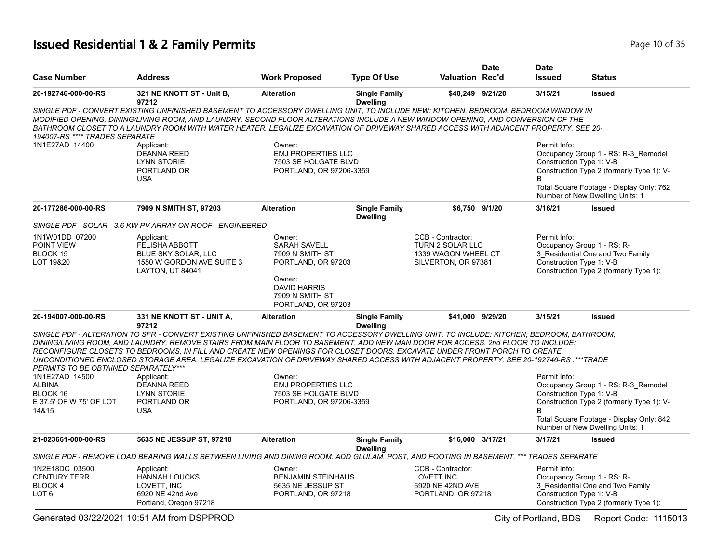## **Issued Residential 1 & 2 Family Permits Page 10 of 35 Page 10 of 35**

|                                      |                                                                                                                                                                                                                                                                                                                                                                                                                                                                                                                                                 |                                                                              |                                         |                                              | <b>Date</b> | <b>Date</b>              |                                                                                  |
|--------------------------------------|-------------------------------------------------------------------------------------------------------------------------------------------------------------------------------------------------------------------------------------------------------------------------------------------------------------------------------------------------------------------------------------------------------------------------------------------------------------------------------------------------------------------------------------------------|------------------------------------------------------------------------------|-----------------------------------------|----------------------------------------------|-------------|--------------------------|----------------------------------------------------------------------------------|
| <b>Case Number</b>                   | <b>Address</b>                                                                                                                                                                                                                                                                                                                                                                                                                                                                                                                                  | <b>Work Proposed</b>                                                         | <b>Type Of Use</b>                      | <b>Valuation Rec'd</b>                       |             | <b>Issued</b>            | <b>Status</b>                                                                    |
| 20-192746-000-00-RS                  | 321 NE KNOTT ST - Unit B,<br>97212                                                                                                                                                                                                                                                                                                                                                                                                                                                                                                              | <b>Alteration</b>                                                            | <b>Single Family</b><br><b>Dwelling</b> | \$40,249 9/21/20                             |             | 3/15/21                  | <b>Issued</b>                                                                    |
| 194007-RS **** TRADES SEPARATE       | SINGLE PDF - CONVERT EXISTING UNFINISHED BASEMENT TO ACCESSORY DWELLING UNIT, TO INCLUDE NEW: KITCHEN, BEDROOM, BEDROOM WINDOW IN<br>MODIFIED OPENING, DINING/LIVING ROOM, AND LAUNDRY. SECOND FLOOR ALTERATIONS INCLUDE A NEW WINDOW OPENING, AND CONVERSION OF THE<br>BATHROOM CLOSET TO A LAUNDRY ROOM WITH WATER HEATER. LEGALIZE EXCAVATION OF DRIVEWAY SHARED ACCESS WITH ADJACENT PROPERTY. SEE 20-                                                                                                                                      |                                                                              |                                         |                                              |             |                          |                                                                                  |
| 1N1E27AD 14400                       | Applicant:                                                                                                                                                                                                                                                                                                                                                                                                                                                                                                                                      | Owner:                                                                       |                                         |                                              |             | Permit Info:             |                                                                                  |
|                                      | <b>DEANNA REED</b><br>LYNN STORIE<br>PORTLAND OR<br><b>USA</b>                                                                                                                                                                                                                                                                                                                                                                                                                                                                                  | <b>EMJ PROPERTIES LLC</b><br>7503 SE HOLGATE BLVD<br>PORTLAND, OR 97206-3359 |                                         |                                              |             | Construction Type 1: V-B | Occupancy Group 1 - RS: R-3_Remodel<br>Construction Type 2 (formerly Type 1): V- |
|                                      |                                                                                                                                                                                                                                                                                                                                                                                                                                                                                                                                                 |                                                                              |                                         |                                              |             |                          | Total Square Footage - Display Only: 762<br>Number of New Dwelling Units: 1      |
| 20-177286-000-00-RS                  | 7909 N SMITH ST, 97203                                                                                                                                                                                                                                                                                                                                                                                                                                                                                                                          | <b>Alteration</b>                                                            | <b>Single Family</b><br><b>Dwelling</b> | \$6,750 9/1/20                               |             | 3/16/21                  | <b>Issued</b>                                                                    |
|                                      | SINGLE PDF - SOLAR - 3.6 KW PV ARRAY ON ROOF - ENGINEERED                                                                                                                                                                                                                                                                                                                                                                                                                                                                                       |                                                                              |                                         |                                              |             |                          |                                                                                  |
| 1N1W01DD 07200<br>POINT VIEW         | Applicant:<br>FELISHA ABBOTT                                                                                                                                                                                                                                                                                                                                                                                                                                                                                                                    | Owner:<br><b>SARAH SAVELL</b>                                                |                                         | CCB - Contractor:<br><b>TURN 2 SOLAR LLC</b> |             | Permit Info:             | Occupancy Group 1 - RS: R-                                                       |
| BLOCK 15<br>LOT 19&20                | BLUE SKY SOLAR, LLC<br>1550 W GORDON AVE SUITE 3<br>LAYTON, UT 84041                                                                                                                                                                                                                                                                                                                                                                                                                                                                            | 7909 N SMITH ST<br>PORTLAND, OR 97203                                        |                                         | 1339 WAGON WHEEL CT<br>SILVERTON, OR 97381   |             | Construction Type 1: V-B | 3_Residential One and Two Family<br>Construction Type 2 (formerly Type 1):       |
|                                      |                                                                                                                                                                                                                                                                                                                                                                                                                                                                                                                                                 | Owner:<br><b>DAVID HARRIS</b><br>7909 N SMITH ST<br>PORTLAND, OR 97203       |                                         |                                              |             |                          |                                                                                  |
| 20-194007-000-00-RS                  | 331 NE KNOTT ST - UNIT A,<br>97212                                                                                                                                                                                                                                                                                                                                                                                                                                                                                                              | <b>Alteration</b>                                                            | <b>Single Family</b><br><b>Dwelling</b> | \$41,000 9/29/20                             |             | 3/15/21                  | <b>Issued</b>                                                                    |
| PERMITS TO BE OBTAINED SEPARATELY*** | SINGLE PDF - ALTERATION TO SFR - CONVERT EXISTING UNFINISHED BASEMENT TO ACCESSORY DWELLING UNIT. TO INCLUDE: KITCHEN, BEDROOM, BATHROOM,<br>DINING/LIVING ROOM, AND LAUNDRY. REMOVE STAIRS FROM MAIN FLOOR TO BASEMENT, ADD NEW MAN DOOR FOR ACCESS. 2nd FLOOR TO INCLUDE:<br>RECONFIGURE CLOSETS TO BEDROOMS. IN FILL AND CREATE NEW OPENINGS FOR CLOSET DOORS. EXCAVATE UNDER FRONT PORCH TO CREATE<br>UNCONDITIONED ENCLOSED STORAGE AREA. LEGALIZE EXCAVATION OF DRIVEWAY SHARED ACCESS WITH ADJACENT PROPERTY. SEE 20-192746-RS. ***TRADE |                                                                              |                                         |                                              |             |                          |                                                                                  |
| 1N1E27AD 14500                       | Applicant:                                                                                                                                                                                                                                                                                                                                                                                                                                                                                                                                      | Owner:                                                                       |                                         |                                              |             | Permit Info:             |                                                                                  |
| <b>ALBINA</b>                        | DEANNA REED                                                                                                                                                                                                                                                                                                                                                                                                                                                                                                                                     | <b>EMJ PROPERTIES LLC</b>                                                    |                                         |                                              |             |                          | Occupancy Group 1 - RS: R-3_Remodel                                              |
| BLOCK 16                             | LYNN STORIE                                                                                                                                                                                                                                                                                                                                                                                                                                                                                                                                     | 7503 SE HOLGATE BLVD                                                         |                                         |                                              |             |                          | Construction Type 1: V-B                                                         |
| E 37.5' OF W 75' OF LOT<br>14&15     | PORTLAND OR<br><b>USA</b>                                                                                                                                                                                                                                                                                                                                                                                                                                                                                                                       | PORTLAND, OR 97206-3359                                                      |                                         |                                              |             | <sub>R</sub>             | Construction Type 2 (formerly Type 1): V-                                        |
|                                      |                                                                                                                                                                                                                                                                                                                                                                                                                                                                                                                                                 |                                                                              |                                         |                                              |             |                          | Total Square Footage - Display Only: 842<br>Number of New Dwelling Units: 1      |
| 21-023661-000-00-RS                  | 5635 NE JESSUP ST, 97218                                                                                                                                                                                                                                                                                                                                                                                                                                                                                                                        | <b>Alteration</b>                                                            | <b>Single Family</b><br><b>Dwelling</b> | \$16,000 3/17/21                             |             | 3/17/21                  | <b>Issued</b>                                                                    |
|                                      | SINGLE PDF - REMOVE LOAD BEARING WALLS BETWEEN LIVING AND DINING ROOM. ADD GLULAM, POST, AND FOOTING IN BASEMENT. ***                                                                                                                                                                                                                                                                                                                                                                                                                           |                                                                              |                                         |                                              |             | <b>TRADES SEPARATE</b>   |                                                                                  |
| 1N2E18DC 03500                       | Applicant:                                                                                                                                                                                                                                                                                                                                                                                                                                                                                                                                      | Owner:                                                                       |                                         | CCB - Contractor:                            |             | Permit Info:             |                                                                                  |
| <b>CENTURY TERR</b>                  | <b>HANNAH LOUCKS</b>                                                                                                                                                                                                                                                                                                                                                                                                                                                                                                                            | <b>BENJAMIN STEINHAUS</b>                                                    |                                         | <b>LOVETT INC</b>                            |             |                          | Occupancy Group 1 - RS: R-                                                       |
| BLOCK 4                              | LOVETT. INC                                                                                                                                                                                                                                                                                                                                                                                                                                                                                                                                     | 5635 NE JESSUP ST                                                            |                                         | 6920 NE 42ND AVE                             |             |                          | 3 Residential One and Two Family                                                 |
| LOT 6                                | 6920 NE 42nd Ave<br>Portland, Oregon 97218                                                                                                                                                                                                                                                                                                                                                                                                                                                                                                      | PORTLAND, OR 97218                                                           |                                         | PORTLAND, OR 97218                           |             |                          | Construction Type 1: V-B<br>Construction Type 2 (formerly Type 1):               |

Generated 03/22/2021 10:51 AM from DSPPROD City of Portland, BDS - Report Code: 1115013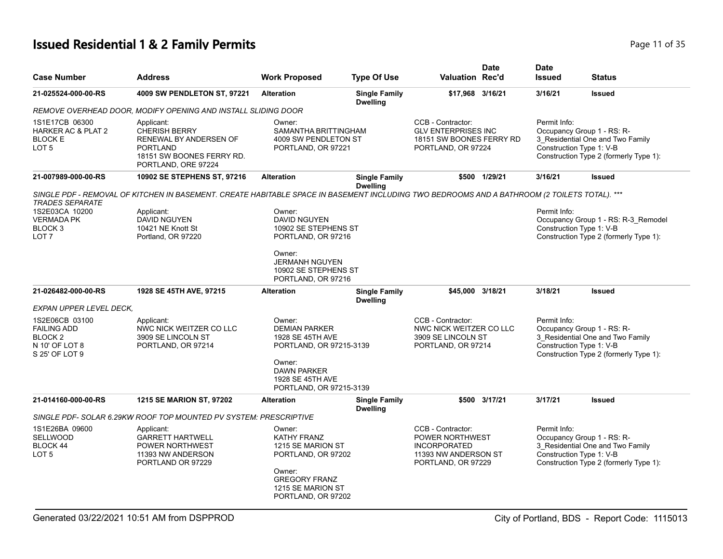# **Issued Residential 1 & 2 Family Permits Page 11 of 35 Page 11 of 35**

| <b>Case Number</b>                                                                                      | <b>Address</b>                                                                                                                               | <b>Work Proposed</b>                                                                                                                                         | <b>Type Of Use</b>                      | <b>Valuation Rec'd</b>                                                                                    | Date          | <b>Date</b><br><b>Issued</b>             | <b>Status</b>                                                                                            |
|---------------------------------------------------------------------------------------------------------|----------------------------------------------------------------------------------------------------------------------------------------------|--------------------------------------------------------------------------------------------------------------------------------------------------------------|-----------------------------------------|-----------------------------------------------------------------------------------------------------------|---------------|------------------------------------------|----------------------------------------------------------------------------------------------------------|
| 21-025524-000-00-RS                                                                                     | 4009 SW PENDLETON ST, 97221                                                                                                                  | <b>Alteration</b>                                                                                                                                            | <b>Single Family</b><br><b>Dwelling</b> | \$17,968 3/16/21                                                                                          |               | 3/16/21                                  | <b>Issued</b>                                                                                            |
|                                                                                                         | REMOVE OVERHEAD DOOR, MODIFY OPENING AND INSTALL SLIDING DOOR                                                                                |                                                                                                                                                              |                                         |                                                                                                           |               |                                          |                                                                                                          |
| 1S1E17CB 06300<br>HARKER AC & PLAT 2<br><b>BLOCK E</b><br>LOT <sub>5</sub>                              | Applicant:<br><b>CHERISH BERRY</b><br>RENEWAL BY ANDERSEN OF<br><b>PORTLAND</b><br>18151 SW BOONES FERRY RD.<br>PORTLAND, ORE 97224          | Owner:<br>SAMANTHA BRITTINGHAM<br>4009 SW PENDLETON ST<br>PORTLAND, OR 97221                                                                                 |                                         | CCB - Contractor:<br><b>GLV ENTERPRISES INC</b><br>18151 SW BOONES FERRY RD<br>PORTLAND, OR 97224         |               | Permit Info:<br>Construction Type 1: V-B | Occupancy Group 1 - RS: R-<br>3_Residential One and Two Family<br>Construction Type 2 (formerly Type 1): |
| 21-007989-000-00-RS                                                                                     | 10902 SE STEPHENS ST, 97216                                                                                                                  | <b>Alteration</b>                                                                                                                                            | <b>Single Family</b><br><b>Dwelling</b> |                                                                                                           | \$500 1/29/21 | 3/16/21                                  | <b>Issued</b>                                                                                            |
|                                                                                                         | SINGLE PDF - REMOVAL OF KITCHEN IN BASEMENT. CREATE HABITABLE SPACE IN BASEMENT INCLUDING TWO BEDROOMS AND A BATHROOM (2 TOILETS TOTAL). *** |                                                                                                                                                              |                                         |                                                                                                           |               |                                          |                                                                                                          |
| <b>TRADES SEPARATE</b><br>1S2E03CA 10200<br><b>VERMADA PK</b><br>BLOCK <sub>3</sub><br>LOT <sub>7</sub> | Applicant:<br>DAVID NGUYEN<br>10421 NE Knott St<br>Portland, OR 97220                                                                        | Owner:<br>DAVID NGUYEN<br>10902 SE STEPHENS ST<br>PORTLAND, OR 97216<br>Owner:<br><b>JERMANH NGUYEN</b>                                                      |                                         |                                                                                                           |               | Permit Info:<br>Construction Type 1: V-B | Occupancy Group 1 - RS: R-3 Remodel<br>Construction Type 2 (formerly Type 1):                            |
|                                                                                                         |                                                                                                                                              | 10902 SE STEPHENS ST<br>PORTLAND, OR 97216                                                                                                                   |                                         |                                                                                                           |               |                                          |                                                                                                          |
| 21-026482-000-00-RS                                                                                     | 1928 SE 45TH AVE, 97215                                                                                                                      | <b>Alteration</b>                                                                                                                                            | <b>Single Family</b><br><b>Dwelling</b> | \$45,000 3/18/21                                                                                          |               | 3/18/21                                  | <b>Issued</b>                                                                                            |
| EXPAN UPPER LEVEL DECK.                                                                                 |                                                                                                                                              |                                                                                                                                                              |                                         |                                                                                                           |               |                                          |                                                                                                          |
| 1S2E06CB 03100<br><b>FAILING ADD</b><br>BLOCK <sub>2</sub><br>N 10' OF LOT 8<br>S 25' OF LOT 9          | Applicant:<br>NWC NICK WEITZER CO LLC<br>3909 SE LINCOLN ST<br>PORTLAND, OR 97214                                                            | Owner:<br><b>DEMIAN PARKER</b><br>1928 SE 45TH AVE<br>PORTLAND, OR 97215-3139<br>Owner:<br><b>DAWN PARKER</b><br>1928 SE 45TH AVE<br>PORTLAND, OR 97215-3139 |                                         | CCB - Contractor:<br>NWC NICK WEITZER CO LLC<br>3909 SE LINCOLN ST<br>PORTLAND, OR 97214                  |               | Permit Info:<br>Construction Type 1: V-B | Occupancy Group 1 - RS: R-<br>3 Residential One and Two Family<br>Construction Type 2 (formerly Type 1): |
| 21-014160-000-00-RS                                                                                     | <b>1215 SE MARION ST, 97202</b>                                                                                                              | <b>Alteration</b>                                                                                                                                            | <b>Single Family</b><br><b>Dwelling</b> |                                                                                                           | \$500 3/17/21 | 3/17/21                                  | <b>Issued</b>                                                                                            |
|                                                                                                         | SINGLE PDF- SOLAR 6.29KW ROOF TOP MOUNTED PV SYSTEM: PRESCRIPTIVE                                                                            |                                                                                                                                                              |                                         |                                                                                                           |               |                                          |                                                                                                          |
| 1S1E26BA 09600<br>SELLWOOD<br>BLOCK 44<br>LOT <sub>5</sub>                                              | Applicant:<br><b>GARRETT HARTWELL</b><br>POWER NORTHWEST<br>11393 NW ANDERSON<br>PORTLAND OR 97229                                           | Owner:<br>KATHY FRANZ<br>1215 SE MARION ST<br>PORTLAND, OR 97202<br>Owner:<br><b>GREGORY FRANZ</b><br>1215 SE MARION ST<br>PORTLAND, OR 97202                |                                         | CCB - Contractor:<br>POWER NORTHWEST<br><b>INCORPORATED</b><br>11393 NW ANDERSON ST<br>PORTLAND, OR 97229 |               | Permit Info:<br>Construction Type 1: V-B | Occupancy Group 1 - RS: R-<br>3 Residential One and Two Family<br>Construction Type 2 (formerly Type 1): |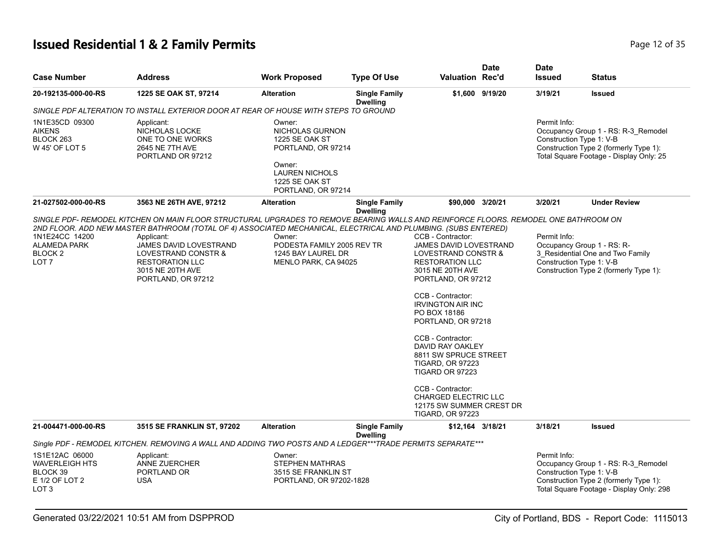# **Issued Residential 1 & 2 Family Permits Page 12 of 35 Page 12 of 35**

| <b>Case Number</b>                                                                        | <b>Address</b>                                                                                                                                                                                                                                                                                                                                                                           | <b>Work Proposed</b>                                                                                                                                       | <b>Type Of Use</b>                      | <b>Valuation Rec'd</b>                                                                                                                                                                                                                                                                                                                                                                                                                            | <b>Date</b>     | <b>Date</b><br><b>Issued</b>             | <b>Status</b>                                                                                                             |
|-------------------------------------------------------------------------------------------|------------------------------------------------------------------------------------------------------------------------------------------------------------------------------------------------------------------------------------------------------------------------------------------------------------------------------------------------------------------------------------------|------------------------------------------------------------------------------------------------------------------------------------------------------------|-----------------------------------------|---------------------------------------------------------------------------------------------------------------------------------------------------------------------------------------------------------------------------------------------------------------------------------------------------------------------------------------------------------------------------------------------------------------------------------------------------|-----------------|------------------------------------------|---------------------------------------------------------------------------------------------------------------------------|
| 20-192135-000-00-RS                                                                       | 1225 SE OAK ST, 97214                                                                                                                                                                                                                                                                                                                                                                    | <b>Alteration</b>                                                                                                                                          | <b>Single Family</b><br><b>Dwelling</b> |                                                                                                                                                                                                                                                                                                                                                                                                                                                   | \$1,600 9/19/20 | 3/19/21                                  | <b>Issued</b>                                                                                                             |
|                                                                                           | SINGLE PDF ALTERATION TO INSTALL EXTERIOR DOOR AT REAR OF HOUSE WITH STEPS TO GROUND                                                                                                                                                                                                                                                                                                     |                                                                                                                                                            |                                         |                                                                                                                                                                                                                                                                                                                                                                                                                                                   |                 |                                          |                                                                                                                           |
| 1N1E35CD 09300<br><b>AIKENS</b><br>BLOCK 263<br>W 45' OF LOT 5                            | Applicant:<br>NICHOLAS LOCKE<br>ONE TO ONE WORKS<br>2645 NE 7TH AVE<br>PORTLAND OR 97212                                                                                                                                                                                                                                                                                                 | Owner:<br>NICHOLAS GURNON<br><b>1225 SE OAK ST</b><br>PORTLAND, OR 97214<br>Owner:<br><b>LAUREN NICHOLS</b><br><b>1225 SE OAK ST</b><br>PORTLAND, OR 97214 |                                         |                                                                                                                                                                                                                                                                                                                                                                                                                                                   |                 | Permit Info:<br>Construction Type 1: V-B | Occupancy Group 1 - RS: R-3 Remodel<br>Construction Type 2 (formerly Type 1):<br>Total Square Footage - Display Only: 25  |
| 21-027502-000-00-RS                                                                       | 3563 NE 26TH AVE, 97212                                                                                                                                                                                                                                                                                                                                                                  | <b>Alteration</b>                                                                                                                                          | <b>Single Family</b><br><b>Dwelling</b> | \$90,000 3/20/21                                                                                                                                                                                                                                                                                                                                                                                                                                  |                 | 3/20/21                                  | <b>Under Review</b>                                                                                                       |
| 1N1E24CC 14200<br><b>ALAMEDA PARK</b><br>BLOCK <sub>2</sub><br>LOT <sub>7</sub>           | SINGLE PDF- REMODEL KITCHEN ON MAIN FLOOR STRUCTURAL UPGRADES TO REMOVE BEARING WALLS AND REINFORCE FLOORS. REMODEL ONE BATHROOM ON<br>2ND FLOOR. ADD NEW MASTER BATHROOM (TOTAL OF 4) ASSOCIATED MECHANICAL, ELECTRICAL AND PLUMBING. (SUBS ENTERED)<br>Applicant:<br>JAMES DAVID LOVESTRAND<br>LOVESTRAND CONSTR &<br><b>RESTORATION LLC</b><br>3015 NE 20TH AVE<br>PORTLAND, OR 97212 | Owner:<br>PODESTA FAMILY 2005 REV TR<br>1245 BAY LAUREL DR<br>MENLO PARK, CA 94025                                                                         |                                         | CCB - Contractor:<br>JAMES DAVID LOVESTRAND<br>LOVESTRAND CONSTR &<br><b>RESTORATION LLC</b><br>3015 NE 20TH AVE<br>PORTLAND, OR 97212<br>CCB - Contractor:<br><b>IRVINGTON AIR INC</b><br>PO BOX 18186<br>PORTLAND, OR 97218<br>CCB - Contractor:<br>DAVID RAY OAKLEY<br>8811 SW SPRUCE STREET<br><b>TIGARD, OR 97223</b><br>TIGARD OR 97223<br>CCB - Contractor:<br>CHARGED ELECTRIC LLC<br>12175 SW SUMMER CREST DR<br><b>TIGARD, OR 97223</b> |                 | Permit Info:<br>Construction Type 1: V-B | Occupancy Group 1 - RS: R-<br>3 Residential One and Two Family<br>Construction Type 2 (formerly Type 1):                  |
| 21-004471-000-00-RS                                                                       | <b>3515 SE FRANKLIN ST, 97202</b>                                                                                                                                                                                                                                                                                                                                                        | <b>Alteration</b>                                                                                                                                          | <b>Single Family</b><br><b>Dwelling</b> | \$12,164 3/18/21                                                                                                                                                                                                                                                                                                                                                                                                                                  |                 | 3/18/21                                  | <b>Issued</b>                                                                                                             |
|                                                                                           | Single PDF - REMODEL KITCHEN. REMOVING A WALL AND ADDING TWO POSTS AND A LEDGER***TRADE PERMITS SEPARATE***                                                                                                                                                                                                                                                                              |                                                                                                                                                            |                                         |                                                                                                                                                                                                                                                                                                                                                                                                                                                   |                 |                                          |                                                                                                                           |
| 1S1E12AC 06000<br><b>WAVERLEIGH HTS</b><br>BLOCK 39<br>E 1/2 OF LOT 2<br>LOT <sub>3</sub> | Applicant:<br><b>ANNE ZUERCHER</b><br>PORTLAND OR<br><b>USA</b>                                                                                                                                                                                                                                                                                                                          | Owner:<br><b>STEPHEN MATHRAS</b><br>3515 SE FRANKLIN ST<br>PORTLAND, OR 97202-1828                                                                         |                                         |                                                                                                                                                                                                                                                                                                                                                                                                                                                   |                 | Permit Info:<br>Construction Type 1: V-B | Occupancy Group 1 - RS: R-3_Remodel<br>Construction Type 2 (formerly Type 1):<br>Total Square Footage - Display Only: 298 |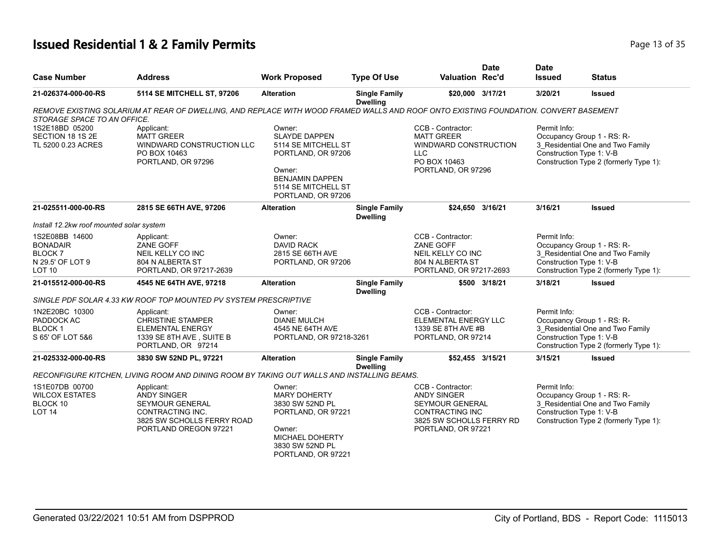## **Issued Residential 1 & 2 Family Permits Page 13 of 35 Page 13 of 35**

|                                                                                       |                                                                                                                                       |                                                                                                                                                              |                                         |                                                                                                                                        | <b>Date</b>   | <b>Date</b>                              |                                                                                                                                      |
|---------------------------------------------------------------------------------------|---------------------------------------------------------------------------------------------------------------------------------------|--------------------------------------------------------------------------------------------------------------------------------------------------------------|-----------------------------------------|----------------------------------------------------------------------------------------------------------------------------------------|---------------|------------------------------------------|--------------------------------------------------------------------------------------------------------------------------------------|
| <b>Case Number</b>                                                                    | <b>Address</b>                                                                                                                        | <b>Work Proposed</b>                                                                                                                                         | <b>Type Of Use</b>                      | <b>Valuation Rec'd</b>                                                                                                                 |               | <b>Issued</b>                            | <b>Status</b>                                                                                                                        |
| 21-026374-000-00-RS                                                                   | 5114 SE MITCHELL ST, 97206                                                                                                            | <b>Alteration</b>                                                                                                                                            | <b>Single Family</b><br><b>Dwelling</b> | \$20,000 3/17/21                                                                                                                       |               | 3/20/21                                  | <b>Issued</b>                                                                                                                        |
| STORAGE SPACE TO AN OFFICE.                                                           | REMOVE EXISTING SOLARIUM AT REAR OF DWELLING, AND REPLACE WITH WOOD FRAMED WALLS AND ROOF ONTO EXISTING FOUNDATION. CONVERT BASEMENT  |                                                                                                                                                              |                                         |                                                                                                                                        |               |                                          |                                                                                                                                      |
| 1S2E18BD 05200<br>SECTION 18 1S 2E<br>TL 5200 0.23 ACRES                              | Applicant:<br><b>MATT GREER</b><br>WINDWARD CONSTRUCTION LLC<br>PO BOX 10463<br>PORTLAND, OR 97296                                    | Owner:<br><b>SLAYDE DAPPEN</b><br>5114 SE MITCHELL ST<br>PORTLAND, OR 97206<br>Owner:<br><b>BENJAMIN DAPPEN</b><br>5114 SE MITCHELL ST<br>PORTLAND, OR 97206 |                                         | CCB - Contractor:<br><b>MATT GREER</b><br>WINDWARD CONSTRUCTION<br><b>LLC</b><br>PO BOX 10463<br>PORTLAND, OR 97296                    |               | Permit Info:                             | Occupancy Group 1 - RS: R-<br>3 Residential One and Two Family<br>Construction Type 1: V-B<br>Construction Type 2 (formerly Type 1): |
| 21-025511-000-00-RS                                                                   | 2815 SE 66TH AVE, 97206                                                                                                               | <b>Alteration</b>                                                                                                                                            | <b>Single Family</b><br><b>Dwelling</b> | \$24,650 3/16/21                                                                                                                       |               | 3/16/21                                  | <b>Issued</b>                                                                                                                        |
| Install 12.2kw roof mounted solar system                                              |                                                                                                                                       |                                                                                                                                                              |                                         |                                                                                                                                        |               |                                          |                                                                                                                                      |
| 1S2E08BB 14600<br><b>BONADAIR</b><br>BLOCK 7<br>N 29.5' OF LOT 9<br>LOT <sub>10</sub> | Applicant:<br>ZANE GOFF<br>NEIL KELLY CO INC<br>804 N ALBERTA ST<br>PORTLAND, OR 97217-2639                                           | Owner:<br><b>DAVID RACK</b><br>2815 SE 66TH AVE<br>PORTLAND, OR 97206                                                                                        |                                         | CCB - Contractor:<br><b>ZANE GOFF</b><br>NEIL KELLY CO INC<br>804 N ALBERTA ST<br>PORTLAND, OR 97217-2693                              |               | Permit Info:<br>Construction Type 1: V-B | Occupancy Group 1 - RS: R-<br>3 Residential One and Two Family<br>Construction Type 2 (formerly Type 1):                             |
| 21-015512-000-00-RS                                                                   | 4545 NE 64TH AVE, 97218                                                                                                               | <b>Alteration</b>                                                                                                                                            | <b>Single Family</b><br><b>Dwelling</b> |                                                                                                                                        | \$500 3/18/21 | 3/18/21                                  | <b>Issued</b>                                                                                                                        |
|                                                                                       | SINGLE PDF SOLAR 4.33 KW ROOF TOP MOUNTED PV SYSTEM PRESCRIPTIVE                                                                      |                                                                                                                                                              |                                         |                                                                                                                                        |               |                                          |                                                                                                                                      |
| 1N2E20BC 10300<br>PADDOCK AC<br><b>BLOCK1</b><br>S 65' OF LOT 5&6                     | Applicant:<br><b>CHRISTINE STAMPER</b><br><b>ELEMENTAL ENERGY</b><br>1339 SE 8TH AVE, SUITE B<br>PORTLAND, OR 97214                   | Owner:<br><b>DIANE MULCH</b><br>4545 NE 64TH AVE<br>PORTLAND, OR 97218-3261                                                                                  |                                         | CCB - Contractor:<br>ELEMENTAL ENERGY LLC<br>1339 SE 8TH AVE #B<br>PORTLAND, OR 97214                                                  |               | Permit Info:<br>Construction Type 1: V-B | Occupancy Group 1 - RS: R-<br>3_Residential One and Two Family<br>Construction Type 2 (formerly Type 1):                             |
| 21-025332-000-00-RS                                                                   | 3830 SW 52ND PL, 97221                                                                                                                | <b>Alteration</b>                                                                                                                                            | <b>Single Family</b><br><b>Dwelling</b> | \$52,455 3/15/21                                                                                                                       |               | 3/15/21                                  | <b>Issued</b>                                                                                                                        |
|                                                                                       | RECONFIGURE KITCHEN, LIVING ROOM AND DINING ROOM BY TAKING OUT WALLS AND INSTALLING BEAMS.                                            |                                                                                                                                                              |                                         |                                                                                                                                        |               |                                          |                                                                                                                                      |
| 1S1E07DB 00700<br><b>WILCOX ESTATES</b><br>BLOCK 10<br>LOT <sub>14</sub>              | Applicant:<br><b>ANDY SINGER</b><br><b>SEYMOUR GENERAL</b><br>CONTRACTING INC.<br>3825 SW SCHOLLS FERRY ROAD<br>PORTLAND OREGON 97221 | Owner:<br><b>MARY DOHERTY</b><br>3830 SW 52ND PL<br>PORTLAND, OR 97221<br>Owner:<br><b>MICHAEL DOHERTY</b><br>3830 SW 52ND PL<br>PORTLAND, OR 97221          |                                         | CCB - Contractor:<br><b>ANDY SINGER</b><br><b>SEYMOUR GENERAL</b><br>CONTRACTING INC<br>3825 SW SCHOLLS FERRY RD<br>PORTLAND, OR 97221 |               | Permit Info:<br>Construction Type 1: V-B | Occupancy Group 1 - RS: R-<br>3_Residential One and Two Family<br>Construction Type 2 (formerly Type 1):                             |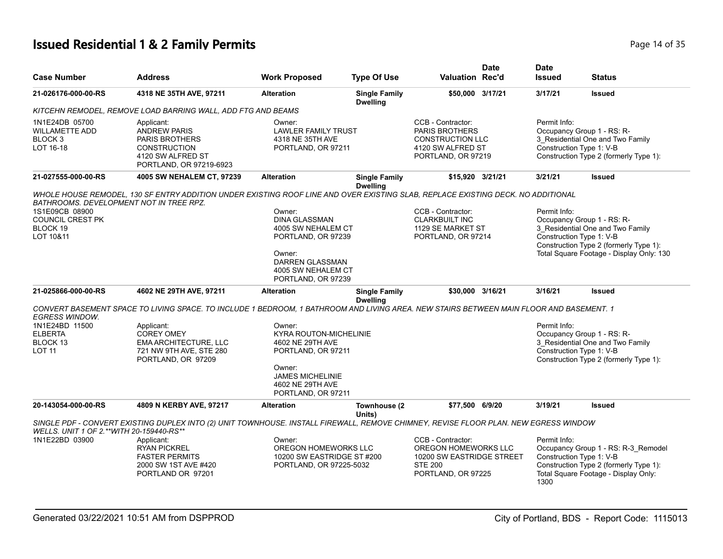# **Issued Residential 1 & 2 Family Permits Page 14 of 35 and 20 King the United States 2 Rage 14 of 35 Page 14 of 35**

| <b>Case Number</b>                                                         | <b>Address</b>                                                                                                                          | <b>Work Proposed</b>                                                                                                                                             | <b>Type Of Use</b>                      | <b>Valuation Rec'd</b>                                                                                         | <b>Date</b> | <b>Date</b><br><b>Issued</b> | Status                                                                                                                                                                           |
|----------------------------------------------------------------------------|-----------------------------------------------------------------------------------------------------------------------------------------|------------------------------------------------------------------------------------------------------------------------------------------------------------------|-----------------------------------------|----------------------------------------------------------------------------------------------------------------|-------------|------------------------------|----------------------------------------------------------------------------------------------------------------------------------------------------------------------------------|
| 21-026176-000-00-RS                                                        | 4318 NE 35TH AVE, 97211                                                                                                                 | <b>Alteration</b>                                                                                                                                                | <b>Single Family</b><br><b>Dwelling</b> | \$50,000 3/17/21                                                                                               |             | 3/17/21                      | <b>Issued</b>                                                                                                                                                                    |
|                                                                            | KITCEHN REMODEL, REMOVE LOAD BARRING WALL, ADD FTG AND BEAMS                                                                            |                                                                                                                                                                  |                                         |                                                                                                                |             |                              |                                                                                                                                                                                  |
| 1N1E24DB 05700<br><b>WILLAMETTE ADD</b><br>BLOCK <sub>3</sub><br>LOT 16-18 | Applicant:<br><b>ANDREW PARIS</b><br>PARIS BROTHERS<br><b>CONSTRUCTION</b><br>4120 SW ALFRED ST<br>PORTLAND, OR 97219-6923              | Owner:<br><b>LAWLER FAMILY TRUST</b><br>4318 NE 35TH AVE<br>PORTLAND, OR 97211                                                                                   |                                         | CCB - Contractor:<br>PARIS BROTHERS<br><b>CONSTRUCTION LLC</b><br>4120 SW ALFRED ST<br>PORTLAND, OR 97219      |             | Permit Info:                 | Occupancy Group 1 - RS: R-<br>3_Residential One and Two Family<br>Construction Type 1: V-B<br>Construction Type 2 (formerly Type 1):                                             |
| 21-027555-000-00-RS                                                        | 4005 SW NEHALEM CT, 97239                                                                                                               | <b>Alteration</b>                                                                                                                                                | <b>Single Family</b><br><b>Dwelling</b> | \$15,920 3/21/21                                                                                               |             | 3/21/21                      | <b>Issued</b>                                                                                                                                                                    |
| <b>BATHROOMS. DEVELOPMENT NOT IN TREE RPZ.</b>                             | WHOLE HOUSE REMODEL, 130 SF ENTRY ADDITION UNDER EXISTING ROOF LINE AND OVER EXISTING SLAB, REPLACE EXISTING DECK. NO ADDITIONAL        |                                                                                                                                                                  |                                         |                                                                                                                |             |                              |                                                                                                                                                                                  |
| 1S1E09CB 08900<br>COUNCIL CREST PK<br>BLOCK 19<br>LOT 10&11                |                                                                                                                                         | Owner:<br><b>DINA GLASSMAN</b><br>4005 SW NEHALEM CT<br>PORTLAND, OR 97239<br>Owner:<br>DARREN GLASSMAN<br>4005 SW NEHALEM CT<br>PORTLAND, OR 97239              |                                         | CCB - Contractor:<br><b>CLARKBUILT INC</b><br>1129 SE MARKET ST<br>PORTLAND, OR 97214                          |             | Permit Info:                 | Occupancy Group 1 - RS: R-<br>3 Residential One and Two Family<br>Construction Type 1: V-B<br>Construction Type 2 (formerly Type 1):<br>Total Square Footage - Display Only: 130 |
| 21-025866-000-00-RS                                                        | 4602 NE 29TH AVE, 97211                                                                                                                 | <b>Alteration</b>                                                                                                                                                | <b>Single Family</b><br><b>Dwelling</b> | \$30,000 3/16/21                                                                                               |             | 3/16/21                      | <b>Issued</b>                                                                                                                                                                    |
| <b>EGRESS WINDOW.</b>                                                      | CONVERT BASEMENT SPACE TO LIVING SPACE. TO INCLUDE 1 BEDROOM, 1 BATHROOM AND LIVING AREA. NEW STAIRS BETWEEN MAIN FLOOR AND BASEMENT. 1 |                                                                                                                                                                  |                                         |                                                                                                                |             |                              |                                                                                                                                                                                  |
| 1N1E24BD 11500<br><b>ELBERTA</b><br>BLOCK 13<br><b>LOT 11</b>              | Applicant:<br><b>COREY OMEY</b><br><b>EMA ARCHITECTURE, LLC</b><br>721 NW 9TH AVE, STE 280<br>PORTLAND, OR 97209                        | Owner:<br><b>KYRA ROUTON-MICHELINIE</b><br>4602 NE 29TH AVE<br>PORTLAND, OR 97211<br>Owner:<br><b>JAMES MICHELINIE</b><br>4602 NE 29TH AVE<br>PORTLAND, OR 97211 |                                         |                                                                                                                |             | Permit Info:                 | Occupancy Group 1 - RS: R-<br>3 Residential One and Two Family<br>Construction Type 1: V-B<br>Construction Type 2 (formerly Type 1):                                             |
| 20-143054-000-00-RS                                                        | 4809 N KERBY AVE, 97217                                                                                                                 | <b>Alteration</b>                                                                                                                                                | Townhouse (2<br>Units)                  | \$77,500 6/9/20                                                                                                |             | 3/19/21                      | <b>Issued</b>                                                                                                                                                                    |
| WELLS. UNIT 1 OF 2.**WITH 20-159440-RS**                                   | SINGLE PDF - CONVERT EXISTING DUPLEX INTO (2) UNIT TOWNHOUSE. INSTALL FIREWALL, REMOVE CHIMNEY, REVISE FLOOR PLAN. NEW EGRESS WINDOW    |                                                                                                                                                                  |                                         |                                                                                                                |             |                              |                                                                                                                                                                                  |
| 1N1E22BD 03900                                                             | Applicant:<br><b>RYAN PICKREL</b><br><b>FASTER PERMITS</b><br>2000 SW 1ST AVE #420<br>PORTLAND OR 97201                                 | Owner:<br>OREGON HOMEWORKS LLC<br>10200 SW EASTRIDGE ST #200<br>PORTLAND, OR 97225-5032                                                                          |                                         | CCB - Contractor:<br>OREGON HOMEWORKS LLC<br>10200 SW EASTRIDGE STREET<br><b>STE 200</b><br>PORTLAND, OR 97225 |             | Permit Info:<br>1300         | Occupancy Group 1 - RS: R-3_Remodel<br>Construction Type 1: V-B<br>Construction Type 2 (formerly Type 1):<br>Total Square Footage - Display Only:                                |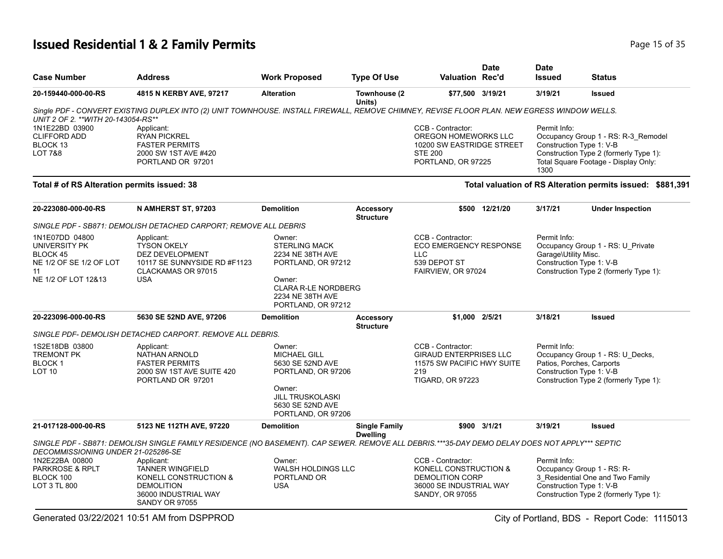# **Issued Residential 1 & 2 Family Permits Page 15 of 35** Page 15 of 35

| <b>Case Number</b>                                                                                         | <b>Address</b>                                                                                                                                 | <b>Work Proposed</b>                                                                                                             | <b>Type Of Use</b>                      | Valuation Rec'd                                                                                                    | Date           | <b>Date</b><br><b>Issued</b>                                     | <b>Status</b>                                                                                                         |
|------------------------------------------------------------------------------------------------------------|------------------------------------------------------------------------------------------------------------------------------------------------|----------------------------------------------------------------------------------------------------------------------------------|-----------------------------------------|--------------------------------------------------------------------------------------------------------------------|----------------|------------------------------------------------------------------|-----------------------------------------------------------------------------------------------------------------------|
| 20-159440-000-00-RS                                                                                        | 4815 N KERBY AVE, 97217                                                                                                                        | <b>Alteration</b>                                                                                                                | Townhouse (2<br>Units)                  | \$77,500 3/19/21                                                                                                   |                | 3/19/21                                                          | <b>Issued</b>                                                                                                         |
| UNIT 2 OF 2. ** WITH 20-143054-RS**                                                                        | Single PDF - CONVERT EXISTING DUPLEX INTO (2) UNIT TOWNHOUSE. INSTALL FIREWALL, REMOVE CHIMNEY, REVISE FLOOR PLAN. NEW EGRESS WINDOW WELLS.    |                                                                                                                                  |                                         |                                                                                                                    |                |                                                                  |                                                                                                                       |
| 1N1E22BD 03900<br><b>CLIFFORD ADD</b><br>BLOCK <sub>13</sub><br>LOT 7&8                                    | Applicant:<br><b>RYAN PICKREL</b><br><b>FASTER PERMITS</b><br>2000 SW 1ST AVE #420<br>PORTLAND OR 97201                                        |                                                                                                                                  |                                         | CCB - Contractor:<br>OREGON HOMEWORKS LLC<br>10200 SW EASTRIDGE STREET<br><b>STE 200</b><br>PORTLAND, OR 97225     |                | Permit Info:<br>Construction Type 1: V-B<br>1300                 | Occupancy Group 1 - RS: R-3_Remodel<br>Construction Type 2 (formerly Type 1):<br>Total Square Footage - Display Only: |
| Total # of RS Alteration permits issued: 38                                                                |                                                                                                                                                |                                                                                                                                  |                                         |                                                                                                                    |                |                                                                  | Total valuation of RS Alteration permits issued: \$881,391                                                            |
| 20-223080-000-00-RS                                                                                        | N AMHERST ST, 97203                                                                                                                            | <b>Demolition</b>                                                                                                                | <b>Accessory</b><br><b>Structure</b>    |                                                                                                                    | \$500 12/21/20 | 3/17/21                                                          | <b>Under Inspection</b>                                                                                               |
|                                                                                                            | SINGLE PDF - SB871: DEMOLISH DETACHED CARPORT; REMOVE ALL DEBRIS                                                                               |                                                                                                                                  |                                         |                                                                                                                    |                |                                                                  |                                                                                                                       |
| 1N1E07DD 04800<br>UNIVERSITY PK<br><b>BLOCK 45</b><br>NE 1/2 OF SE 1/2 OF LOT<br>11<br>NE 1/2 OF LOT 12&13 | Applicant:<br><b>TYSON OKELY</b><br>DEZ DEVELOPMENT<br>10117 SE SUNNYSIDE RD #F1123<br>CLACKAMAS OR 97015<br><b>USA</b>                        | Owner:<br><b>STERLING MACK</b><br>2234 NE 38TH AVE<br>PORTLAND, OR 97212<br>Owner:                                               |                                         | CCB - Contractor:<br><b>ECO EMERGENCY RESPONSE</b><br><b>LLC</b><br>539 DEPOT ST<br>FAIRVIEW, OR 97024             |                | Permit Info:<br>Garage\Utility Misc.<br>Construction Type 1: V-B | Occupancy Group 1 - RS: U Private<br>Construction Type 2 (formerly Type 1):                                           |
| 20-223096-000-00-RS                                                                                        | 5630 SE 52ND AVE, 97206                                                                                                                        | <b>CLARA R-LE NORDBERG</b><br>2234 NE 38TH AVE<br>PORTLAND, OR 97212<br><b>Demolition</b>                                        | <b>Accessory</b>                        | \$1.000 2/5/21                                                                                                     |                | 3/18/21                                                          | <b>Issued</b>                                                                                                         |
|                                                                                                            |                                                                                                                                                |                                                                                                                                  | <b>Structure</b>                        |                                                                                                                    |                |                                                                  |                                                                                                                       |
|                                                                                                            | SINGLE PDF- DEMOLISH DETACHED CARPORT. REMOVE ALL DEBRIS.                                                                                      |                                                                                                                                  |                                         |                                                                                                                    |                |                                                                  |                                                                                                                       |
| 1S2E18DB 03800<br><b>TREMONT PK</b><br>BLOCK 1<br><b>LOT 10</b>                                            | Applicant:<br><b>NATHAN ARNOLD</b><br><b>FASTER PERMITS</b><br>2000 SW 1ST AVE SUITE 420<br>PORTLAND OR 97201                                  | Owner:<br><b>MICHAEL GILL</b><br>5630 SE 52ND AVE<br>PORTLAND, OR 97206<br>Owner:<br><b>JILL TRUSKOLASKI</b><br>5630 SE 52ND AVE |                                         | CCB - Contractor:<br><b>GIRAUD ENTERPRISES LLC</b><br>11575 SW PACIFIC HWY SUITE<br>219<br><b>TIGARD, OR 97223</b> |                | Permit Info:<br>Construction Type 1: V-B                         | Occupancy Group 1 - RS: U Decks,<br>Patios, Porches, Carports<br>Construction Type 2 (formerly Type 1):               |
|                                                                                                            |                                                                                                                                                | PORTLAND, OR 97206                                                                                                               |                                         |                                                                                                                    |                |                                                                  |                                                                                                                       |
| 21-017128-000-00-RS                                                                                        | 5123 NE 112TH AVE, 97220                                                                                                                       | <b>Demolition</b>                                                                                                                | <b>Single Family</b><br><b>Dwelling</b> |                                                                                                                    | \$900 3/1/21   | 3/19/21                                                          | <b>Issued</b>                                                                                                         |
| DECOMMISSIONING UNDER 21-025286-SE                                                                         | SINGLE PDF - SB871: DEMOLISH SINGLE FAMILY RESIDENCE (NO BASEMENT). CAP SEWER. REMOVE ALL DEBRIS.***35-DAY DEMO DELAY DOES NOT APPLY*** SEPTIC |                                                                                                                                  |                                         |                                                                                                                    |                |                                                                  |                                                                                                                       |
| 1N2E22BA 00800                                                                                             | Applicant:                                                                                                                                     | Owner:                                                                                                                           |                                         | CCB - Contractor:                                                                                                  |                | Permit Info:                                                     |                                                                                                                       |
| PARKROSE & RPLT<br>BLOCK 100<br>LOT 3 TL 800                                                               | <b>TANNER WINGFIELD</b><br>KONELL CONSTRUCTION &<br><b>DEMOLITION</b><br>36000 INDUSTRIAL WAY<br><b>SANDY OR 97055</b>                         | <b>WALSH HOLDINGS LLC</b><br>PORTLAND OR<br><b>USA</b>                                                                           |                                         | KONELL CONSTRUCTION &<br><b>DEMOLITION CORP</b><br>36000 SE INDUSTRIAL WAY<br>SANDY, OR 97055                      |                | Construction Type 1: V-B                                         | Occupancy Group 1 - RS: R-<br>3 Residential One and Two Family<br>Construction Type 2 (formerly Type 1):              |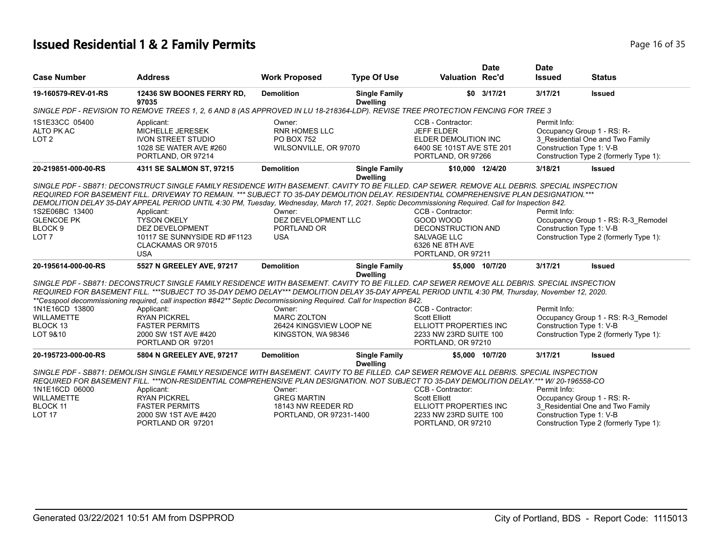# **Issued Residential 1 & 2 Family Permits Page 16 of 35 Page 16 of 35**

|                                                                               |                                                                                                                                                                                                                                                                                                                                                                                                                                                                                                                                                                          |                                                                               |                                         |                                                                                                                     | <b>Date</b>     | <b>Date</b>                                                            |                                                                               |
|-------------------------------------------------------------------------------|--------------------------------------------------------------------------------------------------------------------------------------------------------------------------------------------------------------------------------------------------------------------------------------------------------------------------------------------------------------------------------------------------------------------------------------------------------------------------------------------------------------------------------------------------------------------------|-------------------------------------------------------------------------------|-----------------------------------------|---------------------------------------------------------------------------------------------------------------------|-----------------|------------------------------------------------------------------------|-------------------------------------------------------------------------------|
| <b>Case Number</b>                                                            | <b>Address</b>                                                                                                                                                                                                                                                                                                                                                                                                                                                                                                                                                           | <b>Work Proposed</b>                                                          | <b>Type Of Use</b>                      | <b>Valuation Rec'd</b>                                                                                              |                 | <b>Issued</b>                                                          | <b>Status</b>                                                                 |
| 19-160579-REV-01-RS                                                           | 12436 SW BOONES FERRY RD.<br>97035                                                                                                                                                                                                                                                                                                                                                                                                                                                                                                                                       | <b>Demolition</b>                                                             | <b>Single Family</b><br><b>Dwelling</b> |                                                                                                                     | \$0 3/17/21     | 3/17/21                                                                | <b>Issued</b>                                                                 |
|                                                                               | SINGLE PDF - REVISION TO REMOVE TREES 1, 2, 6 AND 8 (AS APPROVED IN LU 18-218364-LDP). REVISE TREE PROTECTION FENCING FOR TREE 3                                                                                                                                                                                                                                                                                                                                                                                                                                         |                                                                               |                                         |                                                                                                                     |                 |                                                                        |                                                                               |
| 1S1E33CC 05400<br>ALTO PK AC<br>LOT <sub>2</sub>                              | Applicant:<br>MICHELLE JERESEK<br><b>IVON STREET STUDIO</b><br>1028 SE WATER AVE #260<br>PORTLAND, OR 97214                                                                                                                                                                                                                                                                                                                                                                                                                                                              | Owner:<br><b>RNR HOMES LLC</b><br><b>PO BOX 752</b><br>WILSONVILLE, OR 97070  |                                         | CCB - Contractor:<br><b>JEFF ELDER</b><br>ELDER DEMOLITION INC<br>6400 SE 101ST AVE STE 201<br>PORTLAND, OR 97266   |                 | Permit Info:<br>Occupancy Group 1 - RS: R-<br>Construction Type 1: V-B | 3_Residential One and Two Family<br>Construction Type 2 (formerly Type 1):    |
| 20-219851-000-00-RS                                                           | 4311 SE SALMON ST, 97215                                                                                                                                                                                                                                                                                                                                                                                                                                                                                                                                                 | <b>Demolition</b>                                                             | <b>Single Family</b><br><b>Dwelling</b> | \$10,000 12/4/20                                                                                                    |                 | 3/18/21                                                                | <b>Issued</b>                                                                 |
| 1S2E06BC 13400<br><b>GLENCOE PK</b><br>BLOCK <sub>9</sub><br>LOT <sub>7</sub> | SINGLE PDF - SB871: DECONSTRUCT SINGLE FAMILY RESIDENCE WITH BASEMENT. CAVITY TO BE FILLED. CAP SEWER. REMOVE ALL DEBRIS. SPECIAL INSPECTION<br>REQUIRED FOR BASEMENT FILL. DRIVEWAY TO REMAIN. *** SUBJECT TO 35-DAY DEMOLITION DELAY. RESIDENTIAL COMPREHENSIVE PLAN DESIGNATION. ***<br>DEMOLITION DELAY 35-DAY APPEAL PERIOD UNTIL 4:30 PM, Tuesday, Wednesday, March 17, 2021. Septic Decommissioning Required. Call for Inspection 842.<br>Applicant:<br><b>TYSON OKELY</b><br>DEZ DEVELOPMENT<br>10117 SE SUNNYSIDE RD #F1123<br>CLACKAMAS OR 97015<br><b>USA</b> | Owner:<br>DEZ DEVELOPMENT LLC<br>PORTLAND OR<br><b>USA</b>                    |                                         | CCB - Contractor:<br>GOOD WOOD<br>DECONSTRUCTION AND<br><b>SALVAGE LLC</b><br>6326 NE 8TH AVE<br>PORTLAND, OR 97211 |                 | Permit Info:<br>Construction Type 1: V-B                               | Occupancy Group 1 - RS: R-3 Remodel<br>Construction Type 2 (formerly Type 1): |
| 20-195614-000-00-RS                                                           | 5527 N GREELEY AVE, 97217                                                                                                                                                                                                                                                                                                                                                                                                                                                                                                                                                | <b>Demolition</b>                                                             | <b>Single Family</b><br><b>Dwelling</b> |                                                                                                                     | \$5,000 10/7/20 | 3/17/21                                                                | <b>Issued</b>                                                                 |
| 1N1E16CD 13800<br><b>WILLAMETTE</b><br>BLOCK 13<br>LOT 9&10                   | SINGLE PDF - SB871: DECONSTRUCT SINGLE FAMILY RESIDENCE WITH BASEMENT. CAVITY TO BE FILLED. CAP SEWER REMOVE ALL DEBRIS. SPECIAL INSPECTION<br>REQUIRED FOR BASEMENT FILL. ***SUBJECT TO 35-DAY DEMO DELAY*** DEMOLITION DELAY 35-DAY APPEAL PERIOD UNTIL 4:30 PM, Thursday, November 12, 2020.<br>**Cesspool decommissioning required, call inspection #842** Septic Decommissioning Required. Call for Inspection 842.<br>Applicant:<br><b>RYAN PICKREL</b><br><b>FASTER PERMITS</b><br>2000 SW 1ST AVE #420<br>PORTLAND OR 97201                                      | Owner:<br><b>MARC ZOLTON</b><br>26424 KINGSVIEW LOOP NE<br>KINGSTON, WA 98346 |                                         | CCB - Contractor:<br><b>Scott Elliott</b><br>ELLIOTT PROPERTIES INC<br>2233 NW 23RD SUITE 100<br>PORTLAND, OR 97210 |                 | Permit Info:<br>Construction Type 1: V-B                               | Occupancy Group 1 - RS: R-3_Remodel<br>Construction Type 2 (formerly Type 1): |
| 20-195723-000-00-RS                                                           | 5804 N GREELEY AVE, 97217                                                                                                                                                                                                                                                                                                                                                                                                                                                                                                                                                | <b>Demolition</b>                                                             | <b>Single Family</b>                    |                                                                                                                     | \$5,000 10/7/20 | 3/17/21                                                                | <b>Issued</b>                                                                 |
| 1N1E16CD 06000<br>WILLAMETTE<br>BLOCK 11<br><b>LOT 17</b>                     | SINGLE PDF - SB871: DEMOLISH SINGLE FAMILY RESIDENCE WITH BASEMENT. CAVITY TO BE FILLED. CAP SEWER REMOVE ALL DEBRIS. SPECIAL INSPECTION<br>REQUIRED FOR BASEMENT FILL. ***NON-RESIDENTIAL COMPREHENSIVE PLAN DESIGNATION. NOT SUBJECT TO 35-DAY DEMOLITION DELAY.*** W/20-196558-CO<br>Applicant:<br><b>RYAN PICKREL</b><br><b>FASTER PERMITS</b><br>2000 SW 1ST AVE #420<br>PORTLAND OR 97201                                                                                                                                                                          | Owner:<br><b>GREG MARTIN</b><br>18143 NW REEDER RD<br>PORTLAND, OR 97231-1400 | <b>Dwelling</b>                         | CCB - Contractor:<br><b>Scott Elliott</b><br>ELLIOTT PROPERTIES INC<br>2233 NW 23RD SUITE 100<br>PORTLAND, OR 97210 |                 | Permit Info:<br>Occupancy Group 1 - RS: R-<br>Construction Type 1: V-B | 3_Residential One and Two Family<br>Construction Type 2 (formerly Type 1):    |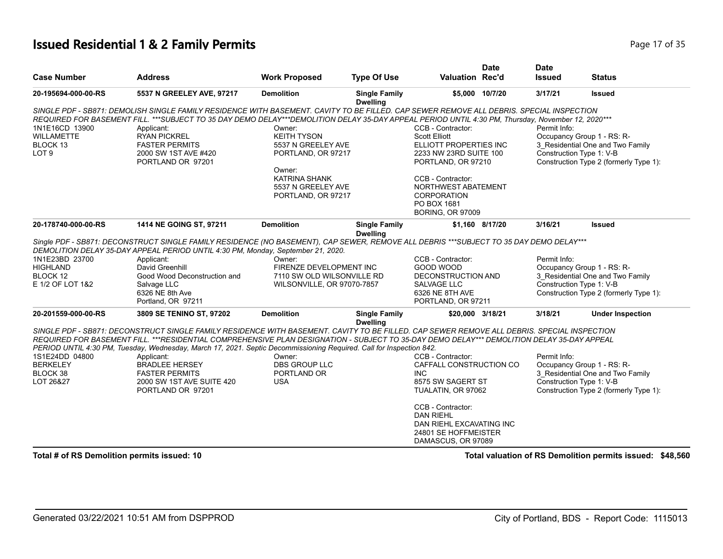#### **Issued Residential 1 & 2 Family Permits Page 17 of 35** Page 17 of 35

|                     |                                                                                                                                                                                                                                                                                               |                                            |                                         |                                          | <b>Date</b>     | <b>Date</b>              |                                        |
|---------------------|-----------------------------------------------------------------------------------------------------------------------------------------------------------------------------------------------------------------------------------------------------------------------------------------------|--------------------------------------------|-----------------------------------------|------------------------------------------|-----------------|--------------------------|----------------------------------------|
| <b>Case Number</b>  | <b>Address</b>                                                                                                                                                                                                                                                                                | <b>Work Proposed</b>                       | <b>Type Of Use</b>                      | <b>Valuation Rec'd</b>                   |                 | <b>Issued</b>            | <b>Status</b>                          |
| 20-195694-000-00-RS | 5537 N GREELEY AVE, 97217                                                                                                                                                                                                                                                                     | <b>Demolition</b>                          | <b>Single Family</b><br><b>Dwelling</b> |                                          | \$5,000 10/7/20 | 3/17/21                  | <b>Issued</b>                          |
|                     | SINGLE PDF - SB871: DEMOLISH SINGLE FAMILY RESIDENCE WITH BASEMENT. CAVITY TO BE FILLED. CAP SEWER REMOVE ALL DEBRIS. SPECIAL INSPECTION<br>REQUIRED FOR BASEMENT FILL. ***SUBJECT TO 35 DAY DEMO DELAY***DEMOLITION DELAY 35-DAY APPEAL PERIOD UNTIL 4:30 PM, Thursday, November 12, 2020*** |                                            |                                         |                                          |                 |                          |                                        |
| 1N1E16CD 13900      | Applicant:                                                                                                                                                                                                                                                                                    | Owner:                                     |                                         | CCB - Contractor:                        |                 | Permit Info:             |                                        |
| <b>WILLAMETTE</b>   | <b>RYAN PICKREL</b>                                                                                                                                                                                                                                                                           | <b>KEITH TYSON</b>                         |                                         | <b>Scott Elliott</b>                     |                 |                          | Occupancy Group 1 - RS: R-             |
| BLOCK 13            | <b>FASTER PERMITS</b>                                                                                                                                                                                                                                                                         | 5537 N GREELEY AVE                         |                                         | ELLIOTT PROPERTIES INC                   |                 |                          | 3_Residential One and Two Family       |
| LOT <sub>9</sub>    | 2000 SW 1ST AVE #420                                                                                                                                                                                                                                                                          | PORTLAND, OR 97217                         |                                         | 2233 NW 23RD SUITE 100                   |                 | Construction Type 1: V-B |                                        |
|                     | PORTLAND OR 97201                                                                                                                                                                                                                                                                             |                                            |                                         | PORTLAND, OR 97210                       |                 |                          | Construction Type 2 (formerly Type 1): |
|                     |                                                                                                                                                                                                                                                                                               | Owner:                                     |                                         |                                          |                 |                          |                                        |
|                     |                                                                                                                                                                                                                                                                                               | <b>KATRINA SHANK</b><br>5537 N GREELEY AVE |                                         | CCB - Contractor:<br>NORTHWEST ABATEMENT |                 |                          |                                        |
|                     |                                                                                                                                                                                                                                                                                               | PORTLAND, OR 97217                         |                                         | <b>CORPORATION</b>                       |                 |                          |                                        |
|                     |                                                                                                                                                                                                                                                                                               |                                            |                                         | PO BOX 1681                              |                 |                          |                                        |
|                     |                                                                                                                                                                                                                                                                                               |                                            |                                         | <b>BORING, OR 97009</b>                  |                 |                          |                                        |
| 20-178740-000-00-RS | 1414 NE GOING ST, 97211                                                                                                                                                                                                                                                                       | <b>Demolition</b>                          | <b>Single Family</b><br><b>Dwelling</b> |                                          | \$1,160 8/17/20 | 3/16/21                  | <b>Issued</b>                          |
|                     | Single PDF - SB871: DECONSTRUCT SINGLE FAMILY RESIDENCE (NO BASEMENT), CAP SEWER, REMOVE ALL DEBRIS ***SUBJECT TO 35 DAY DEMO DELAY***<br>DEMOLITION DELAY 35-DAY APPEAL PERIOD UNTIL 4:30 PM, Monday, September 21, 2020.                                                                    |                                            |                                         |                                          |                 |                          |                                        |
| 1N1E23BD 23700      | Applicant:                                                                                                                                                                                                                                                                                    | Owner:                                     |                                         | CCB - Contractor:                        |                 | Permit Info:             |                                        |
| <b>HIGHLAND</b>     | David Greenhill                                                                                                                                                                                                                                                                               | FIRENZE DEVELOPMENT INC                    |                                         | GOOD WOOD                                |                 |                          | Occupancy Group 1 - RS: R-             |
| BLOCK 12            | Good Wood Deconstruction and                                                                                                                                                                                                                                                                  | 7110 SW OLD WILSONVILLE RD                 |                                         | <b>DECONSTRUCTION AND</b>                |                 |                          | 3 Residential One and Two Family       |
| E 1/2 OF LOT 1&2    | Salvage LLC                                                                                                                                                                                                                                                                                   | WILSONVILLE, OR 97070-7857                 |                                         | SALVAGE LLC                              |                 | Construction Type 1: V-B |                                        |
|                     | 6326 NE 8th Ave                                                                                                                                                                                                                                                                               |                                            |                                         | 6326 NE 8TH AVE                          |                 |                          | Construction Type 2 (formerly Type 1): |
|                     | Portland, OR 97211                                                                                                                                                                                                                                                                            |                                            |                                         | PORTLAND, OR 97211                       |                 |                          |                                        |
| 20-201559-000-00-RS | 3809 SE TENINO ST, 97202                                                                                                                                                                                                                                                                      | <b>Demolition</b>                          | <b>Single Family</b><br><b>Dwelling</b> | \$20,000 3/18/21                         |                 | 3/18/21                  | <b>Under Inspection</b>                |
|                     | SINGLE PDF - SB871: DECONSTRUCT SINGLE FAMILY RESIDENCE WITH BASEMENT. CAVITY TO BE FILLED. CAP SEWER REMOVE ALL DEBRIS. SPECIAL INSPECTION                                                                                                                                                   |                                            |                                         |                                          |                 |                          |                                        |
|                     | REQUIRED FOR BASEMENT FILL. ***RESIDENTIAL COMPREHENSIVE PLAN DESIGNATION - SUBJECT TO 35-DAY DEMO DELAY*** DEMOLITION DELAY 35-DAY APPEAL                                                                                                                                                    |                                            |                                         |                                          |                 |                          |                                        |
| 1S1E24DD 04800      | PERIOD UNTIL 4:30 PM, Tuesday, Wednesday, March 17, 2021. Septic Decommissioning Required. Call for Inspection 842.<br>Applicant:                                                                                                                                                             | Owner:                                     |                                         | CCB - Contractor:                        |                 | Permit Info:             |                                        |
| <b>BERKELEY</b>     | <b>BRADLEE HERSEY</b>                                                                                                                                                                                                                                                                         | <b>DBS GROUP LLC</b>                       |                                         | CAFFALL CONSTRUCTION CO                  |                 |                          | Occupancy Group 1 - RS: R-             |
| BLOCK 38            | <b>FASTER PERMITS</b>                                                                                                                                                                                                                                                                         | PORTLAND OR                                |                                         | INC.                                     |                 |                          | 3_Residential One and Two Family       |
| LOT 26&27           | 2000 SW 1ST AVE SUITE 420                                                                                                                                                                                                                                                                     | <b>USA</b>                                 |                                         | 8575 SW SAGERT ST                        |                 | Construction Type 1: V-B |                                        |
|                     | PORTLAND OR 97201                                                                                                                                                                                                                                                                             |                                            |                                         | TUALATIN, OR 97062                       |                 |                          | Construction Type 2 (formerly Type 1): |
|                     |                                                                                                                                                                                                                                                                                               |                                            |                                         | CCB - Contractor:                        |                 |                          |                                        |
|                     |                                                                                                                                                                                                                                                                                               |                                            |                                         | <b>DAN RIEHL</b>                         |                 |                          |                                        |
|                     |                                                                                                                                                                                                                                                                                               |                                            |                                         | DAN RIEHL EXCAVATING INC                 |                 |                          |                                        |
|                     |                                                                                                                                                                                                                                                                                               |                                            |                                         | 24801 SE HOFFMEISTER                     |                 |                          |                                        |
|                     |                                                                                                                                                                                                                                                                                               |                                            |                                         | DAMASCUS, OR 97089                       |                 |                          |                                        |

**Total # of RS Demolition permits issued: 10 Total valuation of RS Demolition permits issued: \$48,560**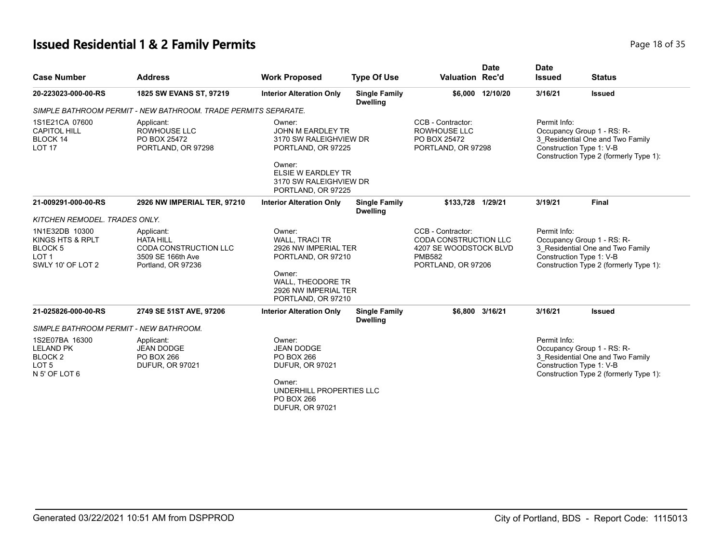## **Issued Residential 1 & 2 Family Permits Page 18 of 35 Page 18 of 35**

| <b>Case Number</b>                                                                                | <b>Address</b>                                                                                     | <b>Work Proposed</b>                                                                | <b>Type Of Use</b>                      | <b>Valuation Rec'd</b>                                                                                      | <b>Date</b>      | <b>Date</b><br><b>Issued</b> | <b>Status</b>                                                                                                                        |
|---------------------------------------------------------------------------------------------------|----------------------------------------------------------------------------------------------------|-------------------------------------------------------------------------------------|-----------------------------------------|-------------------------------------------------------------------------------------------------------------|------------------|------------------------------|--------------------------------------------------------------------------------------------------------------------------------------|
| 20-223023-000-00-RS                                                                               | 1825 SW EVANS ST, 97219                                                                            | <b>Interior Alteration Only</b>                                                     | <b>Single Family</b><br><b>Dwelling</b> |                                                                                                             | \$6,000 12/10/20 | 3/16/21                      | <b>Issued</b>                                                                                                                        |
|                                                                                                   | SIMPLE BATHROOM PERMIT - NEW BATHROOM. TRADE PERMITS SEPARATE.                                     |                                                                                     |                                         |                                                                                                             |                  |                              |                                                                                                                                      |
| 1S1E21CA 07600<br><b>CAPITOL HILL</b><br>BLOCK 14<br><b>LOT 17</b>                                | Applicant:<br><b>ROWHOUSE LLC</b><br>PO BOX 25472<br>PORTLAND, OR 97298                            | Owner:<br><b>JOHN M EARDLEY TR</b><br>3170 SW RALEIGHVIEW DR<br>PORTLAND, OR 97225  |                                         | CCB - Contractor:<br><b>ROWHOUSE LLC</b><br>PO BOX 25472<br>PORTLAND, OR 97298                              |                  | Permit Info:                 | Occupancy Group 1 - RS: R-<br>3 Residential One and Two Family<br>Construction Type 1: V-B<br>Construction Type 2 (formerly Type 1): |
|                                                                                                   |                                                                                                    | Owner:<br><b>ELSIE W EARDLEY TR</b><br>3170 SW RALEIGHVIEW DR<br>PORTLAND, OR 97225 |                                         |                                                                                                             |                  |                              |                                                                                                                                      |
| 21-009291-000-00-RS                                                                               | 2926 NW IMPERIAL TER, 97210                                                                        | <b>Interior Alteration Only</b>                                                     | <b>Single Family</b><br><b>Dwelling</b> | \$133.728 1/29/21                                                                                           |                  | 3/19/21                      | <b>Final</b>                                                                                                                         |
| KITCHEN REMODEL. TRADES ONLY.                                                                     |                                                                                                    |                                                                                     |                                         |                                                                                                             |                  |                              |                                                                                                                                      |
| 1N1E32DB 10300<br>KINGS HTS & RPLT<br>BLOCK <sub>5</sub><br>LOT <sub>1</sub><br>SWLY 10' OF LOT 2 | Applicant:<br><b>HATA HILL</b><br>CODA CONSTRUCTION LLC<br>3509 SE 166th Ave<br>Portland, OR 97236 | Owner:<br><b>WALL, TRACI TR</b><br>2926 NW IMPERIAL TER<br>PORTLAND, OR 97210       |                                         | CCB - Contractor:<br>CODA CONSTRUCTION LLC<br>4207 SE WOODSTOCK BLVD<br><b>PMB582</b><br>PORTLAND, OR 97206 |                  | Permit Info:                 | Occupancy Group 1 - RS: R-<br>3 Residential One and Two Family<br>Construction Type 1: V-B<br>Construction Type 2 (formerly Type 1): |
|                                                                                                   |                                                                                                    | Owner:<br>WALL, THEODORE TR<br>2926 NW IMPERIAL TER<br>PORTLAND, OR 97210           |                                         |                                                                                                             |                  |                              |                                                                                                                                      |
| 21-025826-000-00-RS                                                                               | 2749 SE 51ST AVE, 97206                                                                            | <b>Interior Alteration Only</b>                                                     | <b>Single Family</b><br><b>Dwelling</b> | \$6,800 3/16/21                                                                                             |                  | 3/16/21                      | <b>Issued</b>                                                                                                                        |
| SIMPLE BATHROOM PERMIT - NEW BATHROOM.                                                            |                                                                                                    |                                                                                     |                                         |                                                                                                             |                  |                              |                                                                                                                                      |
| 1S2E07BA 16300<br><b>LELAND PK</b><br>BLOCK <sub>2</sub><br>LOT <sub>5</sub><br>N 5' OF LOT 6     | Applicant:<br><b>JEAN DODGE</b><br><b>PO BOX 266</b><br><b>DUFUR, OR 97021</b>                     | Owner:<br><b>JEAN DODGE</b><br>PO BOX 266<br><b>DUFUR, OR 97021</b>                 |                                         |                                                                                                             |                  | Permit Info:                 | Occupancy Group 1 - RS: R-<br>3 Residential One and Two Family<br>Construction Type 1: V-B<br>Construction Type 2 (formerly Type 1): |
|                                                                                                   |                                                                                                    | Owner:<br>UNDERHILL PROPERTIES LLC<br>PO BOX 266<br><b>DUFUR, OR 97021</b>          |                                         |                                                                                                             |                  |                              |                                                                                                                                      |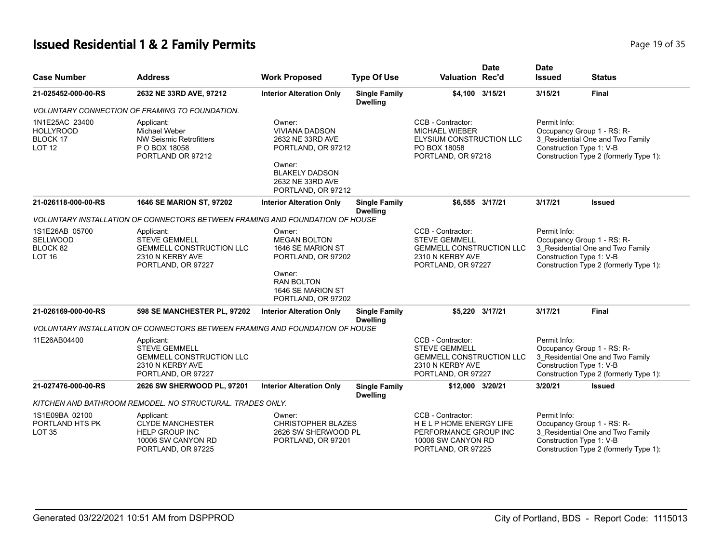# **Issued Residential 1 & 2 Family Permits Page 19 of 35 Page 19 of 35**

| <b>Case Number</b>                                              | <b>Address</b>                                                                                                  | <b>Work Proposed</b>                                                                                                                                   | <b>Type Of Use</b>                      | <b>Date</b><br><b>Valuation Rec'd</b>                                                                                  | <b>Date</b><br><b>Issued</b>             | <b>Status</b>                                                                                            |
|-----------------------------------------------------------------|-----------------------------------------------------------------------------------------------------------------|--------------------------------------------------------------------------------------------------------------------------------------------------------|-----------------------------------------|------------------------------------------------------------------------------------------------------------------------|------------------------------------------|----------------------------------------------------------------------------------------------------------|
| 21-025452-000-00-RS                                             | 2632 NE 33RD AVE, 97212                                                                                         | <b>Interior Alteration Only</b>                                                                                                                        | <b>Single Family</b><br><b>Dwelling</b> | \$4,100 3/15/21                                                                                                        | 3/15/21                                  | <b>Final</b>                                                                                             |
|                                                                 | <b>VOLUNTARY CONNECTION OF FRAMING TO FOUNDATION.</b>                                                           |                                                                                                                                                        |                                         |                                                                                                                        |                                          |                                                                                                          |
| 1N1E25AC 23400<br><b>HOLLYROOD</b><br>BLOCK 17<br><b>LOT 12</b> | Applicant:<br>Michael Weber<br><b>NW Seismic Retrofitters</b><br>P O BOX 18058<br>PORTLAND OR 97212             | Owner:<br><b>VIVIANA DADSON</b><br>2632 NE 33RD AVE<br>PORTLAND, OR 97212<br>Owner:<br><b>BLAKELY DADSON</b><br>2632 NE 33RD AVE<br>PORTLAND, OR 97212 |                                         | CCB - Contractor:<br><b>MICHAEL WIEBER</b><br>ELYSIUM CONSTRUCTION LLC<br>PO BOX 18058<br>PORTLAND, OR 97218           | Permit Info:<br>Construction Type 1: V-B | Occupancy Group 1 - RS: R-<br>3_Residential One and Two Family<br>Construction Type 2 (formerly Type 1): |
| 21-026118-000-00-RS                                             | 1646 SE MARION ST, 97202                                                                                        | <b>Interior Alteration Only</b>                                                                                                                        | <b>Single Family</b><br><b>Dwelling</b> | \$6.555 3/17/21                                                                                                        | 3/17/21                                  | <b>Issued</b>                                                                                            |
|                                                                 | VOLUNTARY INSTALLATION OF CONNECTORS BETWEEN FRAMING AND FOUNDATION OF HOUSE                                    |                                                                                                                                                        |                                         |                                                                                                                        |                                          |                                                                                                          |
| 1S1E26AB 05700<br><b>SELLWOOD</b><br>BLOCK 82<br><b>LOT 16</b>  | Applicant:<br><b>STEVE GEMMELL</b><br><b>GEMMELL CONSTRUCTION LLC</b><br>2310 N KERBY AVE<br>PORTLAND, OR 97227 | Owner:<br><b>MEGAN BOLTON</b><br>1646 SE MARION ST<br>PORTLAND, OR 97202<br>Owner:<br><b>RAN BOLTON</b><br>1646 SE MARION ST<br>PORTLAND, OR 97202     |                                         | CCB - Contractor:<br><b>STEVE GEMMELL</b><br><b>GEMMELL CONSTRUCTION LLC</b><br>2310 N KERBY AVE<br>PORTLAND, OR 97227 | Permit Info:<br>Construction Type 1: V-B | Occupancy Group 1 - RS: R-<br>3_Residential One and Two Family<br>Construction Type 2 (formerly Type 1): |
| 21-026169-000-00-RS                                             | 598 SE MANCHESTER PL, 97202                                                                                     | <b>Interior Alteration Only</b>                                                                                                                        | <b>Single Family</b><br><b>Dwelling</b> | \$5,220 3/17/21                                                                                                        | 3/17/21                                  | Final                                                                                                    |
|                                                                 | VOLUNTARY INSTALLATION OF CONNECTORS BETWEEN FRAMING AND FOUNDATION OF HOUSE                                    |                                                                                                                                                        |                                         |                                                                                                                        |                                          |                                                                                                          |
| 11E26AB04400                                                    | Applicant:<br><b>STEVE GEMMELL</b><br><b>GEMMELL CONSTRUCTION LLC</b><br>2310 N KERBY AVE<br>PORTLAND, OR 97227 |                                                                                                                                                        |                                         | CCB - Contractor:<br><b>STEVE GEMMELL</b><br><b>GEMMELL CONSTRUCTION LLC</b><br>2310 N KERBY AVE<br>PORTLAND, OR 97227 | Permit Info:<br>Construction Type 1: V-B | Occupancy Group 1 - RS: R-<br>3_Residential One and Two Family<br>Construction Type 2 (formerly Type 1): |
| 21-027476-000-00-RS                                             | 2626 SW SHERWOOD PL, 97201                                                                                      | <b>Interior Alteration Only</b>                                                                                                                        | <b>Single Family</b><br><b>Dwelling</b> | \$12,000 3/20/21                                                                                                       | 3/20/21                                  | Issued                                                                                                   |
|                                                                 | KITCHEN AND BATHROOM REMODEL. NO STRUCTURAL. TRADES ONLY.                                                       |                                                                                                                                                        |                                         |                                                                                                                        |                                          |                                                                                                          |
| 1S1E09BA 02100<br>PORTLAND HTS PK<br><b>LOT 35</b>              | Applicant:<br><b>CLYDE MANCHESTER</b><br><b>HELP GROUP INC</b><br>10006 SW CANYON RD<br>PORTLAND, OR 97225      | Owner:<br><b>CHRISTOPHER BLAZES</b><br>2626 SW SHERWOOD PL<br>PORTLAND, OR 97201                                                                       |                                         | CCB - Contractor:<br>HELP HOME ENERGY LIFE<br>PERFORMANCE GROUP INC<br>10006 SW CANYON RD<br>PORTLAND, OR 97225        | Permit Info:<br>Construction Type 1: V-B | Occupancy Group 1 - RS: R-<br>3 Residential One and Two Family<br>Construction Type 2 (formerly Type 1): |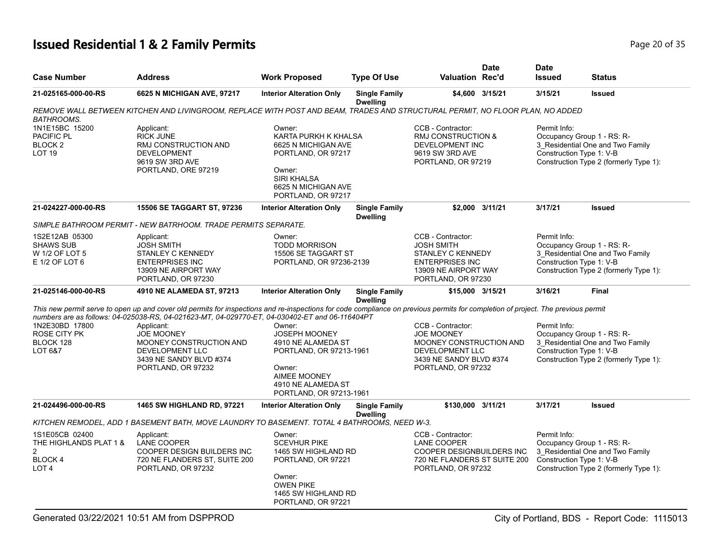## **Issued Residential 1 & 2 Family Permits Page 20 of 35 Page 20 of 35**

| <b>Case Number</b>                                                                              | <b>Address</b>                                                                                                                                                                                                                   | <b>Work Proposed</b>                                                                                                                                     | <b>Type Of Use</b>                      | <b>Valuation Rec'd</b>                                                                                                                | <b>Date</b> | <b>Date</b><br><b>Issued</b>             | <b>Status</b>                                                                                            |
|-------------------------------------------------------------------------------------------------|----------------------------------------------------------------------------------------------------------------------------------------------------------------------------------------------------------------------------------|----------------------------------------------------------------------------------------------------------------------------------------------------------|-----------------------------------------|---------------------------------------------------------------------------------------------------------------------------------------|-------------|------------------------------------------|----------------------------------------------------------------------------------------------------------|
| 21-025165-000-00-RS                                                                             | 6625 N MICHIGAN AVE, 97217                                                                                                                                                                                                       | <b>Interior Alteration Only</b>                                                                                                                          | <b>Single Family</b><br><b>Dwelling</b> | \$4,600 3/15/21                                                                                                                       |             | 3/15/21                                  | <b>Issued</b>                                                                                            |
| <b>BATHROOMS.</b>                                                                               | REMOVE WALL BETWEEN KITCHEN AND LIVINGROOM, REPLACE WITH POST AND BEAM, TRADES AND STRUCTURAL PERMIT, NO FLOOR PLAN, NO ADDED                                                                                                    |                                                                                                                                                          |                                         |                                                                                                                                       |             |                                          |                                                                                                          |
| 1N1E15BC 15200<br>PACIFIC PL<br>BLOCK <sub>2</sub><br>LOT <sub>19</sub>                         | Applicant:<br><b>RICK JUNE</b><br>RMJ CONSTRUCTION AND<br><b>DEVELOPMENT</b><br>9619 SW 3RD AVE<br>PORTLAND, ORE 97219                                                                                                           | Owner:<br>KARTA PURKH K KHALSA<br>6625 N MICHIGAN AVE<br>PORTLAND, OR 97217<br>Owner:<br><b>SIRI KHALSA</b><br>6625 N MICHIGAN AVE<br>PORTLAND, OR 97217 |                                         | CCB - Contractor:<br><b>RMJ CONSTRUCTION &amp;</b><br>DEVELOPMENT INC<br>9619 SW 3RD AVE<br>PORTLAND, OR 97219                        |             | Permit Info:<br>Construction Type 1: V-B | Occupancy Group 1 - RS: R-<br>3 Residential One and Two Family<br>Construction Type 2 (formerly Type 1): |
| 21-024227-000-00-RS                                                                             | 15506 SE TAGGART ST, 97236                                                                                                                                                                                                       | <b>Interior Alteration Only</b>                                                                                                                          | <b>Single Family</b><br><b>Dwelling</b> | \$2,000 3/11/21                                                                                                                       |             | 3/17/21                                  | <b>Issued</b>                                                                                            |
|                                                                                                 | SIMPLE BATHROOM PERMIT - NEW BATRHOOM. TRADE PERMITS SEPARATE.                                                                                                                                                                   |                                                                                                                                                          |                                         |                                                                                                                                       |             |                                          |                                                                                                          |
| 1S2E12AB 05300<br><b>SHAWS SUB</b><br>W 1/2 OF LOT 5<br>E 1/2 OF LOT 6                          | Applicant:<br><b>JOSH SMITH</b><br>STANLEY C KENNEDY<br><b>ENTERPRISES INC</b><br>13909 NE AIRPORT WAY<br>PORTLAND, OR 97230                                                                                                     | Owner:<br><b>TODD MORRISON</b><br>15506 SE TAGGART ST<br>PORTLAND, OR 97236-2139                                                                         |                                         | CCB - Contractor:<br><b>JOSH SMITH</b><br>STANLEY C KENNEDY<br><b>ENTERPRISES INC</b><br>13909 NE AIRPORT WAY<br>PORTLAND, OR 97230   |             | Permit Info:<br>Construction Type 1: V-B | Occupancy Group 1 - RS: R-<br>3 Residential One and Two Family<br>Construction Type 2 (formerly Type 1): |
| 21-025146-000-00-RS                                                                             | 4910 NE ALAMEDA ST, 97213                                                                                                                                                                                                        | <b>Interior Alteration Only</b>                                                                                                                          | <b>Single Family</b><br><b>Dwelling</b> | \$15,000 3/15/21                                                                                                                      |             | 3/16/21                                  | <b>Final</b>                                                                                             |
|                                                                                                 | This new permit serve to open up and cover old permits for inspections and re-inspections for code compliance on previous permits for completion of project. The previous permit                                                 |                                                                                                                                                          |                                         |                                                                                                                                       |             |                                          |                                                                                                          |
| 1N2E30BD 17800<br>ROSE CITY PK<br>BLOCK 128<br>LOT 6&7                                          | numbers are as follows: 04-025038-RS, 04-021623-MT, 04-029770-ET, 04-030402-ET and 06-116404PT<br>Applicant:<br><b>JOE MOONEY</b><br>MOONEY CONSTRUCTION AND<br>DEVELOPMENT LLC<br>3439 NE SANDY BLVD #374<br>PORTLAND, OR 97232 | Owner:<br>JOSEPH MOONEY<br>4910 NE ALAMEDA ST<br>PORTLAND, OR 97213-1961<br>Owner:<br>AIMEE MOONEY<br>4910 NE ALAMEDA ST<br>PORTLAND, OR 97213-1961      |                                         | CCB - Contractor:<br><b>JOE MOONEY</b><br>MOONEY CONSTRUCTION AND<br>DEVELOPMENT LLC<br>3439 NE SANDY BLVD #374<br>PORTLAND, OR 97232 |             | Permit Info:<br>Construction Type 1: V-B | Occupancy Group 1 - RS: R-<br>3_Residential One and Two Family<br>Construction Type 2 (formerly Type 1): |
| 21-024496-000-00-RS                                                                             | 1465 SW HIGHLAND RD, 97221                                                                                                                                                                                                       | <b>Interior Alteration Only</b>                                                                                                                          | <b>Single Family</b><br><b>Dwelling</b> | \$130,000 3/11/21                                                                                                                     |             | 3/17/21                                  | <b>Issued</b>                                                                                            |
|                                                                                                 | KITCHEN REMODEL, ADD 1 BASEMENT BATH, MOVE LAUNDRY TO BASEMENT. TOTAL 4 BATHROOMS, NEED W-3.                                                                                                                                     |                                                                                                                                                          |                                         |                                                                                                                                       |             |                                          |                                                                                                          |
| 1S1E05CB 02400<br>THE HIGHLANDS PLAT 1 &<br>$\overline{2}$<br><b>BLOCK4</b><br>LOT <sub>4</sub> | Applicant:<br>LANE COOPER<br>COOPER DESIGN BUILDERS INC<br>720 NE FLANDERS ST, SUITE 200<br>PORTLAND, OR 97232                                                                                                                   | Owner:<br><b>SCEVHUR PIKE</b><br>1465 SW HIGHLAND RD<br>PORTLAND, OR 97221<br>Owner:<br><b>OWEN PIKE</b><br>1465 SW HIGHLAND RD<br>PORTLAND, OR 97221    |                                         | CCB - Contractor:<br>LANE COOPER<br>COOPER DESIGNBUILDERS INC<br>720 NE FLANDERS ST SUITE 200<br>PORTLAND, OR 97232                   |             | Permit Info:<br>Construction Type 1: V-B | Occupancy Group 1 - RS: R-<br>3 Residential One and Two Family<br>Construction Type 2 (formerly Type 1): |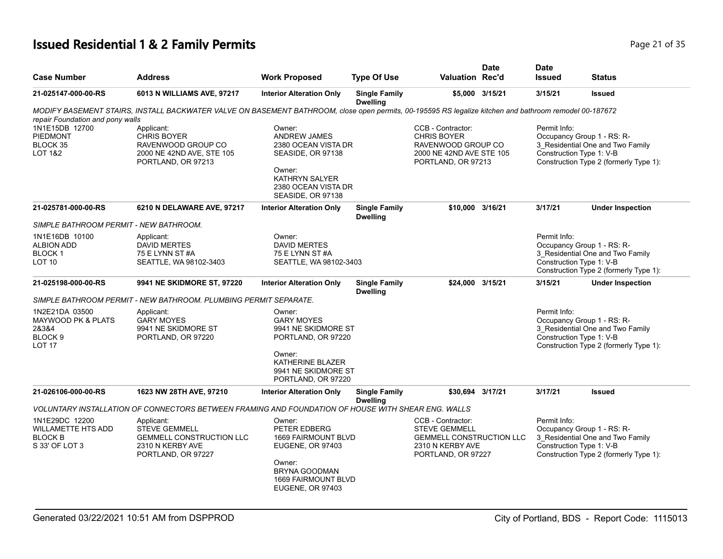## **Issued Residential 1 & 2 Family Permits Page 21 of 35 Page 21 of 35**

| <b>Case Number</b>                                                                                  | <b>Address</b>                                                                                                                                         | <b>Work Proposed</b>                                                                                                                                                | <b>Type Of Use</b>                      | <b>Valuation Rec'd</b>                                                                                                 | <b>Date</b>     | <b>Date</b><br><b>Issued</b>             | <b>Status</b>                                                                                            |
|-----------------------------------------------------------------------------------------------------|--------------------------------------------------------------------------------------------------------------------------------------------------------|---------------------------------------------------------------------------------------------------------------------------------------------------------------------|-----------------------------------------|------------------------------------------------------------------------------------------------------------------------|-----------------|------------------------------------------|----------------------------------------------------------------------------------------------------------|
| 21-025147-000-00-RS                                                                                 | 6013 N WILLIAMS AVE, 97217                                                                                                                             | <b>Interior Alteration Only</b>                                                                                                                                     | <b>Single Family</b><br><b>Dwelling</b> |                                                                                                                        | \$5,000 3/15/21 | 3/15/21                                  | <b>Issued</b>                                                                                            |
| repair Foundation and pony walls                                                                    | MODIFY BASEMENT STAIRS, INSTALL BACKWATER VALVE ON BASEMENT BATHROOM, close open permits, 00-195595 RS legalize kitchen and bathroom remodel 00-187672 |                                                                                                                                                                     |                                         |                                                                                                                        |                 |                                          |                                                                                                          |
| 1N1E15DB 12700<br>PIEDMONT<br>BLOCK 35<br><b>LOT 1&amp;2</b>                                        | Applicant:<br><b>CHRIS BOYER</b><br>RAVENWOOD GROUP CO<br>2000 NE 42ND AVE, STE 105<br>PORTLAND, OR 97213                                              | Owner:<br><b>ANDREW JAMES</b><br>2380 OCEAN VISTA DR<br>SEASIDE, OR 97138<br>Owner:<br><b>KATHRYN SALYER</b><br>2380 OCEAN VISTA DR<br>SEASIDE, OR 97138            |                                         | CCB - Contractor:<br><b>CHRIS BOYER</b><br>RAVENWOOD GROUP CO<br>2000 NE 42ND AVE STE 105<br>PORTLAND, OR 97213        |                 | Permit Info:<br>Construction Type 1: V-B | Occupancy Group 1 - RS: R-<br>3 Residential One and Two Family<br>Construction Type 2 (formerly Type 1): |
| 21-025781-000-00-RS                                                                                 | 6210 N DELAWARE AVE, 97217                                                                                                                             | <b>Interior Alteration Only</b>                                                                                                                                     | <b>Single Family</b><br><b>Dwelling</b> | \$10.000 3/16/21                                                                                                       |                 | 3/17/21                                  | <b>Under Inspection</b>                                                                                  |
| SIMPLE BATHROOM PERMIT - NEW BATHROOM.                                                              |                                                                                                                                                        |                                                                                                                                                                     |                                         |                                                                                                                        |                 |                                          |                                                                                                          |
| 1N1E16DB 10100<br><b>ALBION ADD</b><br><b>BLOCK1</b><br><b>LOT 10</b>                               | Applicant:<br><b>DAVID MERTES</b><br>75 E LYNN ST #A<br>SEATTLE, WA 98102-3403                                                                         | Owner:<br><b>DAVID MERTES</b><br>75 E LYNN ST #A<br>SEATTLE, WA 98102-3403                                                                                          |                                         |                                                                                                                        |                 | Permit Info:<br>Construction Type 1: V-B | Occupancy Group 1 - RS: R-<br>3_Residential One and Two Family<br>Construction Type 2 (formerly Type 1): |
| 21-025198-000-00-RS                                                                                 | 9941 NE SKIDMORE ST, 97220                                                                                                                             | <b>Interior Alteration Only</b>                                                                                                                                     | <b>Single Family</b><br><b>Dwelling</b> | \$24,000 3/15/21                                                                                                       |                 | 3/15/21                                  | <b>Under Inspection</b>                                                                                  |
|                                                                                                     | SIMPLE BATHROOM PERMIT - NEW BATHROOM. PLUMBING PERMIT SEPARATE.                                                                                       |                                                                                                                                                                     |                                         |                                                                                                                        |                 |                                          |                                                                                                          |
| 1N2E21DA 03500<br><b>MAYWOOD PK &amp; PLATS</b><br>28384<br>BLOCK <sub>9</sub><br>LOT <sub>17</sub> | Applicant:<br><b>GARY MOYES</b><br>9941 NE SKIDMORE ST<br>PORTLAND, OR 97220                                                                           | Owner:<br><b>GARY MOYES</b><br>9941 NE SKIDMORE ST<br>PORTLAND, OR 97220<br>Owner:<br>KATHERINE BLAZER<br>9941 NE SKIDMORE ST<br>PORTLAND, OR 97220                 |                                         |                                                                                                                        |                 | Permit Info:<br>Construction Type 1: V-B | Occupancy Group 1 - RS: R-<br>3 Residential One and Two Family<br>Construction Type 2 (formerly Type 1): |
| 21-026106-000-00-RS                                                                                 | 1623 NW 28TH AVE, 97210                                                                                                                                | <b>Interior Alteration Only</b>                                                                                                                                     | <b>Single Family</b><br><b>Dwelling</b> | \$30.694 3/17/21                                                                                                       |                 | 3/17/21                                  | <b>Issued</b>                                                                                            |
|                                                                                                     | VOLUNTARY INSTALLATION OF CONNECTORS BETWEEN FRAMING AND FOUNDATION OF HOUSE WITH SHEAR ENG. WALLS                                                     |                                                                                                                                                                     |                                         |                                                                                                                        |                 |                                          |                                                                                                          |
| 1N1E29DC 12200<br><b>WILLAMETTE HTS ADD</b><br><b>BLOCK B</b><br>S 33' OF LOT 3                     | Applicant:<br><b>STEVE GEMMELL</b><br><b>GEMMELL CONSTRUCTION LLC</b><br>2310 N KERBY AVE<br>PORTLAND, OR 97227                                        | Owner:<br>PETER EDBERG<br><b>1669 FAIRMOUNT BLVD</b><br>EUGENE, OR 97403<br>Owner:<br><b>BRYNA GOODMAN</b><br><b>1669 FAIRMOUNT BLVD</b><br><b>EUGENE, OR 97403</b> |                                         | CCB - Contractor:<br><b>STEVE GEMMELL</b><br><b>GEMMELL CONSTRUCTION LLC</b><br>2310 N KERBY AVE<br>PORTLAND, OR 97227 |                 | Permit Info:<br>Construction Type 1: V-B | Occupancy Group 1 - RS: R-<br>3 Residential One and Two Family<br>Construction Type 2 (formerly Type 1): |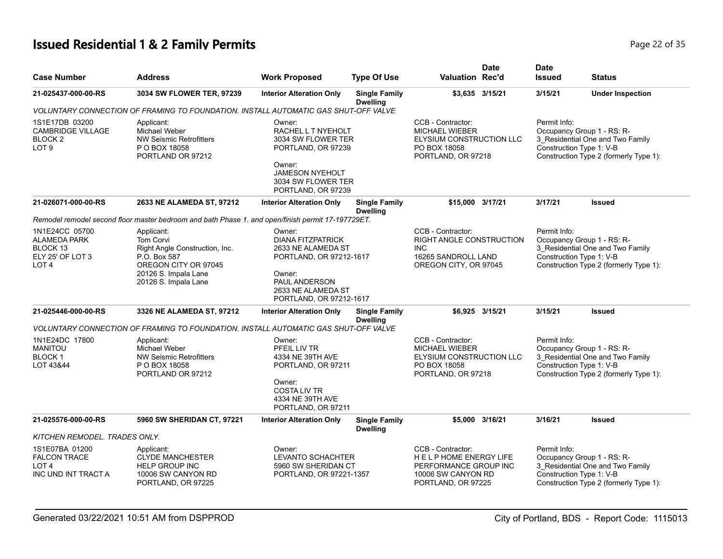# **Issued Residential 1 & 2 Family Permits Page 22 of 35 Page 22 of 35**

| <b>Case Number</b>                                                                        | <b>Address</b>                                                                                                                                    | <b>Work Proposed</b>                                                                                                                                            | <b>Type Of Use</b>                      | <b>Valuation Rec'd</b>                                                                                              | <b>Date</b>     | <b>Date</b><br><b>Issued</b>             | Status                                                                                                   |
|-------------------------------------------------------------------------------------------|---------------------------------------------------------------------------------------------------------------------------------------------------|-----------------------------------------------------------------------------------------------------------------------------------------------------------------|-----------------------------------------|---------------------------------------------------------------------------------------------------------------------|-----------------|------------------------------------------|----------------------------------------------------------------------------------------------------------|
| 21-025437-000-00-RS                                                                       | 3034 SW FLOWER TER, 97239                                                                                                                         | <b>Interior Alteration Only</b>                                                                                                                                 | <b>Single Family</b><br><b>Dwelling</b> |                                                                                                                     | \$3,635 3/15/21 | 3/15/21                                  | <b>Under Inspection</b>                                                                                  |
|                                                                                           | VOLUNTARY CONNECTION OF FRAMING TO FOUNDATION. INSTALL AUTOMATIC GAS SHUT-OFF VALVE                                                               |                                                                                                                                                                 |                                         |                                                                                                                     |                 |                                          |                                                                                                          |
| 1S1E17DB 03200<br><b>CAMBRIDGE VILLAGE</b><br>BLOCK <sub>2</sub><br>LOT <sub>9</sub>      | Applicant:<br>Michael Weber<br>NW Seismic Retrofitters<br>P O BOX 18058<br>PORTLAND OR 97212                                                      | Owner:<br>RACHEL L T NYEHOLT<br>3034 SW FLOWER TER<br>PORTLAND, OR 97239<br>Owner:<br>JAMESON NYEHOLT<br>3034 SW FLOWER TER<br>PORTLAND, OR 97239               |                                         | CCB - Contractor:<br><b>MICHAEL WIEBER</b><br>ELYSIUM CONSTRUCTION LLC<br>PO BOX 18058<br>PORTLAND, OR 97218        |                 | Permit Info:<br>Construction Type 1: V-B | Occupancy Group 1 - RS: R-<br>3 Residential One and Two Family<br>Construction Type 2 (formerly Type 1): |
| 21-026071-000-00-RS                                                                       | 2633 NE ALAMEDA ST, 97212                                                                                                                         | <b>Interior Alteration Only</b>                                                                                                                                 | <b>Single Family</b><br><b>Dwelling</b> | \$15,000 3/17/21                                                                                                    |                 | 3/17/21                                  | Issued                                                                                                   |
|                                                                                           | Remodel remodel second floor master bedroom and bath Phase 1. and open/finish permit 17-197729ET.                                                 |                                                                                                                                                                 |                                         |                                                                                                                     |                 |                                          |                                                                                                          |
| 1N1E24CC 05700<br><b>ALAMEDA PARK</b><br>BLOCK 13<br>ELY 25' OF LOT 3<br>LOT <sub>4</sub> | Applicant:<br>Tom Corvi<br>Right Angle Construction, Inc.<br>P.O. Box 587<br>OREGON CITY OR 97045<br>20126 S. Impala Lane<br>20126 S. Impala Lane | Owner:<br><b>DIANA FITZPATRICK</b><br>2633 NE ALAMEDA ST<br>PORTLAND, OR 97212-1617<br>Owner:<br>PAUL ANDERSON<br>2633 NE ALAMEDA ST<br>PORTLAND, OR 97212-1617 |                                         | CCB - Contractor:<br>RIGHT ANGLE CONSTRUCTION<br><b>INC</b><br>16265 SANDROLL LAND<br>OREGON CITY, OR 97045         |                 | Permit Info:<br>Construction Type 1: V-B | Occupancy Group 1 - RS: R-<br>3 Residential One and Two Family<br>Construction Type 2 (formerly Type 1): |
| 21-025446-000-00-RS                                                                       | 3326 NE ALAMEDA ST, 97212                                                                                                                         | <b>Interior Alteration Only</b>                                                                                                                                 | <b>Single Family</b><br><b>Dwelling</b> |                                                                                                                     | \$6,925 3/15/21 | 3/15/21                                  | Issued                                                                                                   |
|                                                                                           | VOLUNTARY CONNECTION OF FRAMING TO FOUNDATION. INSTALL AUTOMATIC GAS SHUT-OFF VALVE                                                               |                                                                                                                                                                 |                                         |                                                                                                                     |                 |                                          |                                                                                                          |
| 1N1E24DC 17800<br><b>MANITOU</b><br><b>BLOCK1</b><br>LOT 43&44                            | Applicant:<br>Michael Weber<br><b>NW Seismic Retrofitters</b><br>P O BOX 18058<br>PORTLAND OR 97212                                               | Owner:<br>PFEIL LIV TR<br>4334 NE 39TH AVE<br>PORTLAND, OR 97211<br>Owner:<br><b>COSTALIV TR</b><br>4334 NE 39TH AVE<br>PORTLAND, OR 97211                      |                                         | CCB - Contractor:<br><b>MICHAEL WIEBER</b><br><b>ELYSIUM CONSTRUCTION LLC</b><br>PO BOX 18058<br>PORTLAND, OR 97218 |                 | Permit Info:<br>Construction Type 1: V-B | Occupancy Group 1 - RS: R-<br>3 Residential One and Two Family<br>Construction Type 2 (formerly Type 1): |
| 21-025576-000-00-RS                                                                       | 5960 SW SHERIDAN CT, 97221                                                                                                                        | <b>Interior Alteration Only</b>                                                                                                                                 | <b>Single Family</b><br><b>Dwelling</b> |                                                                                                                     | \$5,000 3/16/21 | 3/16/21                                  | <b>Issued</b>                                                                                            |
| KITCHEN REMODEL. TRADES ONLY.                                                             |                                                                                                                                                   |                                                                                                                                                                 |                                         |                                                                                                                     |                 |                                          |                                                                                                          |
| 1S1E07BA 01200<br><b>FALCON TRACE</b><br>LOT <sub>4</sub><br>INC UND INT TRACT A          | Applicant:<br><b>CLYDE MANCHESTER</b><br><b>HELP GROUP INC</b><br>10006 SW CANYON RD<br>PORTLAND, OR 97225                                        | Owner:<br>LEVANTO SCHACHTER<br>5960 SW SHERIDAN CT<br>PORTLAND, OR 97221-1357                                                                                   |                                         | CCB - Contractor:<br>HELP HOME ENERGY LIFE<br>PERFORMANCE GROUP INC<br>10006 SW CANYON RD<br>PORTLAND, OR 97225     |                 | Permit Info:<br>Construction Type 1: V-B | Occupancy Group 1 - RS: R-<br>3 Residential One and Two Family<br>Construction Type 2 (formerly Type 1): |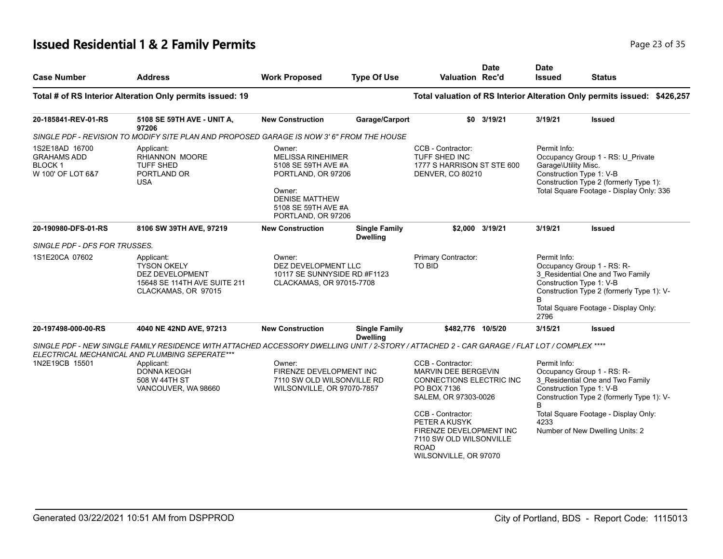## **Issued Residential 1 & 2 Family Permits Page 23 of 35 Page 23 of 35**

| <b>Case Number</b>                                                                                                                                                 | <b>Address</b>                                                                                                                                                                                                                     | <b>Work Proposed</b>                                                                                                                                            | <b>Type Of Use</b>                      | <b>Valuation Rec'd</b>                                                                                                           | <b>Date</b>     | <b>Date</b><br><b>Issued</b>                                     | <b>Status</b>                                                                                                                                       |
|--------------------------------------------------------------------------------------------------------------------------------------------------------------------|------------------------------------------------------------------------------------------------------------------------------------------------------------------------------------------------------------------------------------|-----------------------------------------------------------------------------------------------------------------------------------------------------------------|-----------------------------------------|----------------------------------------------------------------------------------------------------------------------------------|-----------------|------------------------------------------------------------------|-----------------------------------------------------------------------------------------------------------------------------------------------------|
|                                                                                                                                                                    | Total # of RS Interior Alteration Only permits issued: 19                                                                                                                                                                          |                                                                                                                                                                 |                                         |                                                                                                                                  |                 |                                                                  | Total valuation of RS Interior Alteration Only permits issued: \$426,257                                                                            |
| 20-185841-REV-01-RS                                                                                                                                                | 5108 SE 59TH AVE - UNIT A,<br>97206                                                                                                                                                                                                | <b>New Construction</b>                                                                                                                                         | Garage/Carport                          | \$0                                                                                                                              | 3/19/21         | 3/19/21                                                          | <b>Issued</b>                                                                                                                                       |
|                                                                                                                                                                    | SINGLE PDF - REVISION TO MODIFY SITE PLAN AND PROPOSED GARAGE IS NOW 3' 6" FROM THE HOUSE                                                                                                                                          |                                                                                                                                                                 |                                         |                                                                                                                                  |                 |                                                                  |                                                                                                                                                     |
| 1S2E18AD 16700<br>Applicant:<br><b>RHIANNON MOORE</b><br><b>GRAHAMS ADD</b><br><b>BLOCK1</b><br><b>TUFF SHED</b><br>W 100' OF LOT 6&7<br>PORTLAND OR<br><b>USA</b> |                                                                                                                                                                                                                                    | Owner:<br><b>MELISSA RINEHIMER</b><br>5108 SE 59TH AVE #A<br>PORTLAND, OR 97206<br>Owner:<br><b>DENISE MATTHEW</b><br>5108 SE 59TH AVE #A<br>PORTLAND, OR 97206 |                                         | CCB - Contractor:<br>TUFF SHED INC<br>1777 S HARRISON ST STE 600<br>DENVER, CO 80210                                             |                 | Permit Info:<br>Garage\Utility Misc.<br>Construction Type 1: V-B | Occupancy Group 1 - RS: U_Private<br>Construction Type 2 (formerly Type 1):<br>Total Square Footage - Display Only: 336                             |
| 20-190980-DFS-01-RS                                                                                                                                                | 8106 SW 39TH AVE, 97219                                                                                                                                                                                                            | <b>New Construction</b>                                                                                                                                         | <b>Single Family</b><br><b>Dwelling</b> |                                                                                                                                  | \$2,000 3/19/21 | 3/19/21                                                          | <b>Issued</b>                                                                                                                                       |
| SINGLE PDF - DFS FOR TRUSSES.                                                                                                                                      |                                                                                                                                                                                                                                    |                                                                                                                                                                 |                                         |                                                                                                                                  |                 |                                                                  |                                                                                                                                                     |
| 1S1E20CA 07602                                                                                                                                                     | Applicant:<br><b>TYSON OKELY</b><br>DEZ DEVELOPMENT<br>15648 SE 114TH AVE SUITE 211<br>CLACKAMAS, OR 97015                                                                                                                         | Owner:<br>DEZ DEVELOPMENT LLC<br>10117 SE SUNNYSIDE RD #F1123<br>CLACKAMAS, OR 97015-7708                                                                       |                                         | Primary Contractor:<br><b>TO BID</b>                                                                                             |                 | Permit Info:<br>Construction Type 1: V-B<br>B<br>2796            | Occupancy Group 1 - RS: R-<br>3 Residential One and Two Family<br>Construction Type 2 (formerly Type 1): V-<br>Total Square Footage - Display Only: |
| 20-197498-000-00-RS                                                                                                                                                | 4040 NE 42ND AVE, 97213                                                                                                                                                                                                            | <b>New Construction</b>                                                                                                                                         | <b>Single Family</b><br><b>Dwelling</b> | \$482.776 10/5/20                                                                                                                |                 | 3/15/21                                                          | <b>Issued</b>                                                                                                                                       |
| 1N2E19CB 15501                                                                                                                                                     | SINGLE PDF - NEW SINGLE FAMILY RESIDENCE WITH ATTACHED ACCESSORY DWELLING UNIT / 2-STORY / ATTACHED 2 - CAR GARAGE / FLAT LOT / COMPLEX ****<br>ELECTRICAL MECHANICAL AND PLUMBING SEPERATE***<br>Applicant:<br><b>DONNA KEOGH</b> | Owner:<br>FIRENZE DEVELOPMENT INC                                                                                                                               |                                         | CCB - Contractor:<br>MARVIN DEE BERGEVIN                                                                                         |                 | Permit Info:                                                     | Occupancy Group 1 - RS: R-                                                                                                                          |
|                                                                                                                                                                    | 508 W 44TH ST<br>VANCOUVER, WA 98660                                                                                                                                                                                               | 7110 SW OLD WILSONVILLE RD<br>WILSONVILLE, OR 97070-7857                                                                                                        |                                         | <b>CONNECTIONS ELECTRIC INC.</b><br>PO BOX 7136<br>SALEM, OR 97303-0026                                                          |                 | Construction Type 1: V-B<br>B                                    | 3_Residential One and Two Family<br>Construction Type 2 (formerly Type 1): V-                                                                       |
|                                                                                                                                                                    |                                                                                                                                                                                                                                    |                                                                                                                                                                 |                                         | CCB - Contractor:<br>PETER A KUSYK<br>FIRENZE DEVELOPMENT INC<br>7110 SW OLD WILSONVILLE<br><b>ROAD</b><br>WILSONVILLE, OR 97070 |                 | 4233                                                             | Total Square Footage - Display Only:<br>Number of New Dwelling Units: 2                                                                             |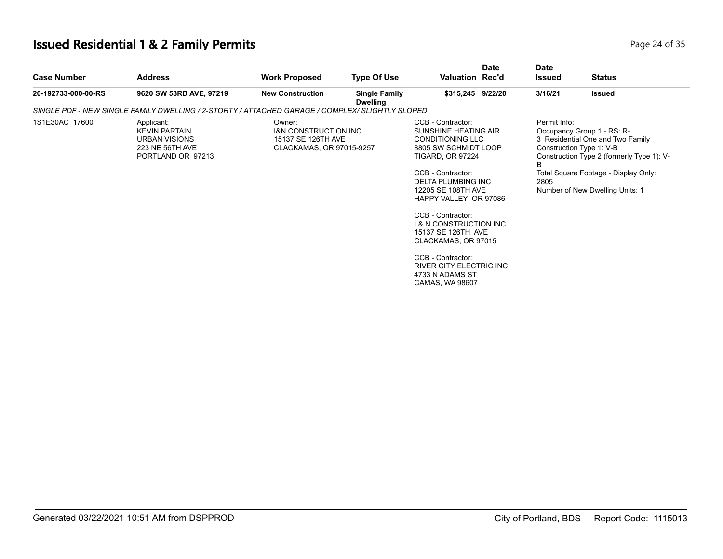# **Issued Residential 1 & 2 Family Permits**

| Page 24 of 35 |  |  |
|---------------|--|--|
|               |  |  |

| <b>Case Number</b>  | <b>Address</b>                                                                                     | <b>Work Proposed</b>                                                                        | <b>Type Of Use</b>                      | <b>Date</b><br><b>Valuation Rec'd</b>                                                                                                                                                                                                                                                                                                                                                                                 | <b>Date</b><br><b>Issued</b> | <b>Status</b>                                                                                                                                                                                                      |
|---------------------|----------------------------------------------------------------------------------------------------|---------------------------------------------------------------------------------------------|-----------------------------------------|-----------------------------------------------------------------------------------------------------------------------------------------------------------------------------------------------------------------------------------------------------------------------------------------------------------------------------------------------------------------------------------------------------------------------|------------------------------|--------------------------------------------------------------------------------------------------------------------------------------------------------------------------------------------------------------------|
| 20-192733-000-00-RS | 9620 SW 53RD AVE, 97219                                                                            | <b>New Construction</b>                                                                     | <b>Single Family</b><br><b>Dwelling</b> | \$315,245 9/22/20                                                                                                                                                                                                                                                                                                                                                                                                     | 3/16/21                      | Issued                                                                                                                                                                                                             |
|                     | SINGLE PDF - NEW SINGLE FAMILY DWELLING / 2-STORTY / ATTACHED GARAGE / COMPLEX/ SLIGHTLY SLOPED    |                                                                                             |                                         |                                                                                                                                                                                                                                                                                                                                                                                                                       |                              |                                                                                                                                                                                                                    |
| 1S1E30AC 17600      | Applicant:<br><b>KEVIN PARTAIN</b><br><b>URBAN VISIONS</b><br>223 NE 56TH AVE<br>PORTLAND OR 97213 | Owner:<br><b>I&amp;N CONSTRUCTION INC</b><br>15137 SE 126TH AVE<br>CLACKAMAS, OR 97015-9257 |                                         | CCB - Contractor:<br>SUNSHINE HEATING AIR<br><b>CONDITIONING LLC</b><br>8805 SW SCHMIDT LOOP<br><b>TIGARD, OR 97224</b><br>CCB - Contractor:<br><b>DELTA PLUMBING INC</b><br>12205 SE 108TH AVE<br>HAPPY VALLEY, OR 97086<br>CCB - Contractor:<br><b>1&amp; N CONSTRUCTION INC</b><br>15137 SE 126TH AVE<br>CLACKAMAS, OR 97015<br>CCB - Contractor:<br>RIVER CITY ELECTRIC INC<br>4733 N ADAMS ST<br>CAMAS, WA 98607 | Permit Info:<br>B<br>2805    | Occupancy Group 1 - RS: R-<br>3 Residential One and Two Family<br>Construction Type 1: V-B<br>Construction Type 2 (formerly Type 1): V-<br>Total Square Footage - Display Only:<br>Number of New Dwelling Units: 1 |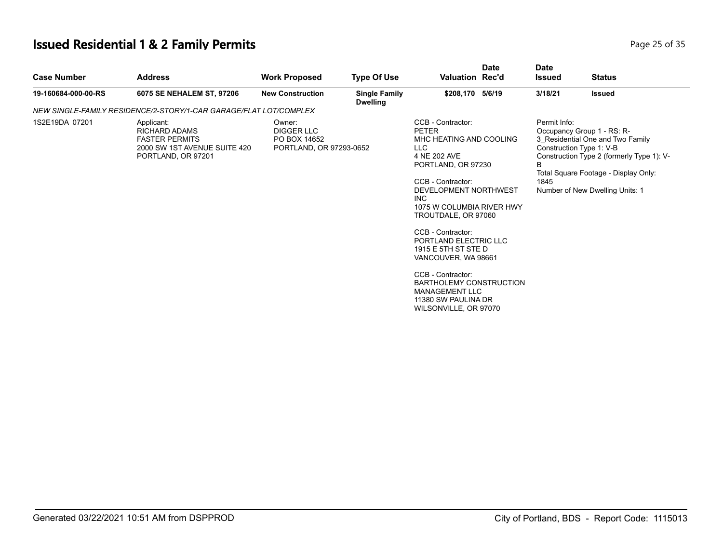# **Issued Residential 1 & 2 Family Permits**

| Page 25 of 35 |  |  |
|---------------|--|--|
|               |  |  |

|                                                                                                                                                                                                                                                                                                                                                                                                                                                                                                                                                                                                                                                                 |  |                                                       | <b>Status</b>                                                                                                                                                                          |
|-----------------------------------------------------------------------------------------------------------------------------------------------------------------------------------------------------------------------------------------------------------------------------------------------------------------------------------------------------------------------------------------------------------------------------------------------------------------------------------------------------------------------------------------------------------------------------------------------------------------------------------------------------------------|--|-------------------------------------------------------|----------------------------------------------------------------------------------------------------------------------------------------------------------------------------------------|
| \$208,170 5/6/19<br>19-160684-000-00-RS<br>6075 SE NEHALEM ST, 97206<br><b>New Construction</b><br><b>Single Family</b><br><b>Dwelling</b>                                                                                                                                                                                                                                                                                                                                                                                                                                                                                                                      |  | 3/18/21                                               | <b>Issued</b>                                                                                                                                                                          |
| NEW SINGLE-FAMILY RESIDENCE/2-STORY/1-CAR GARAGE/FLAT LOT/COMPLEX                                                                                                                                                                                                                                                                                                                                                                                                                                                                                                                                                                                               |  |                                                       |                                                                                                                                                                                        |
| 1S2E19DA 07201<br>CCB - Contractor:<br>Applicant:<br>Owner:<br><b>DIGGER LLC</b><br><b>RICHARD ADAMS</b><br><b>PETER</b><br><b>FASTER PERMITS</b><br>PO BOX 14652<br>MHC HEATING AND COOLING<br>2000 SW 1ST AVENUE SUITE 420<br>LLC<br>PORTLAND, OR 97293-0652<br>4 NE 202 AVE<br>PORTLAND, OR 97201<br>PORTLAND, OR 97230<br>CCB - Contractor:<br>DEVELOPMENT NORTHWEST<br><b>INC</b><br>1075 W COLUMBIA RIVER HWY<br>TROUTDALE, OR 97060<br>CCB - Contractor:<br>PORTLAND ELECTRIC LLC<br>1915 E 5TH ST STE D<br>VANCOUVER, WA 98661<br>CCB - Contractor:<br>BARTHOLEMY CONSTRUCTION<br><b>MANAGEMENT LLC</b><br>11380 SW PAULINA DR<br>WILSONVILLE, OR 97070 |  | Permit Info:<br>Construction Type 1: V-B<br>R<br>1845 | Occupancy Group 1 - RS: R-<br>3_Residential One and Two Family<br>Construction Type 2 (formerly Type 1): V-<br>Total Square Footage - Display Only:<br>Number of New Dwelling Units: 1 |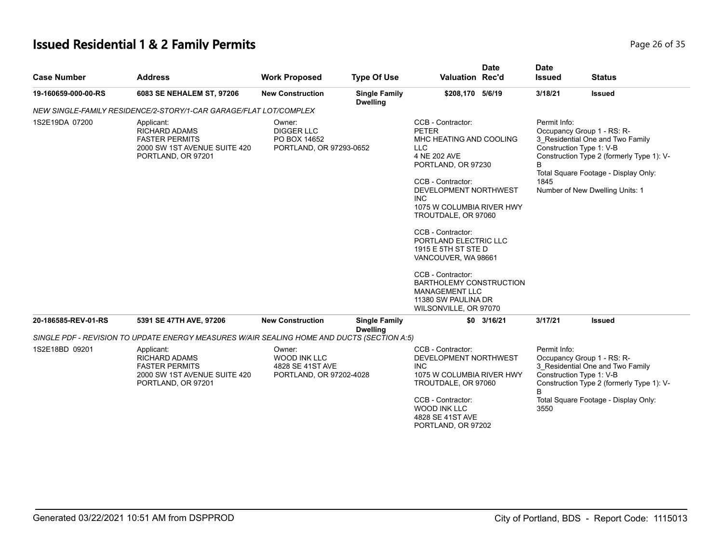# **Issued Residential 1 & 2 Family Permits Page 26 of 35 Page 26 of 35**

| <b>Case Number</b>  | <b>Address</b>                                                                                                    | <b>Work Proposed</b>                                                         | <b>Type Of Use</b>                      | <b>Valuation Rec'd</b>                                                                                                                                                                                                                                                                                                                                                                                                                                | <b>Date</b>  | <b>Date</b><br><b>Issued</b> | <b>Status</b>                                                                                                                                                                                                      |
|---------------------|-------------------------------------------------------------------------------------------------------------------|------------------------------------------------------------------------------|-----------------------------------------|-------------------------------------------------------------------------------------------------------------------------------------------------------------------------------------------------------------------------------------------------------------------------------------------------------------------------------------------------------------------------------------------------------------------------------------------------------|--------------|------------------------------|--------------------------------------------------------------------------------------------------------------------------------------------------------------------------------------------------------------------|
| 19-160659-000-00-RS | 6083 SE NEHALEM ST, 97206                                                                                         | <b>New Construction</b>                                                      | <b>Single Family</b><br><b>Dwelling</b> | \$208,170 5/6/19                                                                                                                                                                                                                                                                                                                                                                                                                                      |              | 3/18/21                      | <b>Issued</b>                                                                                                                                                                                                      |
|                     | NEW SINGLE-FAMILY RESIDENCE/2-STORY/1-CAR GARAGE/FLAT LOT/COMPLEX                                                 |                                                                              |                                         |                                                                                                                                                                                                                                                                                                                                                                                                                                                       |              |                              |                                                                                                                                                                                                                    |
| 1S2E19DA 07200      | Applicant:<br><b>RICHARD ADAMS</b><br><b>FASTER PERMITS</b><br>2000 SW 1ST AVENUE SUITE 420<br>PORTLAND, OR 97201 | Owner:<br><b>DIGGER LLC</b><br>PO BOX 14652<br>PORTLAND, OR 97293-0652       |                                         | CCB - Contractor:<br><b>PETER</b><br>MHC HEATING AND COOLING<br><b>LLC</b><br>4 NE 202 AVE<br>PORTLAND, OR 97230<br>CCB - Contractor:<br>DEVELOPMENT NORTHWEST<br><b>INC</b><br>1075 W COLUMBIA RIVER HWY<br>TROUTDALE, OR 97060<br>CCB - Contractor:<br>PORTLAND ELECTRIC LLC<br>1915 E 5TH ST STE D<br>VANCOUVER, WA 98661<br>CCB - Contractor:<br>BARTHOLEMY CONSTRUCTION<br><b>MANAGEMENT LLC</b><br>11380 SW PAULINA DR<br>WILSONVILLE, OR 97070 |              | Permit Info:<br>B<br>1845    | Occupancy Group 1 - RS: R-<br>3 Residential One and Two Family<br>Construction Type 1: V-B<br>Construction Type 2 (formerly Type 1): V-<br>Total Square Footage - Display Only:<br>Number of New Dwelling Units: 1 |
|                     |                                                                                                                   |                                                                              |                                         |                                                                                                                                                                                                                                                                                                                                                                                                                                                       |              |                              |                                                                                                                                                                                                                    |
| 20-186585-REV-01-RS | 5391 SE 47TH AVE, 97206                                                                                           | <b>New Construction</b>                                                      | <b>Single Family</b><br><b>Dwelling</b> |                                                                                                                                                                                                                                                                                                                                                                                                                                                       | $$0$ 3/16/21 | 3/17/21                      | <b>Issued</b>                                                                                                                                                                                                      |
|                     | SINGLE PDF - REVISION TO UPDATE ENERGY MEASURES W/AIR SEALING HOME AND DUCTS (SECTION A:5)                        |                                                                              |                                         |                                                                                                                                                                                                                                                                                                                                                                                                                                                       |              |                              |                                                                                                                                                                                                                    |
| 1S2E18BD 09201      | Applicant:<br><b>RICHARD ADAMS</b><br><b>FASTER PERMITS</b><br>2000 SW 1ST AVENUE SUITE 420<br>PORTLAND, OR 97201 | Owner:<br><b>WOOD INK LLC</b><br>4828 SE 41ST AVE<br>PORTLAND, OR 97202-4028 |                                         | CCB - Contractor:<br>DEVELOPMENT NORTHWEST<br><b>INC</b><br>1075 W COLUMBIA RIVER HWY<br>TROUTDALE, OR 97060<br>CCB - Contractor:<br><b>WOOD INK LLC</b><br>4828 SE 41ST AVE<br>PORTLAND, OR 97202                                                                                                                                                                                                                                                    |              | Permit Info:<br>R<br>3550    | Occupancy Group 1 - RS: R-<br>3 Residential One and Two Family<br>Construction Type 1: V-B<br>Construction Type 2 (formerly Type 1): V-<br>Total Square Footage - Display Only:                                    |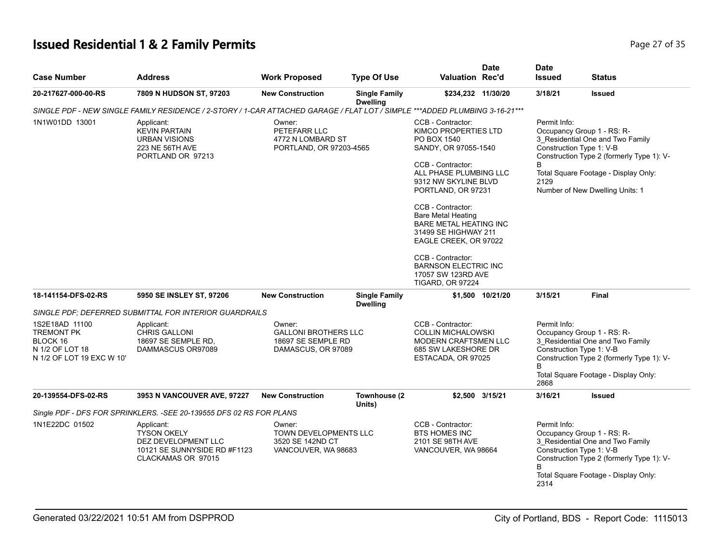# **Issued Residential 1 & 2 Family Permits Page 27 of 35 Page 27 of 35**

| <b>Case Number</b>                                                                              | <b>Address</b>                                                                                                              | <b>Work Proposed</b>                                                              | <b>Type Of Use</b>                      | Valuation Rec'd                                                                                                                                                                                                                                                                                                                                                                                                        | <b>Date</b>      | <b>Date</b><br><b>Issued</b>              | <b>Status</b>                                                                                                                                                                                                      |
|-------------------------------------------------------------------------------------------------|-----------------------------------------------------------------------------------------------------------------------------|-----------------------------------------------------------------------------------|-----------------------------------------|------------------------------------------------------------------------------------------------------------------------------------------------------------------------------------------------------------------------------------------------------------------------------------------------------------------------------------------------------------------------------------------------------------------------|------------------|-------------------------------------------|--------------------------------------------------------------------------------------------------------------------------------------------------------------------------------------------------------------------|
| 20-217627-000-00-RS                                                                             | 7809 N HUDSON ST, 97203                                                                                                     | <b>New Construction</b>                                                           | <b>Single Family</b><br><b>Dwelling</b> | \$234,232 11/30/20                                                                                                                                                                                                                                                                                                                                                                                                     |                  | 3/18/21                                   | <b>Issued</b>                                                                                                                                                                                                      |
|                                                                                                 | SINGLE PDF - NEW SINGLE FAMILY RESIDENCE / 2-STORY / 1-CAR ATTACHED GARAGE / FLAT LOT / SIMPLE ***ADDED PLUMBING 3-16-21*** |                                                                                   |                                         |                                                                                                                                                                                                                                                                                                                                                                                                                        |                  |                                           |                                                                                                                                                                                                                    |
| 1N1W01DD 13001                                                                                  | Applicant:<br><b>KEVIN PARTAIN</b><br><b>URBAN VISIONS</b><br>223 NE 56TH AVE<br>PORTLAND OR 97213                          | Owner:<br>PETEFARR LLC<br>4772 N LOMBARD ST<br>PORTLAND, OR 97203-4565            |                                         | CCB - Contractor:<br>KIMCO PROPERTIES LTD<br>PO BOX 1540<br>SANDY, OR 97055-1540<br>CCB - Contractor:<br>ALL PHASE PLUMBING LLC<br>9312 NW SKYLINE BLVD<br>PORTLAND, OR 97231<br>CCB - Contractor:<br><b>Bare Metal Heating</b><br><b>BARE METAL HEATING INC</b><br>31499 SE HIGHWAY 211<br>EAGLE CREEK, OR 97022<br>CCB - Contractor:<br><b>BARNSON ELECTRIC INC</b><br>17057 SW 123RD AVE<br><b>TIGARD, OR 97224</b> |                  | Permit Info:<br>B<br>2129                 | Occupancy Group 1 - RS: R-<br>3_Residential One and Two Family<br>Construction Type 1: V-B<br>Construction Type 2 (formerly Type 1): V-<br>Total Square Footage - Display Only:<br>Number of New Dwelling Units: 1 |
| 18-141154-DFS-02-RS                                                                             | 5950 SE INSLEY ST, 97206                                                                                                    | <b>New Construction</b>                                                           | <b>Single Family</b>                    |                                                                                                                                                                                                                                                                                                                                                                                                                        | \$1,500 10/21/20 | 3/15/21                                   | <b>Final</b>                                                                                                                                                                                                       |
|                                                                                                 | SINGLE PDF; DEFERRED SUBMITTAL FOR INTERIOR GUARDRAILS                                                                      |                                                                                   | <b>Dwelling</b>                         |                                                                                                                                                                                                                                                                                                                                                                                                                        |                  |                                           |                                                                                                                                                                                                                    |
| 1S2E18AD 11100<br><b>TREMONT PK</b><br>BLOCK 16<br>N 1/2 OF LOT 18<br>N 1/2 OF LOT 19 EXC W 10' | Applicant:<br><b>CHRIS GALLONI</b><br>18697 SE SEMPLE RD.<br>DAMMASCUS OR97089                                              | Owner:<br><b>GALLONI BROTHERS LLC</b><br>18697 SE SEMPLE RD<br>DAMASCUS, OR 97089 |                                         | CCB - Contractor:<br>Permit Info:<br>Occupancy Group 1 - RS: R-<br><b>COLLIN MICHALOWSKI</b><br>3 Residential One and Two Family<br><b>MODERN CRAFTSMEN LLC</b><br>Construction Type 1: V-B<br>685 SW LAKESHORE DR<br>ESTACADA, OR 97025<br>Total Square Footage - Display Only:<br>2868                                                                                                                               |                  | Construction Type 2 (formerly Type 1): V- |                                                                                                                                                                                                                    |
| 20-139554-DFS-02-RS                                                                             | 3953 N VANCOUVER AVE, 97227                                                                                                 | <b>New Construction</b>                                                           | Townhouse (2<br>Units)                  |                                                                                                                                                                                                                                                                                                                                                                                                                        | \$2,500 3/15/21  | 3/16/21                                   | <b>Issued</b>                                                                                                                                                                                                      |
|                                                                                                 | Single PDF - DFS FOR SPRINKLERS. - SEE 20-139555 DFS 02 RS FOR PLANS                                                        |                                                                                   |                                         |                                                                                                                                                                                                                                                                                                                                                                                                                        |                  |                                           |                                                                                                                                                                                                                    |
| 1N1E22DC 01502                                                                                  | Applicant:<br><b>TYSON OKELY</b><br>DEZ DEVELOPMENT LLC<br>10121 SE SUNNYSIDE RD #F1123<br>CLACKAMAS OR 97015               | Owner:<br><b>TOWN DEVELOPMENTS LLC</b><br>3520 SE 142ND CT<br>VANCOUVER, WA 98683 |                                         | CCB - Contractor:<br><b>BTS HOMES INC</b><br>2101 SE 98TH AVE<br>VANCOUVER, WA 98664                                                                                                                                                                                                                                                                                                                                   |                  | Permit Info:<br>R<br>2314                 | Occupancy Group 1 - RS: R-<br>3 Residential One and Two Family<br>Construction Type 1: V-B<br>Construction Type 2 (formerly Type 1): V-<br>Total Square Footage - Display Only:                                    |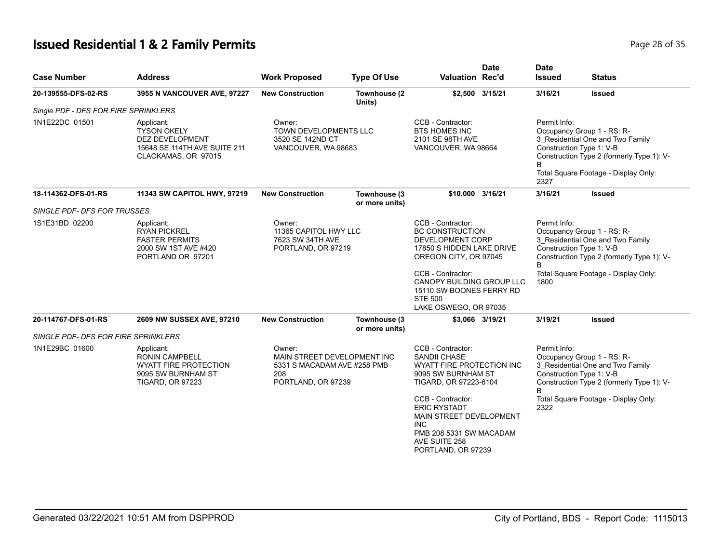# **Issued Residential 1 & 2 Family Permits Page 28 of 35 Page 28 of 35**

| <b>Case Number</b>                   | <b>Address</b>                                                                                                       | <b>Work Proposed</b>                                                       | <b>Type Of Use</b>             | <b>Valuation Rec'd</b>                                                                                                                                                                                                                         | <b>Date</b>     | <b>Date</b><br><b>Issued</b>                                                                                                                                                                            | <b>Status</b>                        |                   |                                                                                                                                         |
|--------------------------------------|----------------------------------------------------------------------------------------------------------------------|----------------------------------------------------------------------------|--------------------------------|------------------------------------------------------------------------------------------------------------------------------------------------------------------------------------------------------------------------------------------------|-----------------|---------------------------------------------------------------------------------------------------------------------------------------------------------------------------------------------------------|--------------------------------------|-------------------|-----------------------------------------------------------------------------------------------------------------------------------------|
| 20-139555-DFS-02-RS                  | 3955 N VANCOUVER AVE, 97227                                                                                          | <b>New Construction</b>                                                    | Townhouse (2<br>Units)         |                                                                                                                                                                                                                                                | \$2,500 3/15/21 | 3/16/21                                                                                                                                                                                                 | <b>Issued</b>                        |                   |                                                                                                                                         |
| Single PDF - DFS FOR FIRE SPRINKLERS |                                                                                                                      |                                                                            |                                |                                                                                                                                                                                                                                                |                 |                                                                                                                                                                                                         |                                      |                   |                                                                                                                                         |
| 1N1E22DC 01501                       | Applicant:<br><b>TYSON OKELY</b><br><b>DEZ DEVELOPMENT</b><br>15648 SE 114TH AVE SUITE 211<br>CLACKAMAS, OR 97015    | Owner:<br>TOWN DEVELOPMENTS LLC<br>3520 SE 142ND CT<br>VANCOUVER, WA 98683 |                                | CCB - Contractor:<br><b>BTS HOMES INC</b><br>2101 SE 98TH AVE<br>VANCOUVER, WA 98664                                                                                                                                                           |                 | Permit Info:<br>Occupancy Group 1 - RS: R-<br>3 Residential One and Two Family<br>Construction Type 1: V-B<br>Construction Type 2 (formerly Type 1): V-<br>Total Square Footage - Display Only:<br>2327 |                                      |                   |                                                                                                                                         |
| 18-114362-DFS-01-RS                  | 11343 SW CAPITOL HWY, 97219                                                                                          | <b>New Construction</b>                                                    | Townhouse (3<br>or more units) | \$10,000 3/16/21                                                                                                                                                                                                                               |                 | 3/16/21                                                                                                                                                                                                 | <b>Issued</b>                        |                   |                                                                                                                                         |
| SINGLE PDF- DFS FOR TRUSSES.         |                                                                                                                      |                                                                            |                                |                                                                                                                                                                                                                                                |                 |                                                                                                                                                                                                         |                                      |                   |                                                                                                                                         |
| 1S1E31BD 02200                       | Applicant:<br><b>RYAN PICKREL</b><br><b>FASTER PERMITS</b><br>2000 SW 1ST AVE #420<br>PORTLAND OR 97201              | Owner:<br>11365 CAPITOL HWY LLC<br>7623 SW 34TH AVE<br>PORTLAND, OR 97219  |                                | CCB - Contractor:<br><b>BC CONSTRUCTION</b><br>DEVELOPMENT CORP<br>17850 S HIDDEN LAKE DRIVE<br>OREGON CITY, OR 97045<br>CCB - Contractor:<br>CANOPY BUILDING GROUP LLC<br>15110 SW BOONES FERRY RD<br><b>STE 500</b><br>LAKE OSWEGO, OR 97035 |                 | Permit Info:<br>Occupancy Group 1 - RS: R-<br>3_Residential One and Two Family<br>Construction Type 1: V-B<br>Construction Type 2 (formerly Type 1): V-<br>B                                            |                                      |                   |                                                                                                                                         |
|                                      |                                                                                                                      |                                                                            |                                |                                                                                                                                                                                                                                                |                 | 1800                                                                                                                                                                                                    | Total Square Footage - Display Only: |                   |                                                                                                                                         |
| 20-114767-DFS-01-RS                  | 2609 NW SUSSEX AVE, 97210                                                                                            | <b>New Construction</b>                                                    | Townhouse (3<br>or more units) |                                                                                                                                                                                                                                                | \$3,066 3/19/21 | 3/19/21                                                                                                                                                                                                 | <b>Issued</b>                        |                   |                                                                                                                                         |
| SINGLE PDF- DFS FOR FIRE SPRINKLERS  |                                                                                                                      |                                                                            |                                |                                                                                                                                                                                                                                                |                 |                                                                                                                                                                                                         |                                      |                   |                                                                                                                                         |
| 1N1E29BC 01600                       | Applicant:<br><b>RONIN CAMPBELL</b><br><b>WYATT FIRE PROTECTION</b><br>9095 SW BURNHAM ST<br><b>TIGARD, OR 97223</b> | Owner:<br>208<br>PORTLAND, OR 97239                                        |                                | MAIN STREET DEVELOPMENT INC<br>5331 S MACADAM AVE #258 PMB                                                                                                                                                                                     |                 | CCB - Contractor:<br><b>SANDII CHASE</b><br>WYATT FIRE PROTECTION INC<br>9095 SW BURNHAM ST<br>TIGARD, OR 97223-6104                                                                                    |                                      | Permit Info:<br>R | Occupancy Group 1 - RS: R-<br>3 Residential One and Two Family<br>Construction Type 1: V-B<br>Construction Type 2 (formerly Type 1): V- |
|                                      |                                                                                                                      |                                                                            |                                | CCB - Contractor:<br><b>ERIC RYSTADT</b><br>MAIN STREET DEVELOPMENT<br><b>INC</b><br>PMB 208 5331 SW MACADAM<br>AVE SUITE 258<br>PORTLAND, OR 97239                                                                                            |                 | 2322                                                                                                                                                                                                    | Total Square Footage - Display Only: |                   |                                                                                                                                         |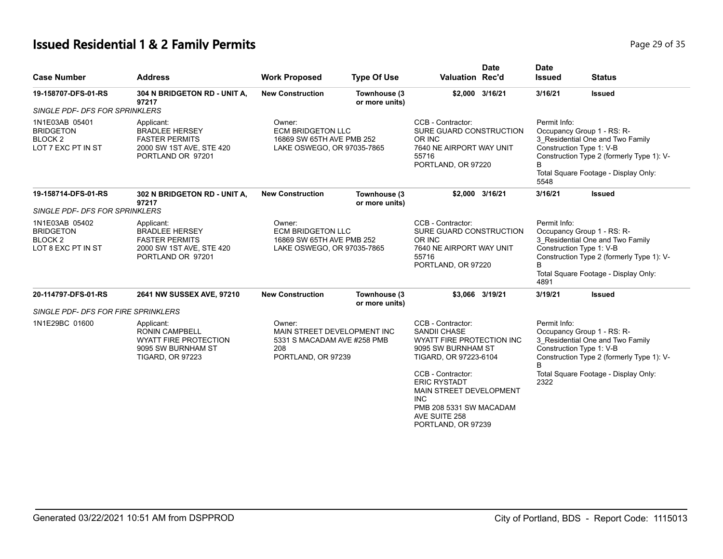## **Issued Residential 1 & 2 Family Permits Page 29 of 35 Page 29 of 35**

| <b>Case Number</b>                                                        | <b>Address</b>                                                                                                | <b>Work Proposed</b>                                                                              | <b>Type Of Use</b>             | <b>Valuation Rec'd</b>                                                                                                                                                     | <b>Date</b>     | <b>Date</b><br><b>Issued</b>                                                                                                                                                                                 | <b>Status</b> |  |
|---------------------------------------------------------------------------|---------------------------------------------------------------------------------------------------------------|---------------------------------------------------------------------------------------------------|--------------------------------|----------------------------------------------------------------------------------------------------------------------------------------------------------------------------|-----------------|--------------------------------------------------------------------------------------------------------------------------------------------------------------------------------------------------------------|---------------|--|
| 19-158707-DFS-01-RS                                                       | 304 N BRIDGETON RD - UNIT A,<br>97217                                                                         | <b>New Construction</b>                                                                           | Townhouse (3<br>or more units) |                                                                                                                                                                            | \$2,000 3/16/21 | 3/16/21                                                                                                                                                                                                      | <b>Issued</b> |  |
| <b>SINGLE PDF- DFS FOR SPRINKLERS</b>                                     |                                                                                                               |                                                                                                   |                                |                                                                                                                                                                            |                 |                                                                                                                                                                                                              |               |  |
| 1N1E03AB 05401<br><b>BRIDGETON</b><br><b>BLOCK2</b><br>LOT 7 EXC PT IN ST | Applicant:<br><b>BRADLEE HERSEY</b><br><b>FASTER PERMITS</b><br>2000 SW 1ST AVE, STE 420<br>PORTLAND OR 97201 | Owner:<br><b>ECM BRIDGETON LLC</b><br>16869 SW 65TH AVE PMB 252<br>LAKE OSWEGO, OR 97035-7865     |                                | CCB - Contractor:<br>SURE GUARD CONSTRUCTION<br>OR INC<br>7640 NE AIRPORT WAY UNIT<br>55716<br>PORTLAND, OR 97220                                                          |                 | Permit Info:<br>Occupancy Group 1 - RS: R-<br>3_Residential One and Two Family<br>Construction Type 1: V-B<br>Construction Type 2 (formerly Type 1): V-<br>B<br>Total Square Footage - Display Only:<br>5548 |               |  |
| 19-158714-DFS-01-RS                                                       | 302 N BRIDGETON RD - UNIT A,<br>97217                                                                         | <b>New Construction</b>                                                                           | Townhouse (3<br>or more units) |                                                                                                                                                                            | \$2,000 3/16/21 | 3/16/21                                                                                                                                                                                                      | <b>Issued</b> |  |
| <b>SINGLE PDF- DFS FOR SPRINKLERS</b>                                     |                                                                                                               |                                                                                                   |                                |                                                                                                                                                                            |                 |                                                                                                                                                                                                              |               |  |
| 1N1E03AB 05402<br><b>BRIDGETON</b><br><b>BLOCK2</b><br>LOT 8 EXC PT IN ST | Applicant:<br><b>BRADLEE HERSEY</b><br><b>FASTER PERMITS</b><br>2000 SW 1ST AVE, STE 420<br>PORTLAND OR 97201 | Owner:<br><b>ECM BRIDGETON LLC</b><br>16869 SW 65TH AVE PMB 252<br>LAKE OSWEGO, OR 97035-7865     |                                | CCB - Contractor:<br>Permit Info:<br>SURE GUARD CONSTRUCTION<br>OR INC<br>Construction Type 1: V-B<br>7640 NE AIRPORT WAY UNIT<br>55716<br>PORTLAND, OR 97220<br>B<br>4891 |                 | Occupancy Group 1 - RS: R-<br>3_Residential One and Two Family<br>Construction Type 2 (formerly Type 1): V-<br>Total Square Footage - Display Only:                                                          |               |  |
| 20-114797-DFS-01-RS                                                       | 2641 NW SUSSEX AVE, 97210                                                                                     | <b>New Construction</b>                                                                           | Townhouse (3<br>or more units) |                                                                                                                                                                            | \$3,066 3/19/21 | 3/19/21                                                                                                                                                                                                      | <b>Issued</b> |  |
| <b>SINGLE PDF- DFS FOR FIRE SPRINKLERS</b>                                |                                                                                                               |                                                                                                   |                                |                                                                                                                                                                            |                 |                                                                                                                                                                                                              |               |  |
| 1N1E29BC 01600                                                            | Applicant:<br>RONIN CAMPBELL<br><b>WYATT FIRE PROTECTION</b><br>9095 SW BURNHAM ST<br><b>TIGARD, OR 97223</b> | Owner:<br>MAIN STREET DEVELOPMENT INC<br>5331 S MACADAM AVE #258 PMB<br>208<br>PORTLAND, OR 97239 |                                | CCB - Contractor:<br>SANDII CHASE<br>WYATT FIRE PROTECTION INC<br>9095 SW BURNHAM ST<br>TIGARD, OR 97223-6104<br>CCB - Contractor:                                         |                 | Permit Info:<br>Occupancy Group 1 - RS: R-<br>3 Residential One and Two Family<br>Construction Type 1: V-B<br>Construction Type 2 (formerly Type 1): V-<br>B<br>Total Square Footage - Display Only:         |               |  |
|                                                                           |                                                                                                               |                                                                                                   |                                | <b>ERIC RYSTADT</b><br>MAIN STREET DEVELOPMENT<br><b>INC</b><br>PMB 208 5331 SW MACADAM<br>AVE SUITE 258<br>PORTLAND, OR 97239                                             |                 | 2322                                                                                                                                                                                                         |               |  |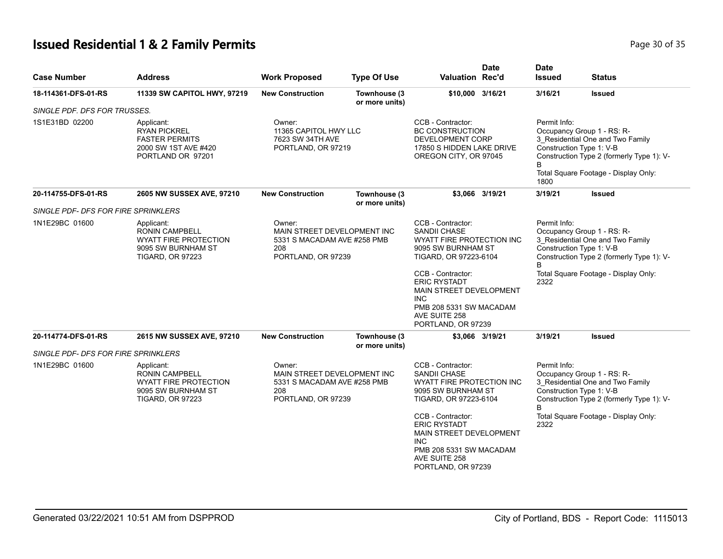# **Issued Residential 1 & 2 Family Permits Page 10 Of 35 And 20 Of 35 Page 30 of 35**

| <b>Case Number</b>                         | <b>Address</b>                                                                                                                                      | <b>Work Proposed</b>                                                                              | <b>Type Of Use</b>                                                                                                                     | <b>Valuation Rec'd</b>                                                                                                                              | <b>Date</b>                                                                                 | <b>Date</b><br><b>Issued</b>                                                                                                                                            | <b>Status</b>                                                                                                                                                                   |  |
|--------------------------------------------|-----------------------------------------------------------------------------------------------------------------------------------------------------|---------------------------------------------------------------------------------------------------|----------------------------------------------------------------------------------------------------------------------------------------|-----------------------------------------------------------------------------------------------------------------------------------------------------|---------------------------------------------------------------------------------------------|-------------------------------------------------------------------------------------------------------------------------------------------------------------------------|---------------------------------------------------------------------------------------------------------------------------------------------------------------------------------|--|
| 18-114361-DFS-01-RS                        | 11339 SW CAPITOL HWY, 97219                                                                                                                         | <b>New Construction</b>                                                                           | Townhouse (3)<br>or more units)                                                                                                        | \$10,000 3/16/21                                                                                                                                    |                                                                                             | 3/16/21                                                                                                                                                                 | <b>Issued</b>                                                                                                                                                                   |  |
| SINGLE PDF. DFS FOR TRUSSES.               |                                                                                                                                                     |                                                                                                   |                                                                                                                                        |                                                                                                                                                     |                                                                                             |                                                                                                                                                                         |                                                                                                                                                                                 |  |
| 1S1E31BD 02200                             | Applicant:<br><b>RYAN PICKREL</b><br><b>FASTER PERMITS</b><br>2000 SW 1ST AVE #420<br>PORTLAND OR 97201                                             | Owner:<br>11365 CAPITOL HWY LLC<br>7623 SW 34TH AVE<br>PORTLAND, OR 97219                         |                                                                                                                                        | CCB - Contractor:<br><b>BC CONSTRUCTION</b>                                                                                                         | Permit Info:<br>DEVELOPMENT CORP<br>17850 S HIDDEN LAKE DRIVE<br>OREGON CITY, OR 97045<br>B |                                                                                                                                                                         | Occupancy Group 1 - RS: R-<br>3_Residential One and Two Family<br>Construction Type 1: V-B<br>Construction Type 2 (formerly Type 1): V-<br>Total Square Footage - Display Only: |  |
| 20-114755-DFS-01-RS                        | 2605 NW SUSSEX AVE, 97210                                                                                                                           | <b>New Construction</b>                                                                           | Townhouse (3<br>or more units)                                                                                                         |                                                                                                                                                     | \$3,066 3/19/21                                                                             | 1800<br>3/19/21                                                                                                                                                         | <b>Issued</b>                                                                                                                                                                   |  |
| <b>SINGLE PDF- DFS FOR FIRE SPRINKLERS</b> |                                                                                                                                                     |                                                                                                   |                                                                                                                                        |                                                                                                                                                     |                                                                                             |                                                                                                                                                                         |                                                                                                                                                                                 |  |
| 1N1E29BC 01600                             | Applicant:<br><b>RONIN CAMPBELL</b><br>WYATT FIRE PROTECTION<br>9095 SW BURNHAM ST<br><b>TIGARD, OR 97223</b>                                       | Owner:<br>MAIN STREET DEVELOPMENT INC<br>5331 S MACADAM AVE #258 PMB<br>208<br>PORTLAND, OR 97239 |                                                                                                                                        | CCB - Contractor:<br><b>SANDII CHASE</b><br>WYATT FIRE PROTECTION INC<br>9095 SW BURNHAM ST<br>TIGARD, OR 97223-6104                                |                                                                                             | Permit Info:<br>Occupancy Group 1 - RS: R-<br>3_Residential One and Two Family<br>Construction Type 1: V-B<br>Construction Type 2 (formerly Type 1): V-<br><sub>R</sub> |                                                                                                                                                                                 |  |
|                                            | CCB - Contractor:<br><b>ERIC RYSTADT</b><br>MAIN STREET DEVELOPMENT<br><b>INC</b><br>PMB 208 5331 SW MACADAM<br>AVE SUITE 258<br>PORTLAND, OR 97239 |                                                                                                   |                                                                                                                                        | 2322                                                                                                                                                | Total Square Footage - Display Only:                                                        |                                                                                                                                                                         |                                                                                                                                                                                 |  |
| 20-114774-DFS-01-RS                        | 2615 NW SUSSEX AVE, 97210                                                                                                                           | <b>New Construction</b>                                                                           | Townhouse (3)<br>or more units)                                                                                                        |                                                                                                                                                     | \$3,066 3/19/21                                                                             | 3/19/21                                                                                                                                                                 | <b>Issued</b>                                                                                                                                                                   |  |
| <b>SINGLE PDF- DFS FOR FIRE SPRINKLERS</b> |                                                                                                                                                     |                                                                                                   |                                                                                                                                        |                                                                                                                                                     |                                                                                             |                                                                                                                                                                         |                                                                                                                                                                                 |  |
| 1N1E29BC 01600                             | Applicant:<br>RONIN CAMPBELL<br>WYATT FIRE PROTECTION<br>9095 SW BURNHAM ST<br><b>TIGARD, OR 97223</b>                                              |                                                                                                   | CCB - Contractor:<br>Owner:<br>MAIN STREET DEVELOPMENT INC<br>SANDII CHASE<br>5331 S MACADAM AVE #258 PMB<br>208<br>PORTLAND, OR 97239 |                                                                                                                                                     | WYATT FIRE PROTECTION INC<br>9095 SW BURNHAM ST<br>TIGARD, OR 97223-6104                    | Permit Info:<br>B                                                                                                                                                       | Occupancy Group 1 - RS: R-<br>3_Residential One and Two Family<br>Construction Type 1: V-B<br>Construction Type 2 (formerly Type 1): V-                                         |  |
|                                            |                                                                                                                                                     |                                                                                                   |                                                                                                                                        | CCB - Contractor:<br><b>ERIC RYSTADT</b><br>MAIN STREET DEVELOPMENT<br><b>INC</b><br>PMB 208 5331 SW MACADAM<br>AVE SUITE 258<br>PORTLAND, OR 97239 |                                                                                             | 2322                                                                                                                                                                    | Total Square Footage - Display Only:                                                                                                                                            |  |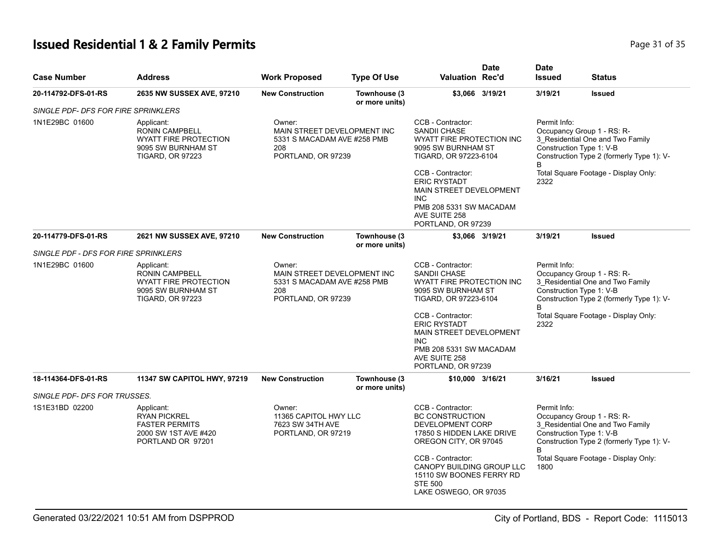# **Issued Residential 1 & 2 Family Permits** Page 31 of 35

| <b>Case Number</b>                   | Address                                                                                                              | <b>Work Proposed</b>                                                                              | <b>Type Of Use</b>             | <b>Valuation Rec'd</b>                                                                                                                                     | <b>Date</b> | <b>Date</b><br><b>Issued</b>                  | <b>Status</b>                                                                                               |
|--------------------------------------|----------------------------------------------------------------------------------------------------------------------|---------------------------------------------------------------------------------------------------|--------------------------------|------------------------------------------------------------------------------------------------------------------------------------------------------------|-------------|-----------------------------------------------|-------------------------------------------------------------------------------------------------------------|
| 20-114792-DFS-01-RS                  | <b>2635 NW SUSSEX AVE, 97210</b>                                                                                     | <b>New Construction</b>                                                                           | Townhouse (3<br>or more units) | \$3,066 3/19/21                                                                                                                                            |             | 3/19/21                                       | <b>Issued</b>                                                                                               |
| SINGLE PDF- DFS FOR FIRE SPRINKLERS  |                                                                                                                      |                                                                                                   |                                |                                                                                                                                                            |             |                                               |                                                                                                             |
| 1N1E29BC 01600                       | Applicant:<br><b>RONIN CAMPBELL</b><br><b>WYATT FIRE PROTECTION</b><br>9095 SW BURNHAM ST<br><b>TIGARD, OR 97223</b> | Owner:<br>MAIN STREET DEVELOPMENT INC<br>5331 S MACADAM AVE #258 PMB<br>208<br>PORTLAND, OR 97239 |                                | CCB - Contractor:<br>SANDII CHASE<br>WYATT FIRE PROTECTION INC<br>9095 SW BURNHAM ST<br>TIGARD, OR 97223-6104                                              |             | Permit Info:<br>Construction Type 1: V-B<br>В | Occupancy Group 1 - RS: R-<br>3_Residential One and Two Family<br>Construction Type 2 (formerly Type 1): V- |
|                                      |                                                                                                                      |                                                                                                   |                                | CCB - Contractor:<br><b>ERIC RYSTADT</b><br>MAIN STREET DEVELOPMENT<br><b>INC</b><br>PMB 208 5331 SW MACADAM<br>AVE SUITE 258<br>PORTLAND, OR 97239        |             | 2322                                          | Total Square Footage - Display Only:                                                                        |
| 20-114779-DFS-01-RS                  | 2621 NW SUSSEX AVE, 97210                                                                                            | <b>New Construction</b>                                                                           | Townhouse (3<br>or more units) | \$3,066 3/19/21                                                                                                                                            |             | 3/19/21                                       | <b>Issued</b>                                                                                               |
| SINGLE PDF - DFS FOR FIRE SPRINKLERS |                                                                                                                      |                                                                                                   |                                |                                                                                                                                                            |             |                                               |                                                                                                             |
| 1N1E29BC 01600                       | Applicant:<br><b>RONIN CAMPBELL</b><br><b>WYATT FIRE PROTECTION</b><br>9095 SW BURNHAM ST<br><b>TIGARD, OR 97223</b> | Owner:<br>MAIN STREET DEVELOPMENT INC<br>5331 S MACADAM AVE #258 PMB<br>208<br>PORTLAND, OR 97239 |                                | CCB - Contractor:<br>SANDII CHASE<br>WYATT FIRE PROTECTION INC<br>9095 SW BURNHAM ST<br>TIGARD, OR 97223-6104                                              |             | Permit Info:<br>Construction Type 1: V-B<br>B | Occupancy Group 1 - RS: R-<br>3 Residential One and Two Family<br>Construction Type 2 (formerly Type 1): V- |
|                                      |                                                                                                                      |                                                                                                   |                                | CCB - Contractor:<br><b>ERIC RYSTADT</b><br><b>MAIN STREET DEVELOPMENT</b><br><b>INC</b><br>PMB 208 5331 SW MACADAM<br>AVE SUITE 258<br>PORTLAND, OR 97239 |             | 2322                                          | Total Square Footage - Display Only:                                                                        |
| 18-114364-DFS-01-RS                  | 11347 SW CAPITOL HWY, 97219                                                                                          | <b>New Construction</b>                                                                           | Townhouse (3                   | \$10,000 3/16/21                                                                                                                                           |             | 3/16/21                                       | <b>Issued</b>                                                                                               |
| SINGLE PDF- DFS FOR TRUSSES.         |                                                                                                                      |                                                                                                   | or more units)                 |                                                                                                                                                            |             |                                               |                                                                                                             |
| 1S1E31BD 02200                       | Applicant:<br><b>RYAN PICKREL</b><br><b>FASTER PERMITS</b><br>2000 SW 1ST AVE #420<br>PORTLAND OR 97201              | Owner:<br>11365 CAPITOL HWY LLC<br>7623 SW 34TH AVE<br>PORTLAND, OR 97219                         |                                | CCB - Contractor:<br><b>BC CONSTRUCTION</b><br>DEVELOPMENT CORP<br>17850 S HIDDEN LAKE DRIVE<br>OREGON CITY, OR 97045                                      |             | Permit Info:<br>Construction Type 1: V-B<br>B | Occupancy Group 1 - RS: R-<br>3 Residential One and Two Family<br>Construction Type 2 (formerly Type 1): V- |
|                                      |                                                                                                                      |                                                                                                   |                                | CCB - Contractor:<br>CANOPY BUILDING GROUP LLC<br>15110 SW BOONES FERRY RD<br><b>STE 500</b><br>LAKE OSWEGO, OR 97035                                      |             | 1800                                          | Total Square Footage - Display Only:                                                                        |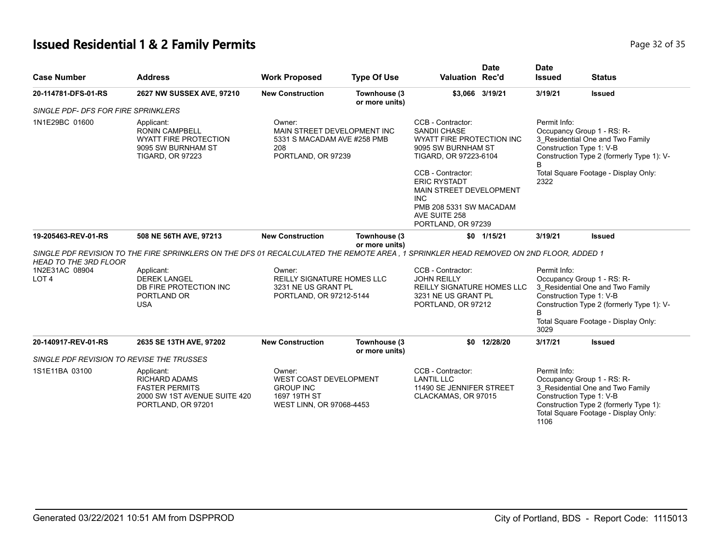# **Issued Residential 1 & 2 Family Permits Page 12 of 35 and 20 and 20 and 20 and 20 and 20 and 20 and 20 and 20 and 20 and 20 and 20 and 20 and 20 and 20 and 20 and 20 and 20 and 20 and 20 and 20 and 20 and 20 and 20 and**

| <b>Case Number</b>                        | <b>Address</b>                                                                                                                         | <b>Work Proposed</b>                                                                              | <b>Type Of Use</b>             | <b>Valuation Rec'd</b>                                                                                                                                                                                                                                                             | <b>Date</b>    | <b>Date</b><br><b>Issued</b>                                                                                                                                                                            | <b>Status</b>                                                                                                                                       |
|-------------------------------------------|----------------------------------------------------------------------------------------------------------------------------------------|---------------------------------------------------------------------------------------------------|--------------------------------|------------------------------------------------------------------------------------------------------------------------------------------------------------------------------------------------------------------------------------------------------------------------------------|----------------|---------------------------------------------------------------------------------------------------------------------------------------------------------------------------------------------------------|-----------------------------------------------------------------------------------------------------------------------------------------------------|
| 20-114781-DFS-01-RS                       | 2627 NW SUSSEX AVE, 97210                                                                                                              | <b>New Construction</b>                                                                           | Townhouse (3<br>or more units) | \$3,066 3/19/21                                                                                                                                                                                                                                                                    |                | 3/19/21                                                                                                                                                                                                 | Issued                                                                                                                                              |
| SINGLE PDF- DFS FOR FIRE SPRINKLERS       |                                                                                                                                        |                                                                                                   |                                |                                                                                                                                                                                                                                                                                    |                |                                                                                                                                                                                                         |                                                                                                                                                     |
| 1N1E29BC 01600                            | Applicant:<br><b>RONIN CAMPBELL</b><br><b>WYATT FIRE PROTECTION</b><br>9095 SW BURNHAM ST<br><b>TIGARD, OR 97223</b>                   | Owner:<br>MAIN STREET DEVELOPMENT INC<br>5331 S MACADAM AVE #258 PMB<br>208<br>PORTLAND, OR 97239 |                                | CCB - Contractor:<br><b>SANDII CHASE</b><br><b>WYATT FIRE PROTECTION INC</b><br>9095 SW BURNHAM ST<br>TIGARD, OR 97223-6104<br>CCB - Contractor:<br><b>ERIC RYSTADT</b><br>MAIN STREET DEVELOPMENT<br><b>INC</b><br>PMB 208 5331 SW MACADAM<br>AVE SUITE 258<br>PORTLAND, OR 97239 |                | Permit Info:<br>Construction Type 1: V-B<br>R<br>2322                                                                                                                                                   | Occupancy Group 1 - RS: R-<br>3_Residential One and Two Family<br>Construction Type 2 (formerly Type 1): V-<br>Total Square Footage - Display Only: |
| 19-205463-REV-01-RS                       | 508 NE 56TH AVE, 97213                                                                                                                 | <b>New Construction</b>                                                                           | Townhouse (3<br>or more units) |                                                                                                                                                                                                                                                                                    | $$0$ $1/15/21$ | 3/19/21                                                                                                                                                                                                 | Issued                                                                                                                                              |
| <b>HEAD TO THE 3RD FLOOR</b>              | SINGLE PDF REVISION TO THE FIRE SPRINKLERS ON THE DFS 01 RECALCULATED THE REMOTE AREA . 1 SPRINKLER HEAD REMOVED ON 2ND FLOOR, ADDED 1 |                                                                                                   |                                |                                                                                                                                                                                                                                                                                    |                |                                                                                                                                                                                                         |                                                                                                                                                     |
| 1N2E31AC 08904<br>LOT <sub>4</sub>        | Applicant:<br><b>DEREK LANGEL</b><br>DB FIRE PROTECTION INC<br>PORTLAND OR<br><b>USA</b>                                               | Owner:<br><b>REILLY SIGNATURE HOMES LLC</b><br>3231 NE US GRANT PL<br>PORTLAND, OR 97212-5144     |                                | CCB - Contractor:<br><b>JOHN REILLY</b><br>REILLY SIGNATURE HOMES LLC<br>3231 NE US GRANT PL<br>PORTLAND, OR 97212                                                                                                                                                                 |                | Permit Info:<br>Occupancy Group 1 - RS: R-<br>3_Residential One and Two Family<br>Construction Type 1: V-B<br>Construction Type 2 (formerly Type 1): V-<br>Total Square Footage - Display Only:<br>3029 |                                                                                                                                                     |
| 20-140917-REV-01-RS                       | 2635 SE 13TH AVE, 97202                                                                                                                | <b>New Construction</b>                                                                           | Townhouse (3<br>or more units) |                                                                                                                                                                                                                                                                                    | \$0 12/28/20   | 3/17/21                                                                                                                                                                                                 | Issued                                                                                                                                              |
| SINGLE PDF REVISION TO REVISE THE TRUSSES |                                                                                                                                        |                                                                                                   |                                |                                                                                                                                                                                                                                                                                    |                |                                                                                                                                                                                                         |                                                                                                                                                     |
| 1S1E11BA 03100                            | Applicant:<br><b>RICHARD ADAMS</b><br><b>FASTER PERMITS</b><br>2000 SW 1ST AVENUE SUITE 420<br>PORTLAND, OR 97201                      | Owner:<br>WEST COAST DEVELOPMENT<br><b>GROUP INC</b><br>1697 19TH ST<br>WEST LINN, OR 97068-4453  |                                | CCB - Contractor:<br><b>LANTIL LLC</b><br>11490 SE JENNIFER STREET<br>CLACKAMAS, OR 97015                                                                                                                                                                                          |                | Permit Info:<br>Construction Type 1: V-B<br>1106                                                                                                                                                        | Occupancy Group 1 - RS: R-<br>3_Residential One and Two Family<br>Construction Type 2 (formerly Type 1):<br>Total Square Footage - Display Only:    |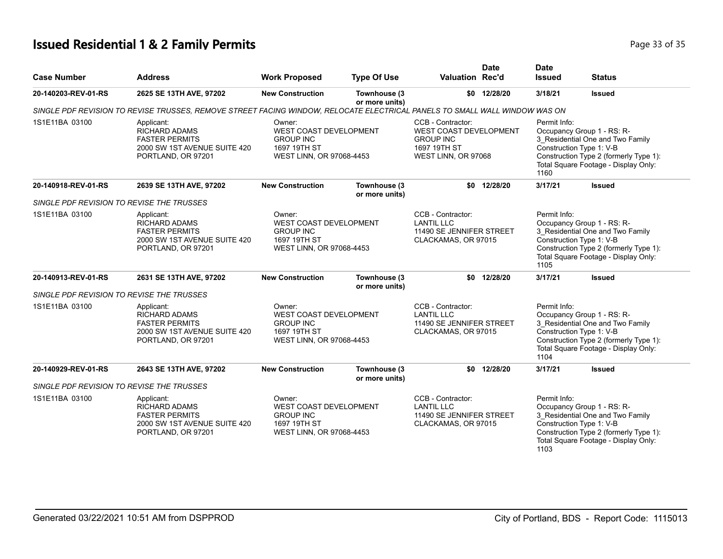# **Issued Residential 1 & 2 Family Permits Page 11 October 2014 12:30 Page 33 of 35**

| <b>Case Number</b>                        | <b>Address</b>                                                                                                             | <b>Work Proposed</b>                                                                                    | <b>Type Of Use</b>                                                                                  | <b>Valuation Rec'd</b>                                                                                        | <b>Date</b>                                     | <b>Date</b><br><b>Issued</b>                                                                                                                                                                         | <b>Status</b>                                                                                                                                                                |
|-------------------------------------------|----------------------------------------------------------------------------------------------------------------------------|---------------------------------------------------------------------------------------------------------|-----------------------------------------------------------------------------------------------------|---------------------------------------------------------------------------------------------------------------|-------------------------------------------------|------------------------------------------------------------------------------------------------------------------------------------------------------------------------------------------------------|------------------------------------------------------------------------------------------------------------------------------------------------------------------------------|
| 20-140203-REV-01-RS                       | 2625 SE 13TH AVE, 97202                                                                                                    | <b>New Construction</b>                                                                                 | Townhouse (3<br>or more units)                                                                      |                                                                                                               | \$0 12/28/20                                    | 3/18/21                                                                                                                                                                                              | <b>Issued</b>                                                                                                                                                                |
|                                           | SINGLE PDF REVISION TO REVISE TRUSSES, REMOVE STREET FACING WINDOW, RELOCATE ELECTRICAL PANELS TO SMALL WALL WINDOW WAS ON |                                                                                                         |                                                                                                     |                                                                                                               |                                                 |                                                                                                                                                                                                      |                                                                                                                                                                              |
| 1S1E11BA 03100                            | Applicant:<br><b>RICHARD ADAMS</b><br><b>FASTER PERMITS</b><br>2000 SW 1ST AVENUE SUITE 420<br>PORTLAND, OR 97201          | Owner:<br><b>WEST COAST DEVELOPMENT</b><br><b>GROUP INC</b><br>1697 19TH ST<br>WEST LINN, OR 97068-4453 |                                                                                                     | CCB - Contractor:<br><b>WEST COAST DEVELOPMENT</b><br><b>GROUP INC</b><br>1697 19TH ST<br>WEST LINN, OR 97068 |                                                 | Permit Info:<br>1160                                                                                                                                                                                 | Occupancy Group 1 - RS: R-<br>3_Residential One and Two Family<br>Construction Type 1: V-B<br>Construction Type 2 (formerly Type 1):<br>Total Square Footage - Display Only: |
| 20-140918-REV-01-RS                       | 2639 SE 13TH AVE, 97202                                                                                                    | <b>New Construction</b>                                                                                 | Townhouse (3<br>or more units)                                                                      |                                                                                                               | \$0 12/28/20                                    | 3/17/21                                                                                                                                                                                              | <b>Issued</b>                                                                                                                                                                |
| SINGLE PDF REVISION TO REVISE THE TRUSSES |                                                                                                                            |                                                                                                         |                                                                                                     |                                                                                                               |                                                 |                                                                                                                                                                                                      |                                                                                                                                                                              |
| 1S1E11BA 03100                            | Applicant:<br><b>RICHARD ADAMS</b><br><b>FASTER PERMITS</b><br>2000 SW 1ST AVENUE SUITE 420<br>PORTLAND, OR 97201          | Owner:<br><b>WEST COAST DEVELOPMENT</b><br><b>GROUP INC</b><br>1697 19TH ST<br>WEST LINN, OR 97068-4453 |                                                                                                     | CCB - Contractor:<br><b>LANTIL LLC</b><br>11490 SE JENNIFER STREET<br>CLACKAMAS, OR 97015                     |                                                 | Permit Info:<br>Occupancy Group 1 - RS: R-<br>3_Residential One and Two Family<br>Construction Type 1: V-B<br>Construction Type 2 (formerly Type 1):<br>Total Square Footage - Display Only:<br>1105 |                                                                                                                                                                              |
| 20-140913-REV-01-RS                       | 2631 SE 13TH AVE, 97202                                                                                                    | <b>New Construction</b>                                                                                 | Townhouse (3<br>or more units)                                                                      |                                                                                                               | \$0 12/28/20                                    | 3/17/21                                                                                                                                                                                              | <b>Issued</b>                                                                                                                                                                |
| SINGLE PDF REVISION TO REVISE THE TRUSSES |                                                                                                                            |                                                                                                         |                                                                                                     |                                                                                                               |                                                 |                                                                                                                                                                                                      |                                                                                                                                                                              |
| 1S1E11BA 03100                            | Applicant:<br><b>RICHARD ADAMS</b><br><b>FASTER PERMITS</b><br>2000 SW 1ST AVENUE SUITE 420<br>PORTLAND, OR 97201          | Owner:<br><b>GROUP INC</b><br>1697 19TH ST                                                              | CCB - Contractor:<br><b>WEST COAST DEVELOPMENT</b><br><b>LANTIL LLC</b><br>WEST LINN, OR 97068-4453 |                                                                                                               | 11490 SE JENNIFER STREET<br>CLACKAMAS, OR 97015 | Permit Info:<br>1104                                                                                                                                                                                 | Occupancy Group 1 - RS: R-<br>3_Residential One and Two Family<br>Construction Type 1: V-B<br>Construction Type 2 (formerly Type 1):<br>Total Square Footage - Display Only: |
| 20-140929-REV-01-RS                       | 2643 SE 13TH AVE, 97202                                                                                                    | <b>New Construction</b>                                                                                 | Townhouse (3<br>or more units)                                                                      |                                                                                                               | \$0 12/28/20                                    | 3/17/21                                                                                                                                                                                              | <b>Issued</b>                                                                                                                                                                |
| SINGLE PDF REVISION TO REVISE THE TRUSSES |                                                                                                                            |                                                                                                         |                                                                                                     |                                                                                                               |                                                 |                                                                                                                                                                                                      |                                                                                                                                                                              |
| 1S1E11BA 03100                            | Applicant:<br>RICHARD ADAMS<br><b>FASTER PERMITS</b><br>2000 SW 1ST AVENUE SUITE 420<br>PORTLAND, OR 97201                 | Owner:<br><b>WEST COAST DEVELOPMENT</b><br><b>GROUP INC</b><br>1697 19TH ST<br>WEST LINN, OR 97068-4453 |                                                                                                     | CCB - Contractor:<br><b>LANTIL LLC</b><br>11490 SE JENNIFER STREET<br>CLACKAMAS, OR 97015                     |                                                 | Permit Info:<br>1103                                                                                                                                                                                 | Occupancy Group 1 - RS: R-<br>3_Residential One and Two Family<br>Construction Type 1: V-B<br>Construction Type 2 (formerly Type 1):<br>Total Square Footage - Display Only: |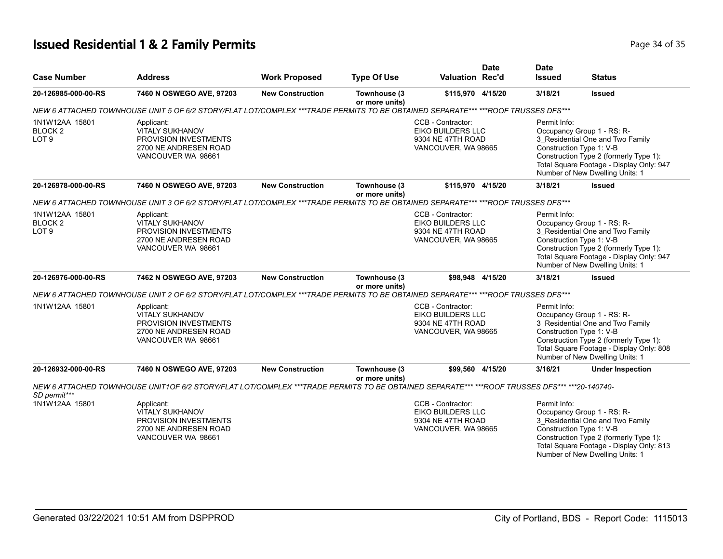# **Issued Residential 1 & 2 Family Permits Page 14 of 35 and 20 and 20 and 20 and 20 and 20 and 20 and 20 and 20 and 20 and 20 and 20 and 20 and 20 and 20 and 20 and 20 and 20 and 20 and 20 and 20 and 20 and 20 and 20 and**

|                                                          |                                                                                                                                              |                         |                                |                                                                                           | <b>Date</b> | <b>Date</b>                                                                                                                                                                                                                         |                                                                                                                                                                                                                     |  |
|----------------------------------------------------------|----------------------------------------------------------------------------------------------------------------------------------------------|-------------------------|--------------------------------|-------------------------------------------------------------------------------------------|-------------|-------------------------------------------------------------------------------------------------------------------------------------------------------------------------------------------------------------------------------------|---------------------------------------------------------------------------------------------------------------------------------------------------------------------------------------------------------------------|--|
| <b>Case Number</b>                                       | <b>Address</b>                                                                                                                               | <b>Work Proposed</b>    | <b>Type Of Use</b>             | <b>Valuation Rec'd</b>                                                                    |             | <b>Issued</b>                                                                                                                                                                                                                       | <b>Status</b>                                                                                                                                                                                                       |  |
| 20-126985-000-00-RS                                      | 7460 N OSWEGO AVE, 97203                                                                                                                     | <b>New Construction</b> | Townhouse (3<br>or more units) | \$115,970 4/15/20                                                                         |             | 3/18/21                                                                                                                                                                                                                             | <b>Issued</b>                                                                                                                                                                                                       |  |
|                                                          | NEW 6 ATTACHED TOWNHOUSE UNIT 5 OF 6/2 STORY/FLAT LOT/COMPLEX ***TRADE PERMITS TO BE OBTAINED SEPARATE*** ***ROOF TRUSSES DFS***             |                         |                                |                                                                                           |             |                                                                                                                                                                                                                                     |                                                                                                                                                                                                                     |  |
| 1N1W12AA 15801<br>BLOCK <sub>2</sub><br>LOT <sub>9</sub> | Applicant:<br><b>VITALY SUKHANOV</b><br>PROVISION INVESTMENTS<br>2700 NE ANDRESEN ROAD<br>VANCOUVER WA 98661                                 |                         |                                | CCB - Contractor:<br><b>EIKO BUILDERS LLC</b><br>9304 NE 47TH ROAD<br>VANCOUVER, WA 98665 |             | Permit Info:<br>Occupancy Group 1 - RS: R-<br>3_Residential One and Two Family<br>Construction Type 1: V-B<br>Construction Type 2 (formerly Type 1):<br>Total Square Footage - Display Only: 947<br>Number of New Dwelling Units: 1 |                                                                                                                                                                                                                     |  |
| 20-126978-000-00-RS                                      | 7460 N OSWEGO AVE, 97203                                                                                                                     | <b>New Construction</b> | Townhouse (3<br>or more units) | \$115,970 4/15/20                                                                         |             | 3/18/21                                                                                                                                                                                                                             | <b>Issued</b>                                                                                                                                                                                                       |  |
|                                                          | NEW 6 ATTACHED TOWNHOUSE UNIT 3 OF 6/2 STORY/FLAT LOT/COMPLEX ***TRADE PERMITS TO BE OBTAINED SEPARATE*** ***ROOF TRUSSES DFS***             |                         |                                |                                                                                           |             |                                                                                                                                                                                                                                     |                                                                                                                                                                                                                     |  |
| 1N1W12AA 15801<br>BLOCK <sub>2</sub><br>LOT <sub>9</sub> | Applicant:<br><b>VITALY SUKHANOV</b><br>PROVISION INVESTMENTS<br>2700 NE ANDRESEN ROAD<br>VANCOUVER WA 98661                                 |                         |                                | CCB - Contractor:<br>EIKO BUILDERS LLC<br>9304 NE 47TH ROAD<br>VANCOUVER, WA 98665        |             | Permit Info:<br>Occupancy Group 1 - RS: R-<br>3 Residential One and Two Family<br>Construction Type 1: V-B<br>Construction Type 2 (formerly Type 1):<br>Total Square Footage - Display Only: 947<br>Number of New Dwelling Units: 1 |                                                                                                                                                                                                                     |  |
| 20-126976-000-00-RS                                      | 7462 N OSWEGO AVE, 97203                                                                                                                     | <b>New Construction</b> | Townhouse (3                   | \$98.948 4/15/20                                                                          |             | 3/18/21                                                                                                                                                                                                                             | <b>Issued</b>                                                                                                                                                                                                       |  |
|                                                          | NEW 6 ATTACHED TOWNHOUSE UNIT 2 OF 6/2 STORY/FLAT LOT/COMPLEX ***TRADE PERMITS TO BE OBTAINED SEPARATE*** ***ROOF TRUSSES DFS***             |                         | or more units)                 |                                                                                           |             |                                                                                                                                                                                                                                     |                                                                                                                                                                                                                     |  |
| 1N1W12AA 15801                                           | Applicant:<br><b>VITALY SUKHANOV</b><br>PROVISION INVESTMENTS<br>2700 NE ANDRESEN ROAD<br>VANCOUVER WA 98661                                 |                         |                                | CCB - Contractor:<br>EIKO BUILDERS LLC<br>9304 NE 47TH ROAD<br>VANCOUVER, WA 98665        |             | Permit Info:<br>Occupancy Group 1 - RS: R-<br>3_Residential One and Two Family<br>Construction Type 1: V-B<br>Construction Type 2 (formerly Type 1):<br>Total Square Footage - Display Only: 808<br>Number of New Dwelling Units: 1 |                                                                                                                                                                                                                     |  |
| 20-126932-000-00-RS                                      | 7460 N OSWEGO AVE, 97203                                                                                                                     | <b>New Construction</b> | Townhouse (3                   | \$99.560 4/15/20                                                                          |             | 3/16/21                                                                                                                                                                                                                             | <b>Under Inspection</b>                                                                                                                                                                                             |  |
| SD permit***                                             | NEW 6 ATTACHED TOWNHOUSE UNIT1OF 6/2 STORY/FLAT LOT/COMPLEX ***TRADE PERMITS TO BE OBTAINED SEPARATE*** ***ROOF TRUSSES DFS*** ***20-140740- |                         | or more units)                 |                                                                                           |             |                                                                                                                                                                                                                                     |                                                                                                                                                                                                                     |  |
| 1N1W12AA 15801                                           | Applicant:<br><b>VITALY SUKHANOV</b><br>PROVISION INVESTMENTS<br>2700 NE ANDRESEN ROAD<br>VANCOUVER WA 98661                                 |                         |                                | CCB - Contractor:<br>EIKO BUILDERS LLC<br>9304 NE 47TH ROAD<br>VANCOUVER, WA 98665        |             | Permit Info:                                                                                                                                                                                                                        | Occupancy Group 1 - RS: R-<br>3_Residential One and Two Family<br>Construction Type 1: V-B<br>Construction Type 2 (formerly Type 1):<br>Total Square Footage - Display Only: 813<br>Number of New Dwelling Units: 1 |  |